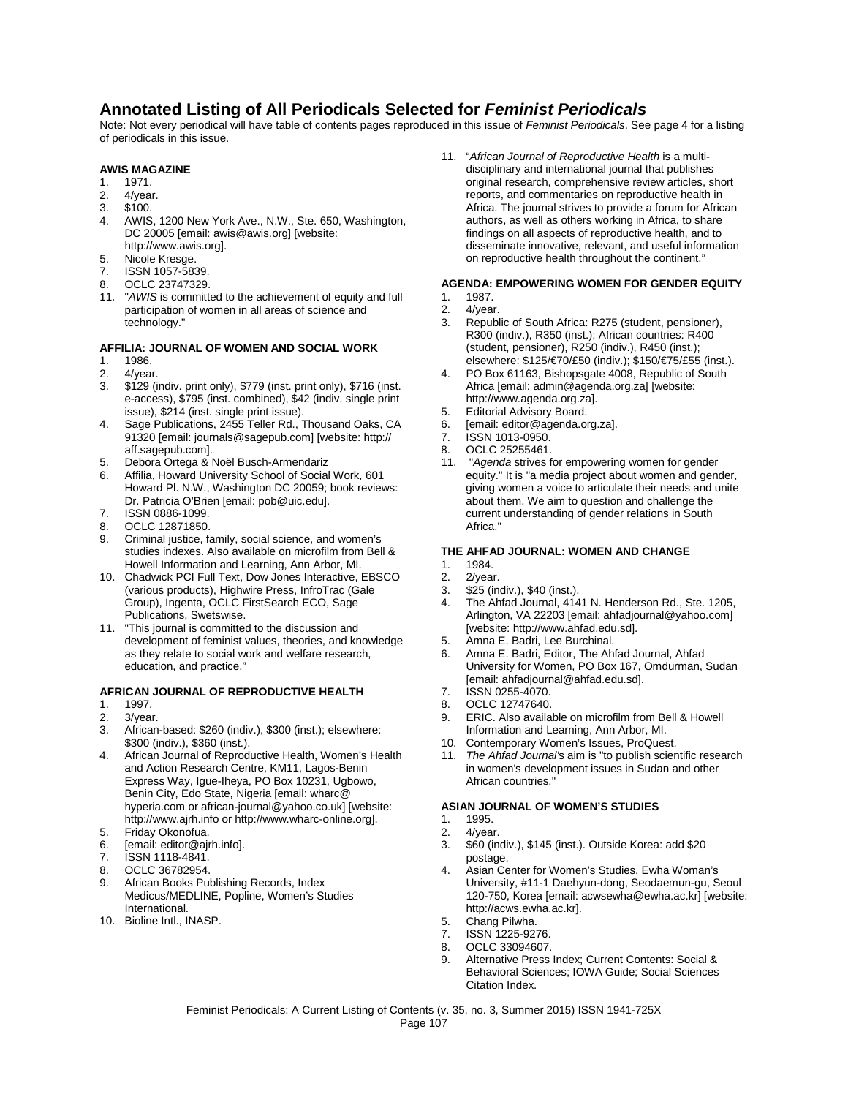## **Annotated Listing of All Periodicals Selected for** *Feminist Periodicals*

Note: Not every periodical will have table of contents pages reproduced in this issue of *Feminist Periodicals*. See page 4 for a listing of periodicals in this issue.

## **AWIS MAGAZINE**

- 1. 1971.
- 2. 4/year.
- 3. \$100.
- 4. AWIS, 1200 New York Ave., N.W., Ste. 650, Washington, DC 20005 [email: awis@awis.org] [website: http://www.awis.org].
- 
- 5. Nicole Kresge.<br>7. ISSN 1057-583 ISSN 1057-5839.
- 8. OCLC 23747329.
- 11. "*AWIS* is committed to the achievement of equity and full participation of women in all areas of science and technology."

#### **AFFILIA: JOURNAL OF WOMEN AND SOCIAL WORK**

- 1. 1986.<br>2 4/yea
- 2. 4/year.
- 3. \$129 (indiv. print only), \$779 (inst. print only), \$716 (inst. e-access), \$795 (inst. combined), \$42 (indiv. single print issue), \$214 (inst. single print issue).
- 4. Sage Publications, 2455 Teller Rd., Thousand Oaks, CA 91320 [email: journals@sagepub.com] [website: http:// aff.sagepub.com].
- 5. Debora Ortega & Noël Busch-Armendariz
- 6. Affilia, Howard University School of Social Work, 601 Howard Pl. N.W., Washington DC 20059; book reviews: Dr. Patricia O'Brien [email: pob@uic.edu].
- 7. ISSN 0886-1099.
- 8. OCLC 12871850.
- 9. Criminal justice, family, social science, and women's studies indexes. Also available on microfilm from Bell & Howell Information and Learning, Ann Arbor, MI.
- 10. Chadwick PCI Full Text, Dow Jones Interactive, EBSCO (various products), Highwire Press, InfroTrac (Gale Group), Ingenta, OCLC FirstSearch ECO, Sage Publications, Swetswise.
- 11. "This journal is committed to the discussion and development of feminist values, theories, and knowledge as they relate to social work and welfare research, education, and practice."

#### **AFRICAN JOURNAL OF REPRODUCTIVE HEALTH**

- 1. 1997.<br>2 3/year
- 2. 3/year.<br>3. African
- African-based: \$260 (indiv.), \$300 (inst.); elsewhere: \$300 (indiv.), \$360 (inst.).
- 4. African Journal of Reproductive Health, Women's Health and Action Research Centre, KM11, Lagos-Benin Express Way, Igue-Iheya, PO Box 10231, Ugbowo, Benin City, Edo State, Nigeria [email: wharc@ hyperia.com or african-journal@yahoo.co.uk] [website: http://www.ajrh.info or http://www.wharc-online.org].
- 5. Friday Okonofua.<br>6. Femail: editor@air
- [email: editor@ajrh.info].
- 7. ISSN 1118-4841.
- 8. OCLC 36782954.
- 9. African Books Publishing Records, Index Medicus/MEDLINE, Popline, Women's Studies International.
- 10. Bioline Intl., INASP.

11. "*African Journal of Reproductive Health* is a multidisciplinary and international journal that publishes original research, comprehensive review articles, short reports, and commentaries on reproductive health in Africa. The journal strives to provide a forum for African authors, as well as others working in Africa, to share findings on all aspects of reproductive health, and to disseminate innovative, relevant, and useful information on reproductive health throughout the continent."

#### **AGENDA: EMPOWERING WOMEN FOR GENDER EQUITY**

- 1. 1987.<br>2. 4/year
- 2. 4/year.<br>3. Republ
- Republic of South Africa: R275 (student, pensioner), R300 (indiv.), R350 (inst.); African countries: R400 (student, pensioner), R250 (indiv.), R450 (inst.); elsewhere: \$125/€70/£50 (indiv.); \$150/€75/£55 (inst.).
- 4. PO Box 61163, Bishopsgate 4008, Republic of South Africa [email: admin@agenda.org.za] [website: http://www.agenda.org.za].
- 5. Editorial Advisory Board.<br>6 Femail: editor@agenda.or
- 6. [email: editor@agenda.org.za].
- 7. **ISSN 1013-0950.**<br>8. OCLC 25255461.
- OCLC 25255461.
- 11. "*Agenda* strives for empowering women for gender equity." It is "a media project about women and gender, giving women a voice to articulate their needs and unite about them. We aim to question and challenge the current understanding of gender relations in South Africa."

#### **THE AHFAD JOURNAL: WOMEN AND CHANGE**

- 1. 1984.<br>2 2/year
- 2/year.
- 3. \$25 (indiv.), \$40 (inst.).
- 4. The Ahfad Journal, 4141 N. Henderson Rd., Ste. 1205, Arlington, VA 22203 [email: ahfadjournal@yahoo.com] [website: http://www.ahfad.edu.sd].
- 5. Amna E. Badri, Lee Burchinal.
- 6. Amna E. Badri, Editor, The Ahfad Journal, Ahfad University for Women, PO Box 167, Omdurman, Sudan [email: ahfadjournal@ahfad.edu.sd].
- 7. ISSN 0255-4070.<br>8 OCLC 12747640.
- 8. OCLC 12747640.<br>9. ERIC Also availal
- ERIC. Also available on microfilm from Bell & Howell Information and Learning, Ann Arbor, MI.
- 10. Contemporary Women's Issues, ProQuest.
- 11. *The Ahfad Journal'*s aim is "to publish scientific research in women's development issues in Sudan and other African countries."

#### **ASIAN JOURNAL OF WOMEN'S STUDIES**

- 1. 1995.
- 2. 4/year.<br>3. \$60 (in
- 3. \$60 (indiv.), \$145 (inst.). Outside Korea: add \$20 postage.
- 4. Asian Center for Women's Studies, Ewha Woman's University, #11-1 Daehyun-dong, Seodaemun-gu, Seoul 120-750, Korea [email: acwsewha@ewha.ac.kr] [website: http://acws.ewha.ac.kr].
- 5. Chang Pilwha.<br>7. ISSN 1225-927
- ISSN 1225-9276.
- 8. OCLC 33094607.<br>9. Alternative Press
- 9. Alternative Press Index; Current Contents: Social & Behavioral Sciences; IOWA Guide; Social Sciences Citation Index.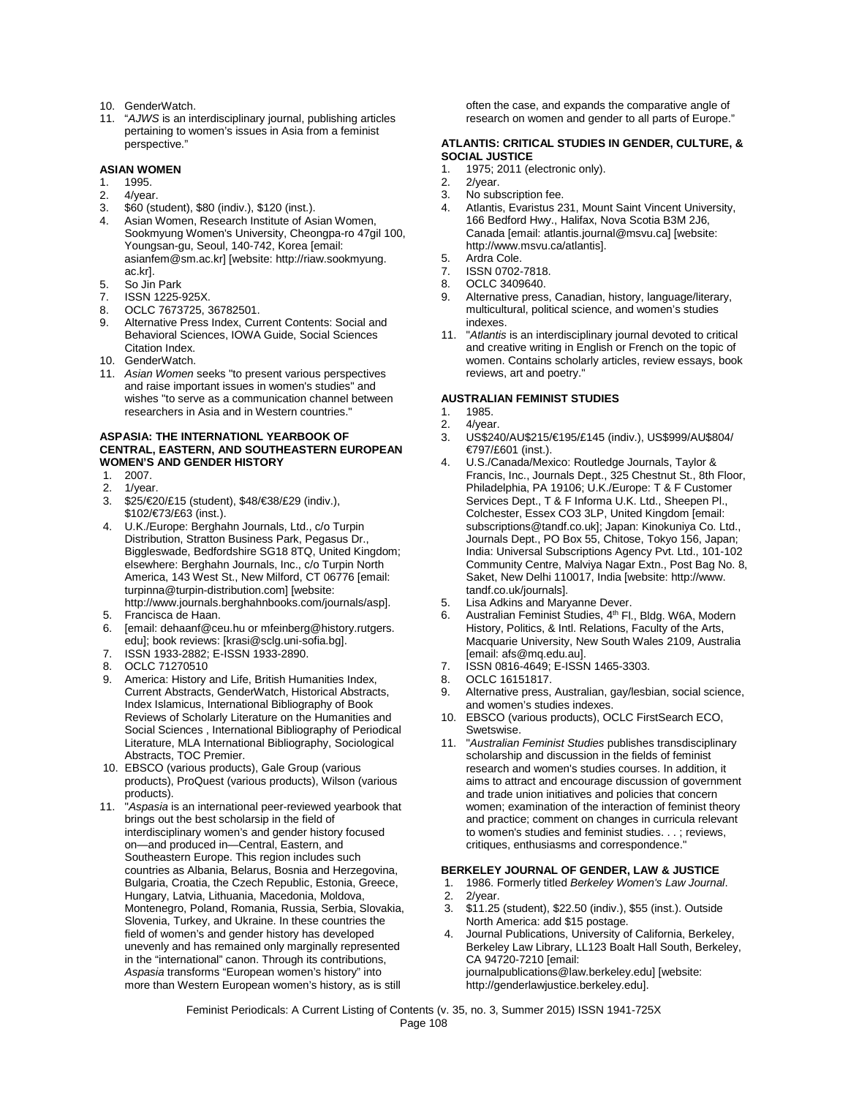- 10. GenderWatch.
- 11. "*AJWS* is an interdisciplinary journal, publishing articles pertaining to women's issues in Asia from a feminist perspective."

#### **ASIAN WOMEN**

- 1. 1995.
- 2. 4/year.
- 3. \$60 (student), \$80 (indiv.), \$120 (inst.).
- Asian Women, Research Institute of Asian Women, Sookmyung Women's University, Cheongpa-ro 47gil 100, Youngsan-gu, Seoul, 140-742, Korea [email: asianfem@sm.ac.kr] [website: http://riaw.sookmyung. ac.kr].
- 5. So Jin Park
- ISSN 1225-925X.
- 8. OCLC 7673725, 36782501.<br>9. Alternative Press Index. Cur.
- Alternative Press Index, Current Contents: Social and Behavioral Sciences, IOWA Guide, Social Sciences Citation Index.
- 10. GenderWatch.
- 11. *Asian Women* seeks "to present various perspectives and raise important issues in women's studies" and wishes "to serve as a communication channel between researchers in Asia and in Western countries."

#### **ASPASIA: THE INTERNATIONL YEARBOOK OF CENTRAL, EASTERN, AND SOUTHEASTERN EUROPEAN WOMEN'S AND GENDER HISTORY**

- 1. 2007.
- 2. 1/year.
- 3. \$25/€20/£15 (student), \$48/€38/£29 (indiv.), \$102/€73/£63 (inst.).
- 4. U.K./Europe: Berghahn Journals, Ltd., c/o Turpin Distribution, Stratton Business Park, Pegasus Dr., Biggleswade, Bedfordshire SG18 8TQ, United Kingdom; elsewhere: Berghahn Journals, Inc., c/o Turpin North America, 143 West St., New Milford, CT 06776 [email: turpinna@turpin-distribution.com] [website: http://www.journals.berghahnbooks.com/journals/asp].
- 5. Francisca de Haan.
- 6. [email: dehaanf@ceu.hu or mfeinberg@history.rutgers. edu]; book reviews: [krasi@sclg.uni-sofia.bg].
- 7. ISSN 1933-2882; E-ISSN 1933-2890.
- 8. OCLC 71270510
- 9. America: History and Life, British Humanities Index, Current Abstracts, GenderWatch, Historical Abstracts, Index Islamicus, International Bibliography of Book Reviews of Scholarly Literature on the Humanities and Social Sciences , International Bibliography of Periodical Literature, MLA International Bibliography, Sociological Abstracts, TOC Premier.
- 10. EBSCO (various products), Gale Group (various products), ProQuest (various products), Wilson (various products).
- 11. "*Aspasia* is an international peer-reviewed yearbook that brings out the best scholarsip in the field of interdisciplinary women's and gender history focused on—and produced in—Central, Eastern, and Southeastern Europe. This region includes such countries as Albania, Belarus, Bosnia and Herzegovina, Bulgaria, Croatia, the Czech Republic, Estonia, Greece, Hungary, Latvia, Lithuania, Macedonia, Moldova, Montenegro, Poland, Romania, Russia, Serbia, Slovakia, Slovenia, Turkey, and Ukraine. In these countries the field of women's and gender history has developed unevenly and has remained only marginally represented in the "international" canon. Through its contributions, *Aspasia* transforms "European women's history" into more than Western European women's history, as is still

often the case, and expands the comparative angle of research on women and gender to all parts of Europe."

#### **ATLANTIS: CRITICAL STUDIES IN GENDER, CULTURE, & SOCIAL JUSTICE**

- 1. 1975; 2011 (electronic only).<br>2. 2/year.
- 
- 2. 2/year.<br>3. No sub No subscription fee.
- 4. Atlantis, Evaristus 231, Mount Saint Vincent University, 166 Bedford Hwy., Halifax, Nova Scotia B3M 2J6, Canada [email: atlantis.journal@msvu.ca] [website: http://www.msvu.ca/atlantis].
- 5. Ardra Cole.<br>7. ISSN 0702-
- ISSN 0702-7818.
- 8. OCLC 3409640.
- 9. Alternative press, Canadian, history, language/literary, multicultural, political science, and women's studies indexes.
- 11. "*Atlantis* is an interdisciplinary journal devoted to critical and creative writing in English or French on the topic of women. Contains scholarly articles, review essays, book reviews, art and poetry."

#### **AUSTRALIAN FEMINIST STUDIES**

- 1. 1985.<br>2 4/year
- $4$ /year.
- 3. US\$240/AU\$215/€195/£145 (indiv.), US\$999/AU\$804/ €797/£601 (inst.).
- 4. U.S./Canada/Mexico: Routledge Journals, Taylor & Francis, Inc., Journals Dept., 325 Chestnut St., 8th Floor, Philadelphia, PA 19106; U.K./Europe: T & F Customer Services Dept., T & F Informa U.K. Ltd., Sheepen Pl., Colchester, Essex CO3 3LP, United Kingdom [email: subscriptions@tandf.co.uk]; Japan: Kinokuniya Co. Ltd., Journals Dept., PO Box 55, Chitose, Tokyo 156, Japan; India: Universal Subscriptions Agency Pvt. Ltd., 101-102 Community Centre, Malviya Nagar Extn., Post Bag No. 8, Saket, New Delhi 110017, India [website: http://www. tandf.co.uk/journals].
- 5. Lisa Adkins and Maryanne Dever.<br>6. Australian Feminist Studies,  $4<sup>th</sup>$  Fl
- Australian Feminist Studies, 4<sup>th</sup> Fl., Bldg. W6A, Modern History, Politics, & Intl. Relations, Faculty of the Arts, Macquarie University, New South Wales 2109, Australia [email: afs@mq.edu.au].
- 7. ISSN 0816-4649; E-ISSN 1465-3303.
- 8. OCLC 16151817.
- 9. Alternative press, Australian, gay/lesbian, social science, and women's studies indexes.
- 10. EBSCO (various products), OCLC FirstSearch ECO, Swetswise.
- 11. "*Australian Feminist Studies* publishes transdisciplinary scholarship and discussion in the fields of feminist research and women's studies courses. In addition, it aims to attract and encourage discussion of government and trade union initiatives and policies that concern women; examination of the interaction of feminist theory and practice; comment on changes in curricula relevant to women's studies and feminist studies. . . ; reviews, critiques, enthusiasms and correspondence."

#### **BERKELEY JOURNAL OF GENDER, LAW & JUSTICE**

- 1. 1986. Formerly titled *Berkeley Women's Law Journal*.
- 2. 2/year.
- 3. \$11.25 (student), \$22.50 (indiv.), \$55 (inst.). Outside North America: add \$15 postage.
- 4. Journal Publications, University of California, Berkeley, Berkeley Law Library, LL123 Boalt Hall South, Berkeley, CA 94720-7210 [email: journalpublications@law.berkeley.edu] [website: http://genderlawjustice.berkeley.edu].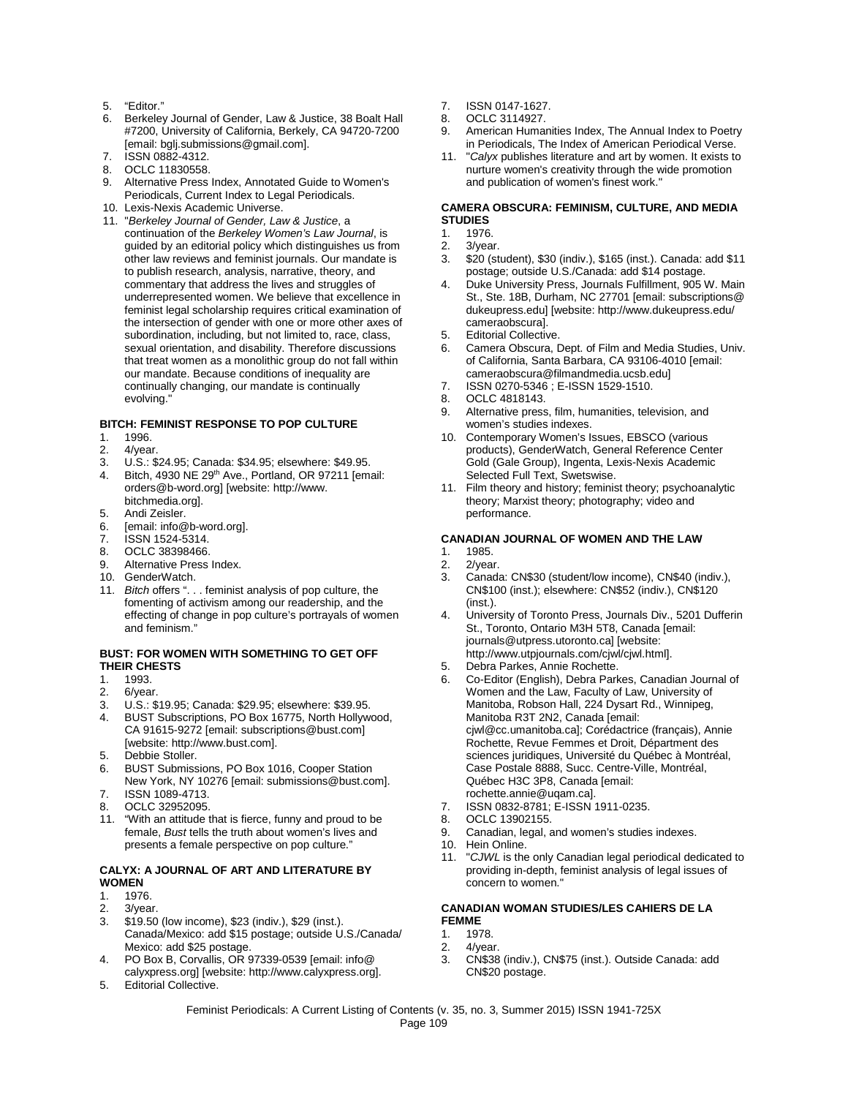- 5. "Editor."
- 6. Berkeley Journal of Gender, Law & Justice, 38 Boalt Hall #7200, University of California, Berkely, CA 94720-7200 [email: bglj.submissions@gmail.com].
- 7. ISSN 0882-4312.
- 8. OCLC 11830558.
- 9. Alternative Press Index, Annotated Guide to Women's Periodicals, Current Index to Legal Periodicals.
- 10. Lexis-Nexis Academic Universe.
- 11. "*Berkeley Journal of Gender, Law & Justice*, a continuation of the *Berkeley Women's Law Journal*, is guided by an editorial policy which distinguishes us from other law reviews and feminist journals. Our mandate is to publish research, analysis, narrative, theory, and commentary that address the lives and struggles of underrepresented women. We believe that excellence in feminist legal scholarship requires critical examination of the intersection of gender with one or more other axes of subordination, including, but not limited to, race, class, sexual orientation, and disability. Therefore discussions that treat women as a monolithic group do not fall within our mandate. Because conditions of inequality are continually changing, our mandate is continually evolving.

#### **BITCH: FEMINIST RESPONSE TO POP CULTURE**

- 1. 1996.<br>2. 4/year
- 4/year.
- 3. U.S.: \$24.95; Canada: \$34.95; elsewhere: \$49.95.
- 4. Bitch, 4930 NE 29<sup>th</sup> Ave., Portland, OR 97211 [email: orders@b-word.org] [website: http://www. bitchmedia.org].
- 5. Andi Zeisler.
- 6. [email: info@b-word.org].
- 7. ISSN 1524-5314.
- 8. OCLC 38398466.
- 9. Alternative Press Index.
- 10. GenderWatch.
- 11. *Bitch* offers ". . . feminist analysis of pop culture, the fomenting of activism among our readership, and the effecting of change in pop culture's portrayals of women and feminism."

## **BUST: FOR WOMEN WITH SOMETHING TO GET OFF THEIR CHESTS**<br>1. 1993.

- 
- 1. 1993.<br>2. 6/yea 6/year.
- 3. U.S.: \$19.95; Canada: \$29.95; elsewhere: \$39.95.
- 4. BUST Subscriptions, PO Box 16775, North Hollywood, CA 91615-9272 [email: subscriptions@bust.com] [website: http://www.bust.com].
- 5. Debbie Stoller.<br>6. BUST Submiss
- 6. BUST Submissions, PO Box 1016, Cooper Station New York, NY 10276 [email: submissions@bust.com]. 7. ISSN 1089-4713.
- 8. OCLC 32952095.
- 11. "With an attitude that is fierce, funny and proud to be female, *Bust* tells the truth about women's lives and presents a female perspective on pop culture."

#### **CALYX: A JOURNAL OF ART AND LITERATURE BY WOMEN**

- 1. 1976.
- 2. 3/year.<br>3. \$19.50
- 3. \$19.50 (low income), \$23 (indiv.), \$29 (inst.). Canada/Mexico: add \$15 postage; outside U.S./Canada/ Mexico: add \$25 postage.
- 4. PO Box B, Corvallis, OR 97339-0539 [email: info@ calyxpress.org] [website: http://www.calyxpress.org].
- 5. Editorial Collective.
- 7. ISSN 0147-1627.
- 8. OCLC 3114927.
- 9. American Humanities Index, The Annual Index to Poetry in Periodicals, The Index of American Periodical Verse.
- 11. "*Calyx* publishes literature and art by women. It exists to nurture women's creativity through the wide promotion and publication of women's finest work."

#### **CAMERA OBSCURA: FEMINISM, CULTURE, AND MEDIA STUDIES**

- 1. 1976.<br>2. 3/year
- 2. 3/year.<br>3. \$20 (str
- 3. \$20 (student), \$30 (indiv.), \$165 (inst.). Canada: add \$11 postage; outside U.S./Canada: add \$14 postage.
- 4. Duke University Press, Journals Fulfillment, 905 W. Main St., Ste. 18B, Durham, NC 27701 [email: subscriptions@ dukeupress.edu] [website: http://www.dukeupress.edu/ cameraobscura].
- 5. Editorial Collective.
- 6. Camera Obscura, Dept. of Film and Media Studies, Univ. of California, Santa Barbara, CA 93106-4010 [email: cameraobscura@filmandmedia.ucsb.edu]
- 7. ISSN 0270-5346 ; E-ISSN 1529-1510.
- 8. OCLC 4818143.
- 9. Alternative press, film, humanities, television, and women's studies indexes.
- 10. Contemporary Women's Issues, EBSCO (various products), GenderWatch, General Reference Center Gold (Gale Group), Ingenta, Lexis-Nexis Academic Selected Full Text, Swetswise.
- 11. Film theory and history; feminist theory; psychoanalytic theory; Marxist theory; photography; video and performance.

#### **CANADIAN JOURNAL OF WOMEN AND THE LAW**

- 1. 1985.<br>2 2/year
- 2. 2/year.<br>3 Canada
- Canada: CN\$30 (student/low income), CN\$40 (indiv.), CN\$100 (inst.); elsewhere: CN\$52 (indiv.), CN\$120 (inst.).
- 4. University of Toronto Press, Journals Div., 5201 Dufferin St., Toronto, Ontario M3H 5T8, Canada [email: journals@utpress.utoronto.ca] [website: http://www.utpjournals.com/cjwl/cjwl.html].
- 5. Debra Parkes, Annie Rochette.
- 6. Co-Editor (English), Debra Parkes, Canadian Journal of Women and the Law, Faculty of Law, University of Manitoba, Robson Hall, 224 Dysart Rd., Winnipeg, Manitoba R3T 2N2, Canada [email: cjwl@cc.umanitoba.ca]; Corédactrice (français), Annie Rochette, Revue Femmes et Droit, Départment des sciences juridiques, Université du Québec à Montréal, Case Postale 8888, Succ. Centre-Ville, Montréal, Québec H3C 3P8, Canada [email: rochette.annie@uqam.ca].
- 7. ISSN 0832-8781; E-ISSN 1911-0235.
- 8. OCLC 13902155.
- 9. Canadian, legal, and women's studies indexes.
- 10. Hein Online.
- 11. "*CJWL* is the only Canadian legal periodical dedicated to providing in-depth, feminist analysis of legal issues of concern to women."

#### **CANADIAN WOMAN STUDIES/LES CAHIERS DE LA FEMME**<br>1. 197 1. 1978.

- 
- 2. 4/year.<br>3 CN\$38 3. CN\$38 (indiv.), CN\$75 (inst.). Outside Canada: add CN\$20 postage.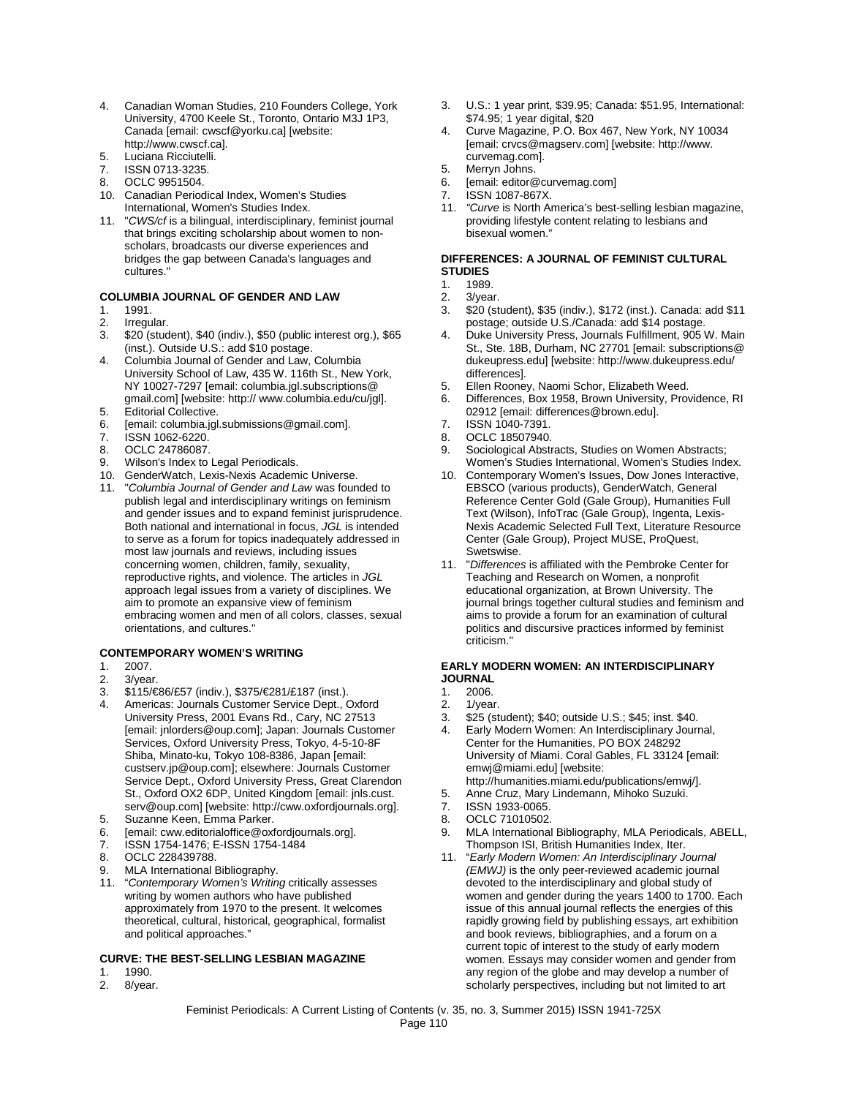- 4. Canadian Woman Studies, 210 Founders College, York University, 4700 Keele St., Toronto, Ontario M3J 1P3, Canada [email: cwscf@yorku.ca] [website: http://www.cwscf.ca].
- 5. Luciana Ricciutelli.
- 7. ISSN 0713-3235.
- 8. OCLC 9951504.
- 10. Canadian Periodical Index, Women's Studies International, Women's Studies Index.
- 11. "*CWS/cf* is a bilingual, interdisciplinary, feminist journal that brings exciting scholarship about women to nonscholars, broadcasts our diverse experiences and bridges the gap between Canada's languages and cultures."

#### **COLUMBIA JOURNAL OF GENDER AND LAW**

- 1. 1991.<br>2. **Irregu**
- Irregular.
- 3. \$20 (student), \$40 (indiv.), \$50 (public interest org.), \$65 (inst.). Outside U.S.: add \$10 postage.
- 4. Columbia Journal of Gender and Law, Columbia University School of Law, 435 W. 116th St., New York, NY 10027-7297 [email: columbia.jgl.subscriptions@ gmail.com] [website: http:// www.columbia.edu/cu/jgl].
- 5. Editorial Collective.<br>6. Femail: columbia inf
- [email: columbia.jgl.submissions@gmail.com].
- 7. **ISSN 1062-6220.**<br>8. OCLC 24786087.
- OCLC 24786087.
- 9. Wilson's Index to Legal Periodicals.
- 10. GenderWatch, Lexis-Nexis Academic Universe.
- 11. "*Columbia Journal of Gender and Law* was founded to publish legal and interdisciplinary writings on feminism and gender issues and to expand feminist jurisprudence. Both national and international in focus, *JGL* is intended to serve as a forum for topics inadequately addressed in most law journals and reviews, including issues concerning women, children, family, sexuality, reproductive rights, and violence. The articles in *JGL* approach legal issues from a variety of disciplines. We aim to promote an expansive view of feminism embracing women and men of all colors, classes, sexual orientations, and cultures."

#### **CONTEMPORARY WOMEN'S WRITING**

- 1. 2007.
- 2.  $3$ /year.
- 3. \$115/€86/£57 (indiv.), \$375/€281/£187 (inst.).
- 4. Americas: Journals Customer Service Dept., Oxford University Press, 2001 Evans Rd., Cary, NC 27513 [email: jnlorders@oup.com]; Japan: Journals Customer Services, Oxford University Press, Tokyo, 4-5-10-8F Shiba, Minato-ku, Tokyo 108-8386, Japan [email: custserv.jp@oup.com]; elsewhere: Journals Customer Service Dept., Oxford University Press, Great Clarendon St., Oxford OX2 6DP, United Kingdom [email: jnls.cust. serv@oup.com] [website: http://cww.oxfordjournals.org].
- 5. Suzanne Keen, Emma Parker.
- 6. [email: cww.editorialoffice@oxfordjournals.org].
- ISSN 1754-1476; E-ISSN 1754-1484
- 8. OCLC 228439788.
- 9. MLA International Bibliography.
- 11. "*Contemporary Women's Writing* critically assesses writing by women authors who have published approximately from 1970 to the present. It welcomes theoretical, cultural, historical, geographical, formalist and political approaches."

#### **CURVE: THE BEST-SELLING LESBIAN MAGAZINE**

- 1. 1990.<br>2. 8/year
- 8/year.
- 3. U.S.: 1 year print, \$39.95; Canada: \$51.95, International: \$74.95; 1 year digital, \$20
- 4. Curve Magazine, P.O. Box 467, New York, NY 10034 [email: crvcs@magserv.com] [website: http://www. curvemag.com].
- 5. Merryn Johns.
- 6. [email: editor@curvemag.com]
- 7. ISSN 1087-867X.
- 11. *"Curve* is North America's best-selling lesbian magazine, providing lifestyle content relating to lesbians and bisexual women."

#### **DIFFERENCES: A JOURNAL OF FEMINIST CULTURAL STUDIES**

- 1. 1989.<br>2. 3/yea
- 2. 3/year.<br>3. \$20 (st)
- 3. \$20 (student), \$35 (indiv.), \$172 (inst.). Canada: add \$11 postage; outside U.S./Canada: add \$14 postage.
- 4. Duke University Press, Journals Fulfillment, 905 W. Main St., Ste. 18B, Durham, NC 27701 [email: subscriptions@ dukeupress.edu] [website: http://www.dukeupress.edu/ differences].
- 5. Ellen Rooney, Naomi Schor, Elizabeth Weed.
- 6. Differences, Box 1958, Brown University, Providence, RI 02912 [email: differences@brown.edu].
- 7. ISSN 1040-7391.
- 
- 8. **OCLC 18507940.**<br>9. Sociological Abstr Sociological Abstracts, Studies on Women Abstracts; Women's Studies International, Women's Studies Index.
- 10. Contemporary Women's Issues, Dow Jones Interactive, EBSCO (various products), GenderWatch, General Reference Center Gold (Gale Group), Humanities Full Text (Wilson), InfoTrac (Gale Group), Ingenta, Lexis-Nexis Academic Selected Full Text, Literature Resource Center (Gale Group), Project MUSE, ProQuest, Swetswise.
- 11. "*Differences* is affiliated with the Pembroke Center for Teaching and Research on Women, a nonprofit educational organization, at Brown University. The journal brings together cultural studies and feminism and aims to provide a forum for an examination of cultural politics and discursive practices informed by feminist criticism."

## **EARLY MODERN WOMEN: AN INTERDISCIPLINARY JOURNAL**<br>1. 2006

- 1. 2006.
- 
- 2. 1/year.<br>3. \$25 (st \$25 (student); \$40; outside U.S.; \$45; inst. \$40.
- 4. Early Modern Women: An Interdisciplinary Journal, Center for the Humanities, PO BOX 248292 University of Miami. Coral Gables, FL 33124 [email: emwj@miami.edu] [website:
- http://humanities.miami.edu/publications/emwj/].
- 5. Anne Cruz, Mary Lindemann, Mihoko Suzuki. 7. ISSN 1933-0065.
- 
- 8. OCLC 71010502.
- 9. MLA International Bibliography, MLA Periodicals, ABELL, Thompson ISI, British Humanities Index, Iter.
- 11. "*Early Modern Women: An Interdisciplinary Journal (EMWJ)* is the only peer-reviewed academic journal devoted to the interdisciplinary and global study of women and gender during the years 1400 to 1700. Each issue of this annual journal reflects the energies of this rapidly growing field by publishing essays, art exhibition and book reviews, bibliographies, and a forum on a current topic of interest to the study of early modern women. Essays may consider women and gender from any region of the globe and may develop a number of scholarly perspectives, including but not limited to art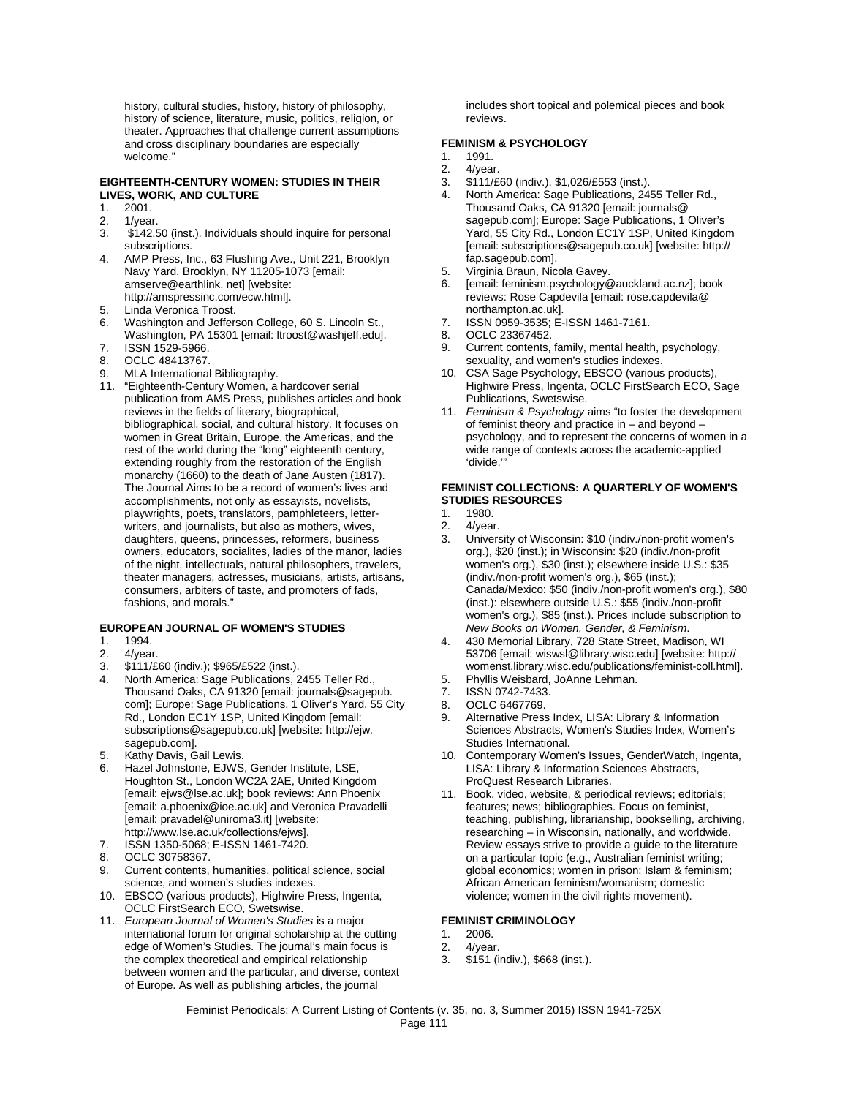history, cultural studies, history, history of philosophy, history of science, literature, music, politics, religion, or theater. Approaches that challenge current assumptions and cross disciplinary boundaries are especially welcome."

#### **EIGHTEENTH-CENTURY WOMEN: STUDIES IN THEIR LIVES, WORK, AND CULTURE**

- 1. 2001.<br>2. 1/year
- 1/year.
- 3. \$142.50 (inst.). Individuals should inquire for personal subscriptions.
- 4. AMP Press, Inc., 63 Flushing Ave., Unit 221, Brooklyn Navy Yard, Brooklyn, NY 11205-1073 [email: amserve@earthlink. net] [website: http://amspressinc.com/ecw.html].
- 5. Linda Veronica Troost.<br>6. Washington and Jeffers
- Washington and Jefferson College, 60 S. Lincoln St., Washington, PA 15301 [email: ltroost@washjeff.edu].
- 7. ISSN 1529-5966.
- 8. OCLC 48413767.<br>9. MLA International
- MLA International Bibliography.
- 11. "Eighteenth-Century Women, a hardcover serial publication from AMS Press, publishes articles and book reviews in the fields of literary, biographical, bibliographical, social, and cultural history. It focuses on women in Great Britain, Europe, the Americas, and the rest of the world during the "long" eighteenth century, extending roughly from the restoration of the English monarchy (1660) to the death of Jane Austen (1817). The Journal Aims to be a record of women's lives and accomplishments, not only as essayists, novelists, playwrights, poets, translators, pamphleteers, letterwriters, and journalists, but also as mothers, wives, daughters, queens, princesses, reformers, business owners, educators, socialites, ladies of the manor, ladies of the night, intellectuals, natural philosophers, travelers, theater managers, actresses, musicians, artists, artisans, consumers, arbiters of taste, and promoters of fads, fashions, and morals."

#### **EUROPEAN JOURNAL OF WOMEN'S STUDIES**

- 1. 1994.<br>2. 4/year
- 2. 4/year.<br>3 \$111/f
- 3. \$111/£60 (indiv.); \$965/£522 (inst.).
- North America: Sage Publications, 2455 Teller Rd., Thousand Oaks, CA 91320 [email: journals@sagepub. com]; Europe: Sage Publications, 1 Oliver's Yard, 55 City Rd., London EC1Y 1SP, United Kingdom [email: subscriptions@sagepub.co.uk] [website: http://ejw. sagepub.com].
- 5. Kathy Davis, Gail Lewis.
- Hazel Johnstone, EJWS, Gender Institute, LSE, Houghton St., London WC2A 2AE, United Kingdom [email: ejws@lse.ac.uk]; book reviews: Ann Phoenix [email: a.phoenix@ioe.ac.uk] and Veronica Pravadelli [email: pravadel@uniroma3.it] [website: http://www.lse.ac.uk/collections/ejws].
- 7. ISSN 1350-5068; E-ISSN 1461-7420.
- 8. OCLC 30758367.
- 9. Current contents, humanities, political science, social science, and women's studies indexes.
- 10. EBSCO (various products), Highwire Press, Ingenta, OCLC FirstSearch ECO, Swetswise.
- 11. *European Journal of Women's Studies* is a major international forum for original scholarship at the cutting edge of Women's Studies. The journal's main focus is the complex theoretical and empirical relationship between women and the particular, and diverse, context of Europe. As well as publishing articles, the journal

includes short topical and polemical pieces and book reviews.

#### **FEMINISM & PSYCHOLOGY**

- 1. 1991.
- 2. 4/year.<br>3. \$111/£
- 3. \$111/£60 (indiv.), \$1,026/£553 (inst.).
- 4. North America: Sage Publications, 2455 Teller Rd., Thousand Oaks, CA 91320 [email: journals@ sagepub.com]; Europe: Sage Publications, 1 Oliver's Yard, 55 City Rd., London EC1Y 1SP, United Kingdom [email: subscriptions@sagepub.co.uk] [website: http:// fap.sagepub.com].
- 5. Virginia Braun, Nicola Gavey.
- 6. [email: feminism.psychology@auckland.ac.nz]; book reviews: Rose Capdevila [email: rose.capdevila@ northampton.ac.uk].
- 7. ISSN 0959-3535; E-ISSN 1461-7161.
- 8. OCLC 23367452.
- 9. Current contents, family, mental health, psychology, sexuality, and women's studies indexes.
- 10. CSA Sage Psychology, EBSCO (various products), Highwire Press, Ingenta, OCLC FirstSearch ECO, Sage Publications, Swetswise.
- 11. *Feminism & Psychology* aims "to foster the development of feminist theory and practice in – and beyond – psychology, and to represent the concerns of women in a wide range of contexts across the academic-applied 'divide.'"

#### **FEMINIST COLLECTIONS: A QUARTERLY OF WOMEN'S STUDIES RESOURCES**

- 1. 1980.
- 2. 4/year.<br>3 Univers
- University of Wisconsin: \$10 (indiv./non-profit women's org.), \$20 (inst.); in Wisconsin: \$20 (indiv./non-profit women's org.), \$30 (inst.); elsewhere inside U.S.: \$35 (indiv./non-profit women's org.), \$65 (inst.); Canada/Mexico: \$50 (indiv./non-profit women's org.), \$80 (inst.): elsewhere outside U.S.: \$55 (indiv./non-profit women's org.), \$85 (inst.). Prices include subscription to *New Books on Women, Gender, & Feminism*.
- 4. 430 Memorial Library, 728 State Street, Madison, WI 53706 [email: wiswsl@library.wisc.edu] [website: http:// womenst.library.wisc.edu/publications/feminist-coll.html].
- 5. Phyllis Weisbard, JoAnne Lehman.<br>7. ISSN 0742-7433.
- ISSN 0742-7433.
- 8. OCLC 6467769.
- 9. Alternative Press Index, LISA: Library & Information Sciences Abstracts, Women's Studies Index, Women's Studies International.
- 10. Contemporary Women's Issues, GenderWatch, Ingenta, LISA: Library & Information Sciences Abstracts, ProQuest Research Libraries.
- 11. Book, video, website, & periodical reviews; editorials; features; news; bibliographies. Focus on feminist, teaching, publishing, librarianship, bookselling, archiving, researching – in Wisconsin, nationally, and worldwide. Review essays strive to provide a guide to the literature on a particular topic (e.g., Australian feminist writing; global economics; women in prison; Islam & feminism; African American feminism/womanism; domestic violence; women in the civil rights movement).

#### **FEMINIST CRIMINOLOGY**

- 1. 2006.
- 2. 4/year.<br>3 \$151 (i)
- 3. \$151 (indiv.), \$668 (inst.).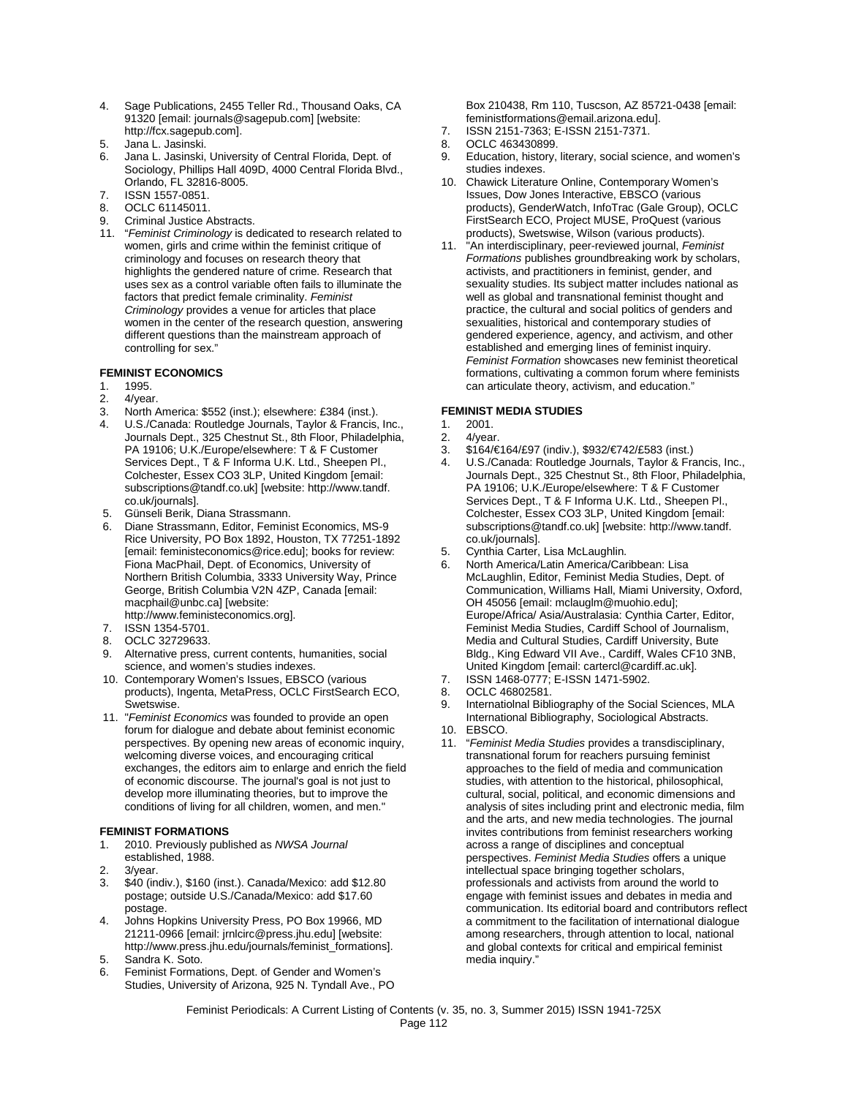- 4. Sage Publications, 2455 Teller Rd., Thousand Oaks, CA 91320 [email: journals@sagepub.com] [website: http://fcx.sagepub.com].
- 5. Jana L. Jasinski.
- Jana L. Jasinski, University of Central Florida, Dept. of Sociology, Phillips Hall 409D, 4000 Central Florida Blvd., Orlando, FL 32816-8005.
- 7. ISSN 1557-0851.
- 8. OCLC 61145011.
- 9. Criminal Justice Abstracts.
- 11. "*Feminist Criminology* is dedicated to research related to women, girls and crime within the feminist critique of criminology and focuses on research theory that highlights the gendered nature of crime. Research that uses sex as a control variable often fails to illuminate the factors that predict female criminality. *Feminist Criminology* provides a venue for articles that place women in the center of the research question, answering different questions than the mainstream approach of controlling for sex."

#### **FEMINIST ECONOMICS**

- 1. 1995.<br>2. 4/yea
- 4/vear.
- 
- 3. North America: \$552 (inst.); elsewhere: £384 (inst.). 4. U.S./Canada: Routledge Journals, Taylor & Francis, Inc., Journals Dept., 325 Chestnut St., 8th Floor, Philadelphia, PA 19106; U.K./Europe/elsewhere: T & F Customer Services Dept., T & F Informa U.K. Ltd., Sheepen Pl., Colchester, Essex CO3 3LP, United Kingdom [email: subscriptions@tandf.co.uk] [website: http://www.tandf. co.uk/journals].
- 5. Günseli Berik, Diana Strassmann.
- 6. Diane Strassmann, Editor, Feminist Economics, MS-9 Rice University, PO Box 1892, Houston, TX 77251-1892 [email: feministeconomics@rice.edu]; books for review: Fiona MacPhail, Dept. of Economics, University of Northern British Columbia, 3333 University Way, Prince George, British Columbia V2N 4ZP, Canada [email: macphail@unbc.ca] [website: http://www.feministeconomics.org].
- 7. ISSN 1354-5701.
- 8. OCLC 32729633.
- 9. Alternative press, current contents, humanities, social science, and women's studies indexes.
- 10. Contemporary Women's Issues, EBSCO (various products), Ingenta, MetaPress, OCLC FirstSearch ECO, Swetswise.
- 11. "*Feminist Economics* was founded to provide an open forum for dialogue and debate about feminist economic perspectives. By opening new areas of economic inquiry, welcoming diverse voices, and encouraging critical exchanges, the editors aim to enlarge and enrich the field of economic discourse. The journal's goal is not just to develop more illuminating theories, but to improve the conditions of living for all children, women, and men."

#### **FEMINIST FORMATIONS**

- 1. 2010. Previously published as *NWSA Journal* established, 1988.
- 2. 3/year.
- 3. \$40 (indiv.), \$160 (inst.). Canada/Mexico: add \$12.80 postage; outside U.S./Canada/Mexico: add \$17.60 postage.
- 4. Johns Hopkins University Press, PO Box 19966, MD 21211-0966 [email: jrnlcirc@press.jhu.edu] [website: http://www.press.jhu.edu/journals/feminist\_formations].
- 5. Sandra K. Soto.
- 6. Feminist Formations, Dept. of Gender and Women's Studies, University of Arizona, 925 N. Tyndall Ave., PO

Box 210438, Rm 110, Tuscson, AZ 85721-0438 [email: feministformations@email.arizona.edu].

- 7. ISSN 2151-7363; E-ISSN 2151-7371.
- 8. OCLC 463430899.
- 9. Education, history, literary, social science, and women's
- studies indexes. 10. Chawick Literature Online, Contemporary Women's Issues, Dow Jones Interactive, EBSCO (various products), GenderWatch, InfoTrac (Gale Group), OCLC FirstSearch ECO, Project MUSE, ProQuest (various products), Swetswise, Wilson (various products).
- 11. "An interdisciplinary, peer-reviewed journal, *Feminist Formations* publishes groundbreaking work by scholars, activists, and practitioners in feminist, gender, and sexuality studies. Its subject matter includes national as well as global and transnational feminist thought and practice, the cultural and social politics of genders and sexualities, historical and contemporary studies of gendered experience, agency, and activism, and other established and emerging lines of feminist inquiry. *Feminist Formation* showcases new feminist theoretical formations, cultivating a common forum where feminists can articulate theory, activism, and education."

# **FEMINIST MEDIA STUDIES**

- 1. 2001.
- 2. 4/year.
- 3. \$164/€164/£97 (indiv.), \$932/€742/£583 (inst.)
- 4. U.S./Canada: Routledge Journals, Taylor & Francis, Inc., Journals Dept., 325 Chestnut St., 8th Floor, Philadelphia, PA 19106; U.K./Europe/elsewhere: T & F Customer Services Dept., T & F Informa U.K. Ltd., Sheepen Pl., Colchester, Essex CO3 3LP, United Kingdom [email: subscriptions@tandf.co.uk] [website: http://www.tandf. co.uk/journals].
- 5. Cynthia Carter, Lisa McLaughlin.
- 6. North America/Latin America/Caribbean: Lisa McLaughlin, Editor, Feminist Media Studies, Dept. of Communication, Williams Hall, Miami University, Oxford, OH 45056 [email: mclauglm@muohio.edu]; Europe/Africa/ Asia/Australasia: Cynthia Carter, Editor, Feminist Media Studies, Cardiff School of Journalism, Media and Cultural Studies, Cardiff University, Bute Bldg., King Edward VII Ave., Cardiff, Wales CF10 3NB, United Kingdom [email: cartercl@cardiff.ac.uk].
- 7. ISSN 1468-0777; E-ISSN 1471-5902.
- 8. OCLC 46802581.
- 9. Internatiolnal Bibliography of the Social Sciences, MLA International Bibliography, Sociological Abstracts.
- 10. EBSCO.
- 11. "*Feminist Media Studies* provides a transdisciplinary, transnational forum for reachers pursuing feminist approaches to the field of media and communication studies, with attention to the historical, philosophical, cultural, social, political, and economic dimensions and analysis of sites including print and electronic media, film and the arts, and new media technologies. The journal invites contributions from feminist researchers working across a range of disciplines and conceptual perspectives. *Feminist Media Studies* offers a unique intellectual space bringing together scholars, professionals and activists from around the world to engage with feminist issues and debates in media and communication. Its editorial board and contributors reflect a commitment to the facilitation of international dialogue among researchers, through attention to local, national and global contexts for critical and empirical feminist media inquiry."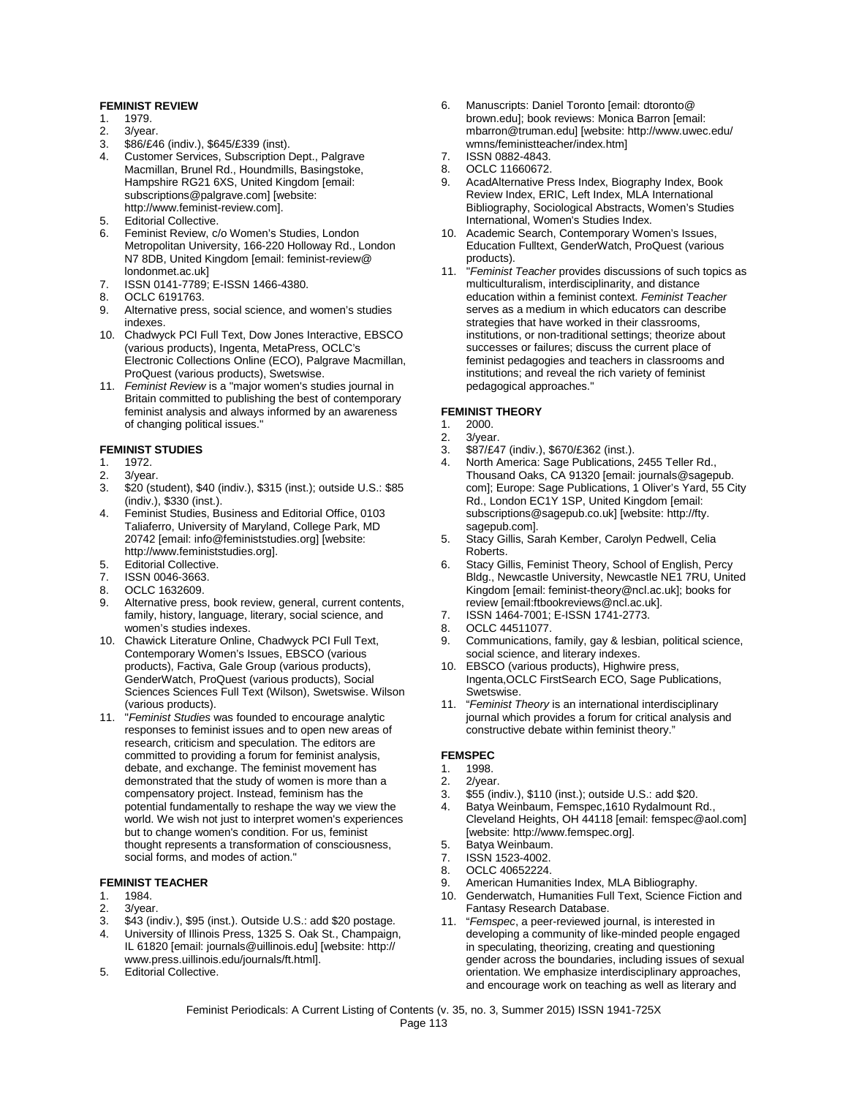#### **FEMINIST REVIEW**

- 1. 1979.<br>2. 3/yea
- 3/year.
- 3. \$86/£46 (indiv.), \$645/£339 (inst).<br>4. Customer Services, Subscription I
- 4. Customer Services, Subscription Dept., Palgrave Macmillan, Brunel Rd., Houndmills, Basingstoke, Hampshire RG21 6XS, United Kingdom [email: subscriptions@palgrave.com] [website: http://www.feminist-review.com].
- 5. Editorial Collective.
- 6. Feminist Review, c/o Women's Studies, London Metropolitan University, 166-220 Holloway Rd., London N7 8DB, United Kingdom [email: feminist-review@ londonmet.ac.uk]
- 7. ISSN 0141-7789; E-ISSN 1466-4380.
- 8. OCLC 6191763.<br>9. Alternative press
- Alternative press, social science, and women's studies indexes.
- 10. Chadwyck PCI Full Text, Dow Jones Interactive, EBSCO (various products), Ingenta, MetaPress, OCLC's Electronic Collections Online (ECO), Palgrave Macmillan, ProQuest (various products), Swetswise.
- 11. *Feminist Review* is a "major women's studies journal in Britain committed to publishing the best of contemporary feminist analysis and always informed by an awareness of changing political issues."

#### **FEMINIST STUDIES**

- 1. 1972.<br>2. 3/yea
- 3/year.
- 3. \$20 (student), \$40 (indiv.), \$315 (inst.); outside U.S.: \$85 (indiv.), \$330 (inst.).
- 4. Feminist Studies, Business and Editorial Office, 0103 Taliaferro, University of Maryland, College Park, MD 20742 [email: info@feministstudies.org] [website: http://www.feministstudies.org].
- 5. Editorial Collective.<br>7. ISSN 0046-3663
- ISSN 0046-3663.
- 8. OCLC 1632609.
- 9. Alternative press, book review, general, current contents, family, history, language, literary, social science, and women's studies indexes.
- 10. Chawick Literature Online, Chadwyck PCI Full Text, Contemporary Women's Issues, EBSCO (various products), Factiva, Gale Group (various products), GenderWatch, ProQuest (various products), Social Sciences Sciences Full Text (Wilson), Swetswise. Wilson (various products).
- 11. "*Feminist Studies* was founded to encourage analytic responses to feminist issues and to open new areas of research, criticism and speculation. The editors are committed to providing a forum for feminist analysis, debate, and exchange. The feminist movement has demonstrated that the study of women is more than a compensatory project. Instead, feminism has the potential fundamentally to reshape the way we view the world. We wish not just to interpret women's experiences but to change women's condition. For us, feminist thought represents a transformation of consciousness, social forms, and modes of action."

#### **FEMINIST TEACHER**

- 1. 1984.
- 2. 3/year.
- 3. \$43 (indiv.), \$95 (inst.). Outside U.S.: add \$20 postage.
- 4. University of Illinois Press, 1325 S. Oak St., Champaign, IL 61820 [email: journals@uillinois.edu] [website: http:// www.press.uillinois.edu/journals/ft.html].
- 5. Editorial Collective.
- 6. Manuscripts: Daniel Toronto [email: dtoronto@ brown.edu]; book reviews: Monica Barron [email: mbarron@truman.edu] [website: http://www.uwec.edu/ wmns/feministteacher/index.htm]
- 7. ISSN 0882-4843.
- 8. OCLC 11660672.<br>9. AcadAlternative P
- AcadAlternative Press Index, Biography Index, Book Review Index, ERIC, Left Index, MLA International Bibliography, Sociological Abstracts, Women's Studies International, Women's Studies Index.
- 10. Academic Search, Contemporary Women's Issues, Education Fulltext, GenderWatch, ProQuest (various products).
- 11. "*Feminist Teacher* provides discussions of such topics as multiculturalism, interdisciplinarity, and distance education within a feminist context. *Feminist Teacher* serves as a medium in which educators can describe strategies that have worked in their classrooms, institutions, or non-traditional settings; theorize about successes or failures; discuss the current place of feminist pedagogies and teachers in classrooms and institutions; and reveal the rich variety of feminist pedagogical approaches."

#### **FEMINIST THEORY**

- 1. 2000.
- 2. 3/year.<br>3. \$87/f4
- 3.  $$87/£47$  (indiv.),  $$670/£362$  (inst.).<br>4. North America: Sage Publications
- North America: Sage Publications, 2455 Teller Rd., Thousand Oaks, CA 91320 [email: journals@sagepub. com]; Europe: Sage Publications, 1 Oliver's Yard, 55 City Rd., London EC1Y 1SP, United Kingdom [email: subscriptions@sagepub.co.uk] [website: http://fty. sagepub.com].
- 5. Stacy Gillis, Sarah Kember, Carolyn Pedwell, Celia Roberts.
- 6. Stacy Gillis, Feminist Theory, School of English, Percy Bldg., Newcastle University, Newcastle NE1 7RU, United Kingdom [email: feminist-theory@ncl.ac.uk]; books for review [email:ftbookreviews@ncl.ac.uk].
- 7. ISSN 1464-7001; E-ISSN 1741-2773.
- 8. OCLC 44511077.
- 9. Communications, family, gay & lesbian, political science, social science, and literary indexes.
- 10. EBSCO (various products), Highwire press, Ingenta,OCLC FirstSearch ECO, Sage Publications, Swetswise.
- 11. "*Feminist Theory* is an international interdisciplinary journal which provides a forum for critical analysis and constructive debate within feminist theory."

## **FEMSPEC**<br>1 1998

- 1. 1998.
- 2. 2/year.
- 3. \$55 (indiv.), \$110 (inst.); outside U.S.: add \$20.
- 4. Batya Weinbaum, Femspec,1610 Rydalmount Rd., Cleveland Heights, OH 44118 [email: femspec@aol.com] [website: http://www.femspec.org].
- 5. Batya Weinbaum.
- 7. ISSN 1523-4002.
- 8. OCLC 40652224.
- 9. American Humanities Index, MLA Bibliography.<br>10. Genderwatch. Humanities Full Text. Science Fir
- Genderwatch, Humanities Full Text, Science Fiction and Fantasy Research Database.
- 11. "*Femspec*, a peer-reviewed journal, is interested in developing a community of like-minded people engaged in speculating, theorizing, creating and questioning gender across the boundaries, including issues of sexual orientation. We emphasize interdisciplinary approaches, and encourage work on teaching as well as literary and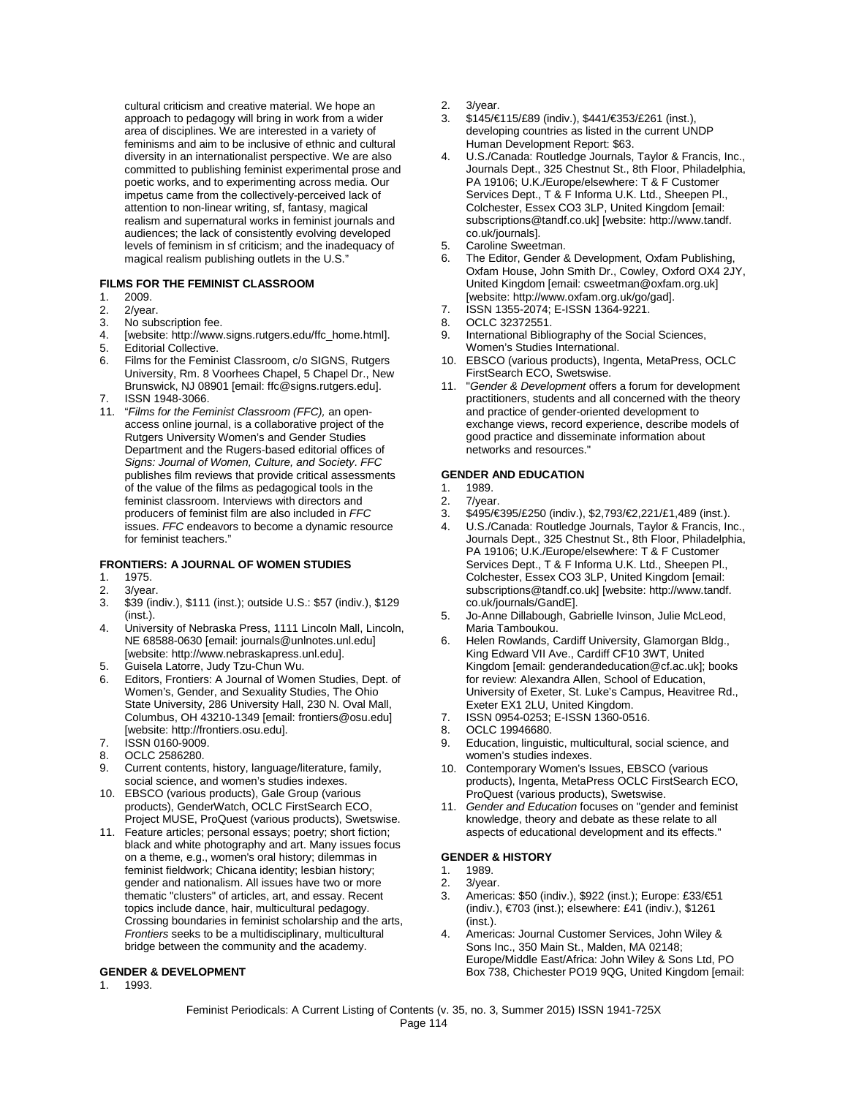cultural criticism and creative material. We hope an approach to pedagogy will bring in work from a wider area of disciplines. We are interested in a variety of feminisms and aim to be inclusive of ethnic and cultural diversity in an internationalist perspective. We are also committed to publishing feminist experimental prose and poetic works, and to experimenting across media. Our impetus came from the collectively-perceived lack of attention to non-linear writing, sf, fantasy, magical realism and supernatural works in feminist journals and audiences; the lack of consistently evolving developed levels of feminism in sf criticism; and the inadequacy of magical realism publishing outlets in the U.S."

#### **FILMS FOR THE FEMINIST CLASSROOM**

- 1. 2009.<br>2. 2/year
- 2. 2/year.<br>3. No sub
- No subscription fee.
- 4. [website: http://www.signs.rutgers.edu/ffc\_home.html].<br>5. Editorial Collective
- Editorial Collective.
- 6. Films for the Feminist Classroom, c/o SIGNS, Rutgers University, Rm. 8 Voorhees Chapel, 5 Chapel Dr., New Brunswick, NJ 08901 [email: ffc@signs.rutgers.edu]. 7. ISSN 1948-3066.
- 
- 11. "*Films for the Feminist Classroom (FFC),* an openaccess online journal, is a collaborative project of the Rutgers University Women's and Gender Studies Department and the Rugers-based editorial offices of *Signs: Journal of Women, Culture, and Society*. *FFC* publishes film reviews that provide critical assessments of the value of the films as pedagogical tools in the feminist classroom. Interviews with directors and producers of feminist film are also included in *FFC* issues. *FFC* endeavors to become a dynamic resource for feminist teachers."

#### **FRONTIERS: A JOURNAL OF WOMEN STUDIES**

- 1. 1975.<br>2. 3/yea
- 
- 2. 3/year.<br>3. \$39 (in 3. \$39 (indiv.), \$111 (inst.); outside U.S.: \$57 (indiv.), \$129 (inst.).
- 4. University of Nebraska Press, 1111 Lincoln Mall, Lincoln, NE 68588-0630 [email: journals@unlnotes.unl.edu] [website: http://www.nebraskapress.unl.edu].
- 5. Guisela Latorre, Judy Tzu-Chun Wu.
- 6. Editors, Frontiers: A Journal of Women Studies, Dept. of Women's, Gender, and Sexuality Studies, The Ohio State University, 286 University Hall, 230 N. Oval Mall, Columbus, OH 43210-1349 [email: frontiers@osu.edu] [website: http://frontiers.osu.edu].
- 7. ISSN 0160-9009.
- 8. OCLC 2586280.
- 9. Current contents, history, language/literature, family, social science, and women's studies indexes.
- 10. EBSCO (various products), Gale Group (various products), GenderWatch, OCLC FirstSearch ECO, Project MUSE, ProQuest (various products), Swetswise.
- 11. Feature articles; personal essays; poetry; short fiction; black and white photography and art. Many issues focus on a theme, e.g., women's oral history; dilemmas in feminist fieldwork; Chicana identity; lesbian history; gender and nationalism. All issues have two or more thematic "clusters" of articles, art, and essay. Recent topics include dance, hair, multicultural pedagogy. Crossing boundaries in feminist scholarship and the arts, *Frontiers* seeks to be a multidisciplinary, multicultural bridge between the community and the academy.

#### **GENDER & DEVELOPMENT**

1. 1993.

- 2. 3/year.
- 3. \$145/€115/£89 (indiv.), \$441/€353/£261 (inst.), developing countries as listed in the current UNDP Human Development Report: \$63.
- 4. U.S./Canada: Routledge Journals, Taylor & Francis, Inc., Journals Dept., 325 Chestnut St., 8th Floor, Philadelphia, PA 19106; U.K./Europe/elsewhere: T & F Customer Services Dept., T & F Informa U.K. Ltd., Sheepen Pl., Colchester, Essex CO3 3LP, United Kingdom [email: subscriptions@tandf.co.uk] [website: http://www.tandf. co.uk/journals].
- 5. Caroline Sweetman.
- 6. The Editor, Gender & Development, Oxfam Publishing, Oxfam House, John Smith Dr., Cowley, Oxford OX4 2JY, United Kingdom [email: csweetman@oxfam.org.uk] [website: http://www.oxfam.org.uk/go/gad].
- 7. ISSN 1355-2074; E-ISSN 1364-9221.
- OCLC 32372551.
- 9. International Bibliography of the Social Sciences, Women's Studies International.
- 10. EBSCO (various products), Ingenta, MetaPress, OCLC FirstSearch ECO, Swetswise.
- 11. "*Gender & Development* offers a forum for development practitioners, students and all concerned with the theory and practice of gender-oriented development to exchange views, record experience, describe models of good practice and disseminate information about networks and resources."

#### **GENDER AND EDUCATION**

- 1. 1989.<br>2. 7/year
- 7/year.
- 3. \$495/€395/£250 (indiv.), \$2,793/€2,221/£1,489 (inst.).
- 4. U.S./Canada: Routledge Journals, Taylor & Francis, Inc., Journals Dept., 325 Chestnut St., 8th Floor, Philadelphia, PA 19106; U.K./Europe/elsewhere: T & F Customer Services Dept., T & F Informa U.K. Ltd., Sheepen Pl., Colchester, Essex CO3 3LP, United Kingdom [email: subscriptions@tandf.co.uk] [website: http://www.tandf. co.uk/journals/GandE].
- 5. Jo-Anne Dillabough, Gabrielle Ivinson, Julie McLeod, Maria Tamboukou.
- 6. Helen Rowlands, Cardiff University, Glamorgan Bldg., King Edward VII Ave., Cardiff CF10 3WT, United Kingdom [email: genderandeducation@cf.ac.uk]; books for review: Alexandra Allen, School of Education, University of Exeter, St. Luke's Campus, Heavitree Rd., Exeter EX1 2LU, United Kingdom.
- 7. ISSN 0954-0253; E-ISSN 1360-0516.
- 8. OCLC 19946680.
- 9. Education, linguistic, multicultural, social science, and women's studies indexes.
- 10. Contemporary Women's Issues, EBSCO (various products), Ingenta, MetaPress OCLC FirstSearch ECO, ProQuest (various products), Swetswise.
- 11. *Gender and Education* focuses on "gender and feminist knowledge, theory and debate as these relate to all aspects of educational development and its effects."

#### **GENDER & HISTORY**

- 1. 1989.
- 2. 3/year.
- 3. Americas: \$50 (indiv.), \$922 (inst.); Europe: £33/€51 (indiv.), €703 (inst.); elsewhere: £41 (indiv.), \$1261 (inst.).
- 4. Americas: Journal Customer Services, John Wiley & Sons Inc., 350 Main St., Malden, MA 02148; Europe/Middle East/Africa: John Wiley & Sons Ltd, PO Box 738, Chichester PO19 9QG, United Kingdom [email: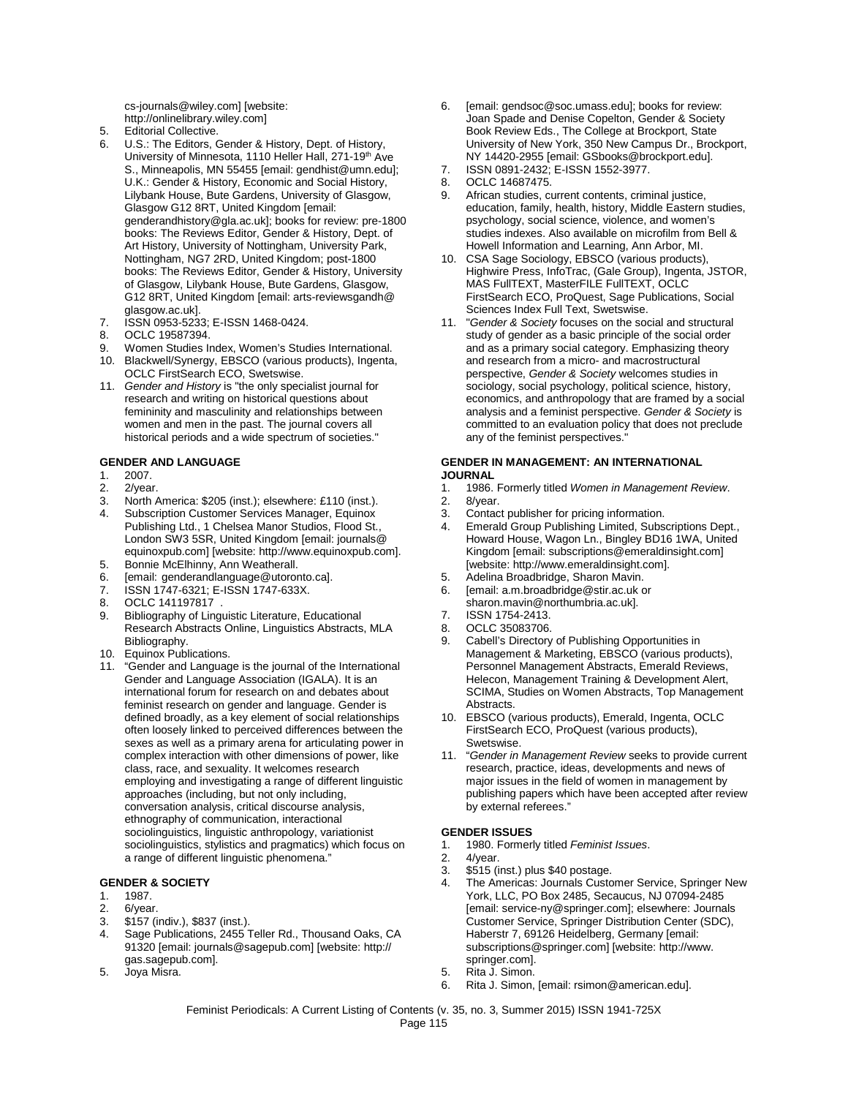cs-journals@wiley.com] [website: http://onlinelibrary.wiley.com]

- 5. Editorial Collective.
- 6. U.S.: The Editors, Gender & History, Dept. of History, University of Minnesota, 1110 Heller Hall, 271-19<sup>th</sup> Ave S., Minneapolis, MN 55455 [email: gendhist@umn.edu]; U.K.: Gender & History, Economic and Social History, Lilybank House, Bute Gardens, University of Glasgow, Glasgow G12 8RT, United Kingdom [email: genderandhistory@gla.ac.uk]; books for review: pre-1800 books: The Reviews Editor, Gender & History, Dept. of Art History, University of Nottingham, University Park, Nottingham, NG7 2RD, United Kingdom; post-1800 books: The Reviews Editor, Gender & History, University of Glasgow, Lilybank House, Bute Gardens, Glasgow, G12 8RT, United Kingdom [email: arts-reviewsgandh@ glasgow.ac.uk].
- 7. ISSN 0953-5233; E-ISSN 1468-0424.
- 8. OCLC 19587394.
- 9. Women Studies Index, Women's Studies International.
- 10. Blackwell/Synergy, EBSCO (various products), Ingenta, OCLC FirstSearch ECO, Swetswise.
- 11. *Gender and History* is "the only specialist journal for research and writing on historical questions about femininity and masculinity and relationships between women and men in the past. The journal covers all historical periods and a wide spectrum of societies."

#### **GENDER AND LANGUAGE**

- 1. 2007.
- 
- 2. 2/year.<br>3. North A North America: \$205 (inst.); elsewhere: £110 (inst.).
- 4. Subscription Customer Services Manager, Equinox Publishing Ltd., 1 Chelsea Manor Studios, Flood St., London SW3 5SR, United Kingdom [email: journals@ equinoxpub.com] [website: http://www.equinoxpub.com].
- 5. Bonnie McElhinny, Ann Weatherall.<br>6. Iemail: genderandlanguage@utoron
- [email: genderandlanguage@utoronto.ca].
- 7. ISSN 1747-6321; E-ISSN 1747-633X.
- 8. OCLC 141197817. Bibliography of Linguistic Literature, Educational
- Research Abstracts Online, Linguistics Abstracts, MLA Bibliography.
- 10. Equinox Publications.
- 11. "Gender and Language is the journal of the International Gender and Language Association (IGALA). It is an international forum for research on and debates about feminist research on gender and language. Gender is defined broadly, as a key element of social relationships often loosely linked to perceived differences between the sexes as well as a primary arena for articulating power in complex interaction with other dimensions of power, like class, race, and sexuality. It welcomes research employing and investigating a range of different linguistic approaches (including, but not only including, conversation analysis, critical discourse analysis, ethnography of communication, interactional sociolinguistics, linguistic anthropology, variationist sociolinguistics, stylistics and pragmatics) which focus on a range of different linguistic phenomena."

#### **GENDER & SOCIETY**

- 1. 1987.
- 2. 6/year.<br>3. \$157 (i)
- 3. \$157 (indiv.), \$837 (inst.).
- 4. Sage Publications, 2455 Teller Rd., Thousand Oaks, CA 91320 [email: journals@sagepub.com] [website: http:// gas.sagepub.com].
- 5. Joya Misra.
- 6. [email: gendsoc@soc.umass.edu]; books for review: Joan Spade and Denise Copelton, Gender & Society Book Review Eds., The College at Brockport, State University of New York, 350 New Campus Dr., Brockport, NY 14420-2955 [email: GSbooks@brockport.edu].
- 7. ISSN 0891-2432; E-ISSN 1552-3977.
- 8. OCLC 14687475.
- 9. African studies, current contents, criminal justice, education, family, health, history, Middle Eastern studies, psychology, social science, violence, and women's studies indexes. Also available on microfilm from Bell & Howell Information and Learning, Ann Arbor, MI.
- 10. CSA Sage Sociology, EBSCO (various products), Highwire Press, InfoTrac, (Gale Group), Ingenta, JSTOR, MAS FullTEXT, MasterFILE FullTEXT, OCLC FirstSearch ECO, ProQuest, Sage Publications, Social Sciences Index Full Text, Swetswise.
- 11. "*Gender & Society* focuses on the social and structural study of gender as a basic principle of the social order and as a primary social category. Emphasizing theory and research from a micro- and macrostructural perspective, *Gender & Society* welcomes studies in sociology, social psychology, political science, history, economics, and anthropology that are framed by a social analysis and a feminist perspective. *Gender & Society* is committed to an evaluation policy that does not preclude any of the feminist perspectives."

#### **GENDER IN MANAGEMENT: AN INTERNATIONAL JOURNAL**

- 1. 1986. Formerly titled *Women in Management Review*.
- 8/year.
- 3. Contact publisher for pricing information.
- 4. Emerald Group Publishing Limited, Subscriptions Dept., Howard House, Wagon Ln., Bingley BD16 1WA, United Kingdom [email: subscriptions@emeraldinsight.com] [website: http://www.emeraldinsight.com].
- 5. Adelina Broadbridge, Sharon Mavin.
- 6. [email: a.m.broadbridge@stir.ac.uk or
- sharon.mavin@northumbria.ac.uk]. 7. ISSN 1754-2413.
- 
- 8. OCLC 35083706.
- 9. Cabell's Directory of Publishing Opportunities in Management & Marketing, EBSCO (various products), Personnel Management Abstracts, Emerald Reviews, Helecon, Management Training & Development Alert, SCIMA, Studies on Women Abstracts, Top Management Abstracts.
- 10. EBSCO (various products), Emerald, Ingenta, OCLC FirstSearch ECO, ProQuest (various products), Swetswise.
- 11. "*Gender in Management Review* seeks to provide current research, practice, ideas, developments and news of major issues in the field of women in management by publishing papers which have been accepted after review by external referees."

### **GENDER ISSUES**

- 1. 1980. Formerly titled *Feminist Issues*.
- 2. 4/year.
- 3. \$515 (inst.) plus \$40 postage.
- 4. The Americas: Journals Customer Service, Springer New York, LLC, PO Box 2485, Secaucus, NJ 07094-2485 [email: service-ny@springer.com]; elsewhere: Journals Customer Service, Springer Distribution Center (SDC), Haberstr 7, 69126 Heidelberg, Germany [email: subscriptions@springer.com] [website: http://www. springer.com].
- 5. Rita J. Simon.
- 6. Rita J. Simon, [email: rsimon@american.edu].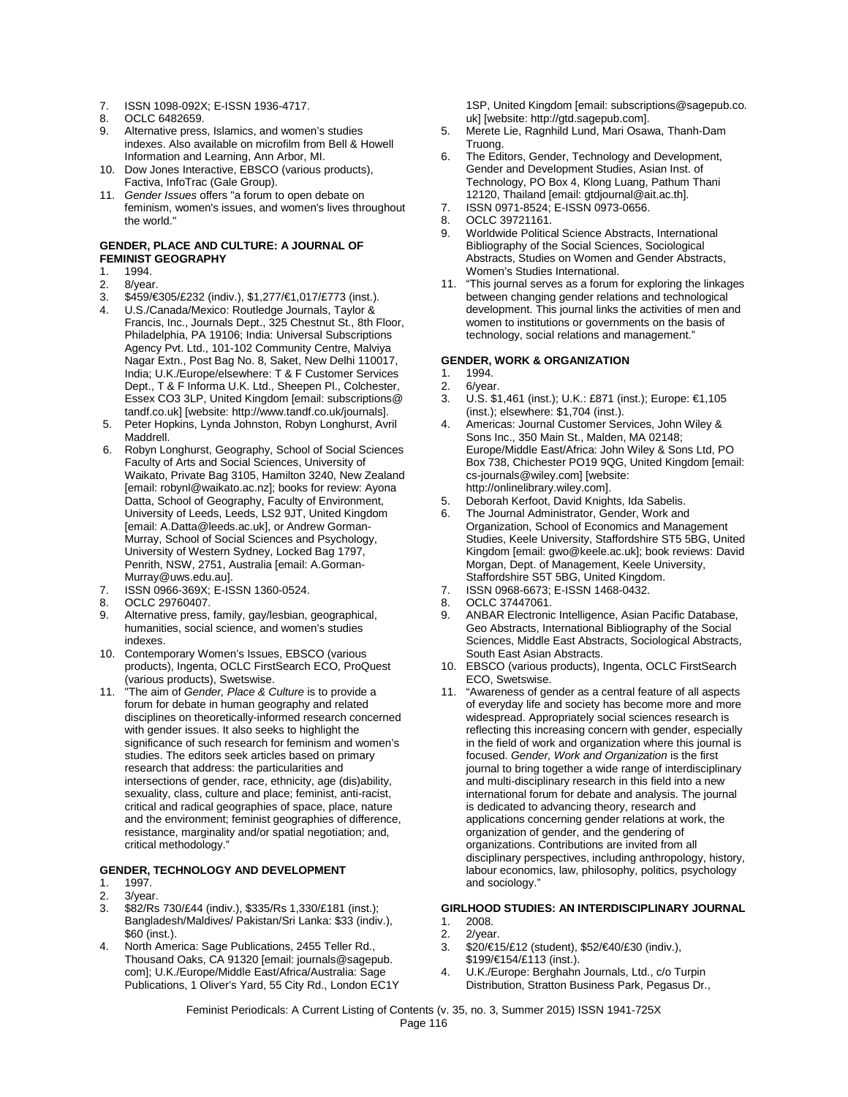- 7. ISSN 1098-092X; E-ISSN 1936-4717.
- 8. OCLC 6482659.
- 9. Alternative press, Islamics, and women's studies indexes. Also available on microfilm from Bell & Howell Information and Learning, Ann Arbor, MI.
- 10. Dow Jones Interactive, EBSCO (various products), Factiva, InfoTrac (Gale Group).
- 11. *Gender Issues* offers "a forum to open debate on feminism, women's issues, and women's lives throughout the world."

## **GENDER, PLACE AND CULTURE: A JOURNAL OF FEMINIST GEOGRAPHY**

- 1. 1994.<br>2 8/year
- 2. 8/year.<br>3. \$459/€
- 3. \$459/€305/£232 (indiv.), \$1,277/€1,017/£773 (inst.).
- 4. U.S./Canada/Mexico: Routledge Journals, Taylor & Francis, Inc., Journals Dept., 325 Chestnut St., 8th Floor, Philadelphia, PA 19106; India: Universal Subscriptions Agency Pvt. Ltd., 101-102 Community Centre, Malviya Nagar Extn., Post Bag No. 8, Saket, New Delhi 110017, India; U.K./Europe/elsewhere: T & F Customer Services Dept., T & F Informa U.K. Ltd., Sheepen Pl., Colchester, Essex CO3 3LP, United Kingdom [email: subscriptions@ tandf.co.uk] [website: http://www.tandf.co.uk/journals].
- 5. Peter Hopkins, Lynda Johnston, Robyn Longhurst, Avril Maddrell.
- 6. Robyn Longhurst, Geography, School of Social Sciences Faculty of Arts and Social Sciences, University of Waikato, Private Bag 3105, Hamilton 3240, New Zealand [email: robynl@waikato.ac.nz]; books for review: Ayona Datta, School of Geography, Faculty of Environment, University of Leeds, Leeds, LS2 9JT, United Kingdom [email: A.Datta@leeds.ac.uk], or Andrew Gorman-Murray, School of Social Sciences and Psychology, University of Western Sydney, Locked Bag 1797, Penrith, NSW, 2751, Australia [email: A.Gorman-Murray@uws.edu.au].
- 7. ISSN 0966-369X; E-ISSN 1360-0524.
- 8. OCLC 29760407.<br>9. Alternative press.
- Alternative press, family, gay/lesbian, geographical, humanities, social science, and women's studies indexes.
- 10. Contemporary Women's Issues, EBSCO (various products), Ingenta, OCLC FirstSearch ECO, ProQuest (various products), Swetswise.
- 11. "The aim of *Gender, Place & Culture* is to provide a forum for debate in human geography and related disciplines on theoretically-informed research concerned with gender issues. It also seeks to highlight the significance of such research for feminism and women's studies. The editors seek articles based on primary research that address: the particularities and intersections of gender, race, ethnicity, age (dis)ability, sexuality, class, culture and place; feminist, anti-racist, critical and radical geographies of space, place, nature and the environment; feminist geographies of difference, resistance, marginality and/or spatial negotiation; and, critical methodology."

#### **GENDER, TECHNOLOGY AND DEVELOPMENT**

- 1. 1997.
- 2. 3/year.<br>3 \$82/Rs
- 3. \$82/Rs 730/£44 (indiv.), \$335/Rs 1,330/£181 (inst.); Bangladesh/Maldives/ Pakistan/Sri Lanka: \$33 (indiv.), \$60 (inst.).
- 4. North America: Sage Publications, 2455 Teller Rd., Thousand Oaks, CA 91320 [email: journals@sagepub. com]; U.K./Europe/Middle East/Africa/Australia: Sage Publications, 1 Oliver's Yard, 55 City Rd., London EC1Y

1SP, United Kingdom [email: subscriptions@sagepub.co. uk] [website: http://gtd.sagepub.com].

- 5. Merete Lie, Ragnhild Lund, Mari Osawa, Thanh-Dam Truong.
- 6. The Editors, Gender, Technology and Development, Gender and Development Studies, Asian Inst. of Technology, PO Box 4, Klong Luang, Pathum Thani 12120, Thailand [email: gtdjournal@ait.ac.th].
- 7. ISSN 0971-8524; E-ISSN 0973-0656.
- 8. OCLC 39721161.
- 9. Worldwide Political Science Abstracts, International Bibliography of the Social Sciences, Sociological Abstracts, Studies on Women and Gender Abstracts, Women's Studies International.
- 11. "This journal serves as a forum for exploring the linkages between changing gender relations and technological development. This journal links the activities of men and women to institutions or governments on the basis of technology, social relations and management."

# **GENDER, WORK & ORGANIZATION**

- 1. 1994.<br>2. 6/yea
- 2. 6/year.<br>3. U.S. \$1
- U.S. \$1,461 (inst.); U.K.: £871 (inst.); Europe: €1,105 (inst.); elsewhere: \$1,704 (inst.).
- 4. Americas: Journal Customer Services, John Wiley & Sons Inc., 350 Main St., Malden, MA 02148; Europe/Middle East/Africa: John Wiley & Sons Ltd, PO Box 738, Chichester PO19 9QG, United Kingdom [email: cs-journals@wiley.com] [website: http://onlinelibrary.wiley.com].
- 5. Deborah Kerfoot, David Knights, Ida Sabelis.
- 6. The Journal Administrator, Gender, Work and Organization, School of Economics and Management Studies, Keele University, Staffordshire ST5 5BG, United Kingdom [email: gwo@keele.ac.uk]; book reviews: David Morgan, Dept. of Management, Keele University, Staffordshire S5T 5BG, United Kingdom.
- 7. ISSN 0968-6673; E-ISSN 1468-0432.
- 8. OCLC 37447061.<br>9. ANBAR Electronic
- 9. ANBAR Electronic Intelligence, Asian Pacific Database, Geo Abstracts, International Bibliography of the Social Sciences, Middle East Abstracts, Sociological Abstracts, South East Asian Abstracts.
- 10. EBSCO (various products), Ingenta, OCLC FirstSearch ECO, Swetswise.
- 11. "Awareness of gender as a central feature of all aspects of everyday life and society has become more and more widespread. Appropriately social sciences research is reflecting this increasing concern with gender, especially in the field of work and organization where this journal is focused. *Gender, Work and Organization* is the first journal to bring together a wide range of interdisciplinary and multi-disciplinary research in this field into a new international forum for debate and analysis. The journal is dedicated to advancing theory, research and applications concerning gender relations at work, the organization of gender, and the gendering of organizations. Contributions are invited from all disciplinary perspectives, including anthropology, history, labour economics, law, philosophy, politics, psychology and sociology."

#### **GIRLHOOD STUDIES: AN INTERDISCIPLINARY JOURNAL**

- 1. 2008.<br>2. 2/year
- 
- 2. 2/year.<br>3. \$20/€1 3. \$20/€15/£12 (student), \$52/€40/£30 (indiv.),
- \$199/€154/£113 (inst.).
- 4. U.K./Europe: Berghahn Journals, Ltd., c/o Turpin Distribution, Stratton Business Park, Pegasus Dr.,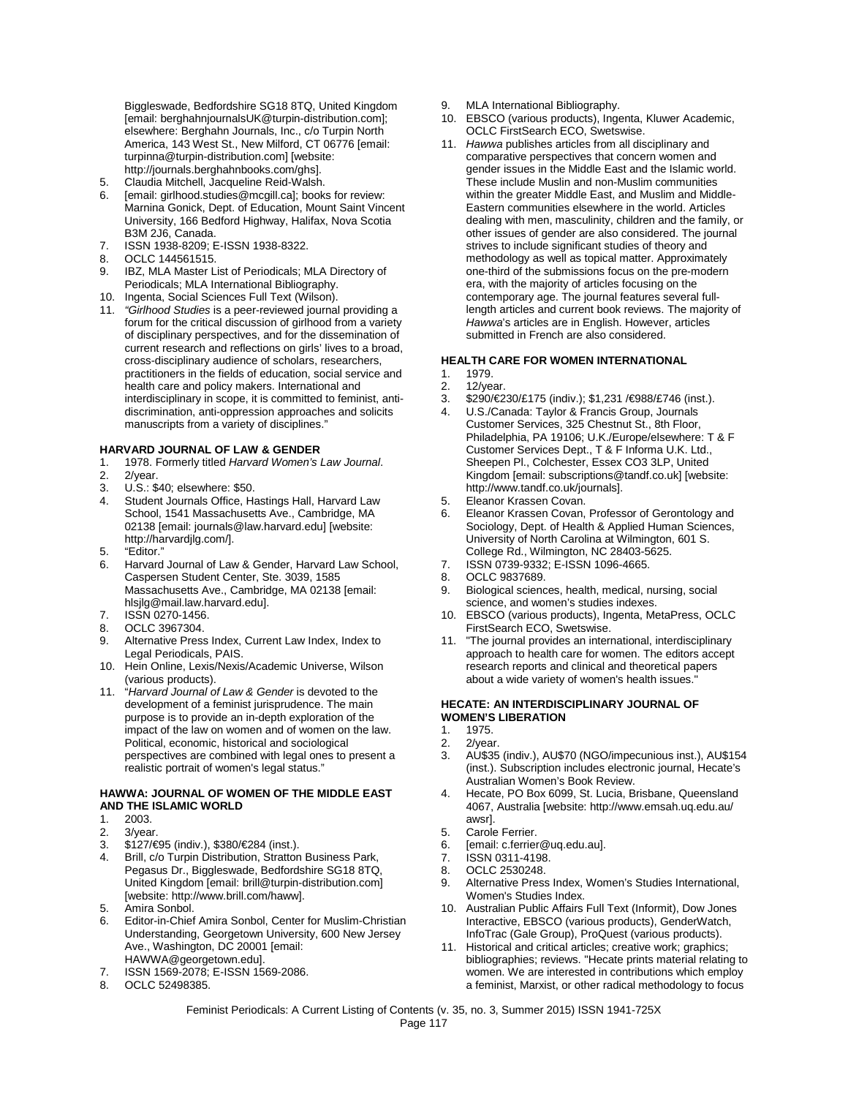Biggleswade, Bedfordshire SG18 8TQ, United Kingdom [email: berghahnjournalsUK@turpin-distribution.com]; elsewhere: Berghahn Journals, Inc., c/o Turpin North America, 143 West St., New Milford, CT 06776 [email: turpinna@turpin-distribution.com] [website: http://journals.berghahnbooks.com/ghs].

- 5. Claudia Mitchell, Jacqueline Reid-Walsh.
- 6. [email: girlhood.studies@mcgill.ca]; books for review: Marnina Gonick, Dept. of Education, Mount Saint Vincent University, 166 Bedford Highway, Halifax, Nova Scotia B3M 2J6, Canada.
- 7. ISSN 1938-8209; E-ISSN 1938-8322.
- 8. OCLC 144561515.<br>9. IBZ. MI A Master Li
- IBZ, MLA Master List of Periodicals; MLA Directory of Periodicals; MLA International Bibliography.
- 10. Ingenta, Social Sciences Full Text (Wilson).
- 11. *"Girlhood Studies* is a peer-reviewed journal providing a forum for the critical discussion of girlhood from a variety of disciplinary perspectives, and for the dissemination of current research and reflections on girls' lives to a broad, cross-disciplinary audience of scholars, researchers, practitioners in the fields of education, social service and health care and policy makers. International and interdisciplinary in scope, it is committed to feminist, antidiscrimination, anti-oppression approaches and solicits manuscripts from a variety of disciplines."

#### **HARVARD JOURNAL OF LAW & GENDER**

- 1. 1978. Formerly titled *Harvard Women's Law Journal*.
- 2/year.
- 3. U.S.: \$40; elsewhere: \$50.<br>4. Student Journals Office. H:
- Student Journals Office, Hastings Hall, Harvard Law School, 1541 Massachusetts Ave., Cambridge, MA 02138 [email: journals@law.harvard.edu] [website: http://harvardjlg.com/].
- 5. "Editor."
- 6. Harvard Journal of Law & Gender, Harvard Law School, Caspersen Student Center, Ste. 3039, 1585 Massachusetts Ave., Cambridge, MA 02138 [email: hlsjlg@mail.law.harvard.edu].
- 7. ISSN 0270-1456.
- 8. OCLC 3967304.
- 9. Alternative Press Index, Current Law Index, Index to Legal Periodicals, PAIS.
- 10. Hein Online, Lexis/Nexis/Academic Universe, Wilson (various products).
- 11. "*Harvard Journal of Law & Gender* is devoted to the development of a feminist jurisprudence. The main purpose is to provide an in-depth exploration of the impact of the law on women and of women on the law. Political, economic, historical and sociological perspectives are combined with legal ones to present a realistic portrait of women's legal status."

#### **HAWWA: JOURNAL OF WOMEN OF THE MIDDLE EAST AND THE ISLAMIC WORLD**

- 1. 2003.<br>2. 3/yea
- 2.  $3$ /year.<br>3.  $$127/\epsilon$
- 3. \$127/€95 (indiv.), \$380/€284 (inst.).
- 4. Brill, c/o Turpin Distribution, Stratton Business Park, Pegasus Dr., Biggleswade, Bedfordshire SG18 8TQ, United Kingdom [email: brill@turpin-distribution.com] [website: http://www.brill.com/haww].
- 5. Amira Sonbol.
- 6. Editor-in-Chief Amira Sonbol, Center for Muslim-Christian Understanding, Georgetown University, 600 New Jersey Ave., Washington, DC 20001 [email: HAWWA@georgetown.edu].
- 7. ISSN 1569-2078; E-ISSN 1569-2086.
- 8. OCLC 52498385.
- 9. MLA International Bibliography.
- 10. EBSCO (various products), Ingenta, Kluwer Academic, OCLC FirstSearch ECO, Swetswise.
- 11. *Hawwa* publishes articles from all disciplinary and comparative perspectives that concern women and gender issues in the Middle East and the Islamic world. These include Muslin and non-Muslim communities within the greater Middle East, and Muslim and Middle-Eastern communities elsewhere in the world. Articles dealing with men, masculinity, children and the family, or other issues of gender are also considered. The journal strives to include significant studies of theory and methodology as well as topical matter. Approximately one-third of the submissions focus on the pre-modern era, with the majority of articles focusing on the contemporary age. The journal features several fulllength articles and current book reviews. The majority of *Hawwa*'s articles are in English. However, articles submitted in French are also considered.

#### **HEALTH CARE FOR WOMEN INTERNATIONAL**

- 1. 1979.
- 2. 12/year.
- 3. \$290/€230/£175 (indiv.); \$1,231 /€988/£746 (inst.).
- 4. U.S./Canada: Taylor & Francis Group, Journals Customer Services, 325 Chestnut St., 8th Floor, Philadelphia, PA 19106; U.K./Europe/elsewhere: T & F Customer Services Dept., T & F Informa U.K. Ltd., Sheepen Pl., Colchester, Essex CO3 3LP, United Kingdom [email: subscriptions@tandf.co.uk] [website: http://www.tandf.co.uk/journals].
- 5. Eleanor Krassen Covan.
- 6. Eleanor Krassen Covan, Professor of Gerontology and Sociology, Dept. of Health & Applied Human Sciences, University of North Carolina at Wilmington, 601 S. College Rd., Wilmington, NC 28403-5625.
- 7. ISSN 0739-9332; E-ISSN 1096-4665.
- 8. OCLC 9837689.
- 9. Biological sciences, health, medical, nursing, social science, and women's studies indexes.
- 10. EBSCO (various products), Ingenta, MetaPress, OCLC FirstSearch ECO, Swetswise.
- 11. "The journal provides an international, interdisciplinary approach to health care for women. The editors accept research reports and clinical and theoretical papers about a wide variety of women's health issues."

## **HECATE: AN INTERDISCIPLINARY JOURNAL OF WOMEN'S LIBERATION**

- 1975.
- 2. 2/year.
- 3. AU\$35 (indiv.), AU\$70 (NGO/impecunious inst.), AU\$154 (inst.). Subscription includes electronic journal, Hecate's Australian Women's Book Review.
- 4. Hecate, PO Box 6099, St. Lucia, Brisbane, Queensland 4067, Australia [website: http://www.emsah.uq.edu.au/ awsr].
- 
- 5. Carole Ferrier.<br>6. [email: c.ferrier 6. [email: c.ferrier@uq.edu.au].
- 7. ISSN 0311-4198.
- 8. OCLC 2530248.
- 9. Alternative Press Index, Women's Studies International, Women's Studies Index.
- 10. Australian Public Affairs Full Text (Informit), Dow Jones Interactive, EBSCO (various products), GenderWatch, InfoTrac (Gale Group), ProQuest (various products).
- 11. Historical and critical articles; creative work; graphics; bibliographies; reviews. "Hecate prints material relating to women. We are interested in contributions which employ a feminist, Marxist, or other radical methodology to focus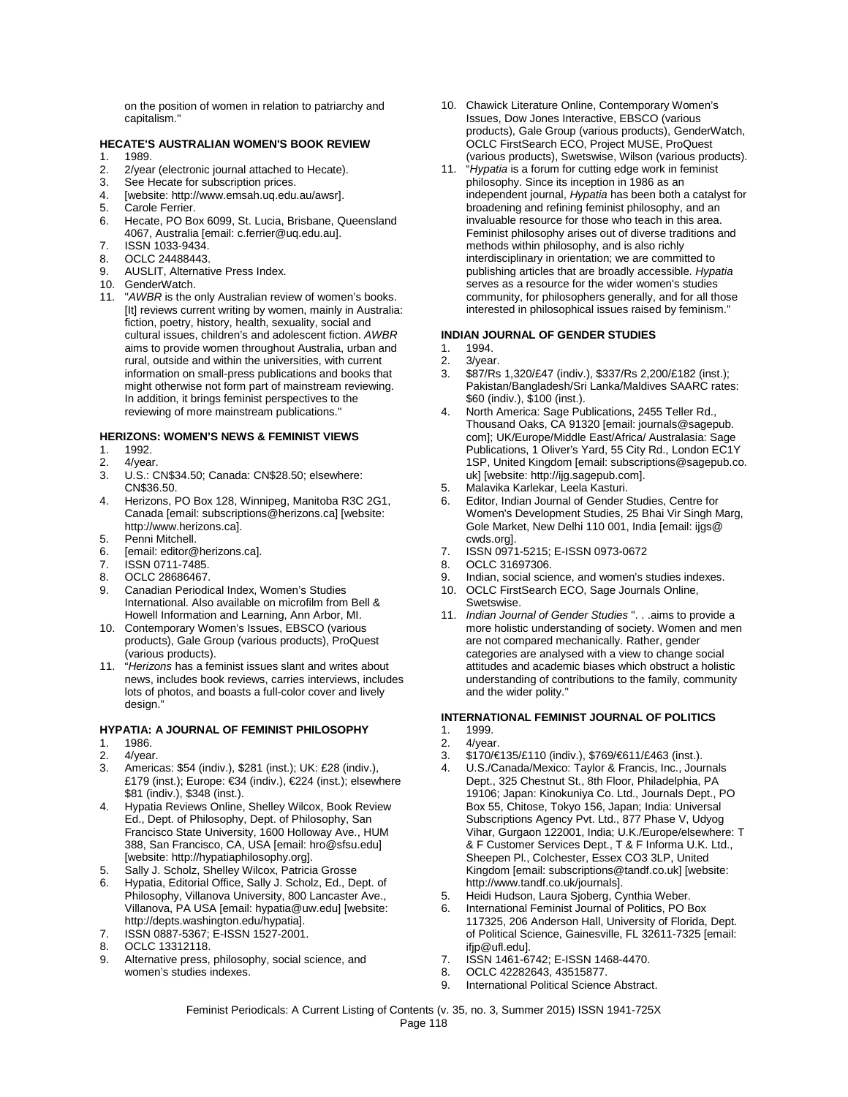on the position of women in relation to patriarchy and capitalism."

# **HECATE'S AUSTRALIAN WOMEN'S BOOK REVIEW**

- 1. 1989.<br>2. 2/yea
- 2. 2/year (electronic journal attached to Hecate).<br>3. See Hecate for subscription prices
- See Hecate for subscription prices.
- 4. [website: http://www.emsah.uq.edu.au/awsr].
- 5. Carole Ferrier.<br>6. Hecate, PO Bo
- Hecate, PO Box 6099, St. Lucia, Brisbane, Queensland 4067, Australia [email: c.ferrier@uq.edu.au].
- 7. ISSN 1033-9434.
- 8. OCLC 24488443.<br>9. AUSLIT, Alternativ
- AUSLIT, Alternative Press Index.
- 10. GenderWatch.
- 11. "*AWBR* is the only Australian review of women's books. [It] reviews current writing by women, mainly in Australia: fiction, poetry, history, health, sexuality, social and cultural issues, children's and adolescent fiction. *AWBR* aims to provide women throughout Australia, urban and rural, outside and within the universities, with current information on small-press publications and books that might otherwise not form part of mainstream reviewing. In addition, it brings feminist perspectives to the reviewing of more mainstream publications."

# **HERIZONS: WOMEN'S NEWS & FEMINIST VIEWS**

- 1. 1992.
- 2. 4/year.<br>3. U.S.: 0
- 3. U.S.: CN\$34.50; Canada: CN\$28.50; elsewhere: CN\$36.50.
- 4. Herizons, PO Box 128, Winnipeg, Manitoba R3C 2G1, Canada [email: subscriptions@herizons.ca] [website: http://www.herizons.ca].
- 5. Penni Mitchell.
- 6. [email: editor@herizons.ca].
- 7. ISSN 0711-7485.
- OCLC 28686467.
- 9. Canadian Periodical Index, Women's Studies International. Also available on microfilm from Bell & Howell Information and Learning, Ann Arbor, MI.
- 10. Contemporary Women's Issues, EBSCO (various products), Gale Group (various products), ProQuest (various products).
- 11. "*Herizons* has a feminist issues slant and writes about news, includes book reviews, carries interviews, includes lots of photos, and boasts a full-color cover and lively design."

#### **HYPATIA: A JOURNAL OF FEMINIST PHILOSOPHY**

- 1. 1986.
- 2. 4/year.<br>3 Americ Americas: \$54 (indiv.), \$281 (inst.); UK: £28 (indiv.),
- £179 (inst.); Europe: €34 (indiv.), €224 (inst.); elsewhere \$81 (indiv.), \$348 (inst.).
- 4. Hypatia Reviews Online, Shelley Wilcox, Book Review Ed., Dept. of Philosophy, Dept. of Philosophy, San Francisco State University, 1600 Holloway Ave., HUM 388, San Francisco, CA, USA [email: hro@sfsu.edu] [website: http://hypatiaphilosophy.org].
- 5. Sally J. Scholz, Shelley Wilcox, Patricia Grosse
- 6. Hypatia, Editorial Office, Sally J. Scholz, Ed., Dept. of Philosophy, Villanova University, 800 Lancaster Ave., Villanova, PA USA [email: hypatia@uw.edu] [website: http://depts.washington.edu/hypatia].
- 7. ISSN 0887-5367; E-ISSN 1527-2001.
- 8. OCLC 13312118.<br>9. Alternative press.
- Alternative press, philosophy, social science, and women's studies indexes.
- 10. Chawick Literature Online, Contemporary Women's Issues, Dow Jones Interactive, EBSCO (various products), Gale Group (various products), GenderWatch, OCLC FirstSearch ECO, Project MUSE, ProQuest (various products), Swetswise, Wilson (various products).
- 11. "*Hypatia* is a forum for cutting edge work in feminist philosophy. Since its inception in 1986 as an independent journal, *Hypatia* has been both a catalyst for broadening and refining feminist philosophy, and an invaluable resource for those who teach in this area. Feminist philosophy arises out of diverse traditions and methods within philosophy, and is also richly interdisciplinary in orientation; we are committed to publishing articles that are broadly accessible. *Hypatia* serves as a resource for the wider women's studies community, for philosophers generally, and for all those interested in philosophical issues raised by feminism."

#### **INDIAN JOURNAL OF GENDER STUDIES**

- 1. 1994.
- 2. 3/year.<br>3 \$87/Rs
- 3. \$87/Rs 1,320/£47 (indiv.), \$337/Rs 2,200/£182 (inst.); Pakistan/Bangladesh/Sri Lanka/Maldives SAARC rates: \$60 (indiv.), \$100 (inst.).
- 4. North America: Sage Publications, 2455 Teller Rd., Thousand Oaks, CA 91320 [email: journals@sagepub. com]; UK/Europe/Middle East/Africa/ Australasia: Sage Publications, 1 Oliver's Yard, 55 City Rd., London EC1Y 1SP, United Kingdom [email: subscriptions@sagepub.co. uk] [website: http://ijg.sagepub.com].
- 5. Malavika Karlekar, Leela Kasturi.<br>6. Fditor, Indian Journal of Gender S
- Editor, Indian Journal of Gender Studies, Centre for Women's Development Studies, 25 Bhai Vir Singh Marg, Gole Market, New Delhi 110 001, India [email: ijgs@ cwds.org].
- 7. ISSN 0971-5215; E-ISSN 0973-0672
- 8. OCLC 31697306.<br>9. Indian social scie
- Indian, social science, and women's studies indexes.
- 10. OCLC FirstSearch ECO, Sage Journals Online, Swetswise.
- 11. *Indian Journal of Gender Studies* ". . .aims to provide a more holistic understanding of society. Women and men are not compared mechanically. Rather, gender categories are analysed with a view to change social attitudes and academic biases which obstruct a holistic understanding of contributions to the family, community and the wider polity."

# **INTERNATIONAL FEMINIST JOURNAL OF POLITICS**

- 1. 1999.<br>2. 4/yea
- 4/vear.
- 3. \$170/€135/£110 (indiv.), \$769/€611/£463 (inst.).
- 4. U.S./Canada/Mexico: Taylor & Francis, Inc., Journals Dept., 325 Chestnut St., 8th Floor, Philadelphia, PA 19106; Japan: Kinokuniya Co. Ltd., Journals Dept., PO Box 55, Chitose, Tokyo 156, Japan; India: Universal Subscriptions Agency Pvt. Ltd., 877 Phase V, Udyog Vihar, Gurgaon 122001, India; U.K./Europe/elsewhere: T & F Customer Services Dept., T & F Informa U.K. Ltd., Sheepen Pl., Colchester, Essex CO3 3LP, United Kingdom [email: subscriptions@tandf.co.uk] [website: http://www.tandf.co.uk/journals].
- 5. Heidi Hudson, Laura Sjoberg, Cynthia Weber.
- 6. International Feminist Journal of Politics, PO Box 117325, 206 Anderson Hall, University of Florida, Dept. of Political Science, Gainesville, FL 32611-7325 [email: ifjp@ufl.edu].
- 7. ISSN 1461-6742; E-ISSN 1468-4470.
- 8. OCLC 42282643, 43515877.
- 9. International Political Science Abstract.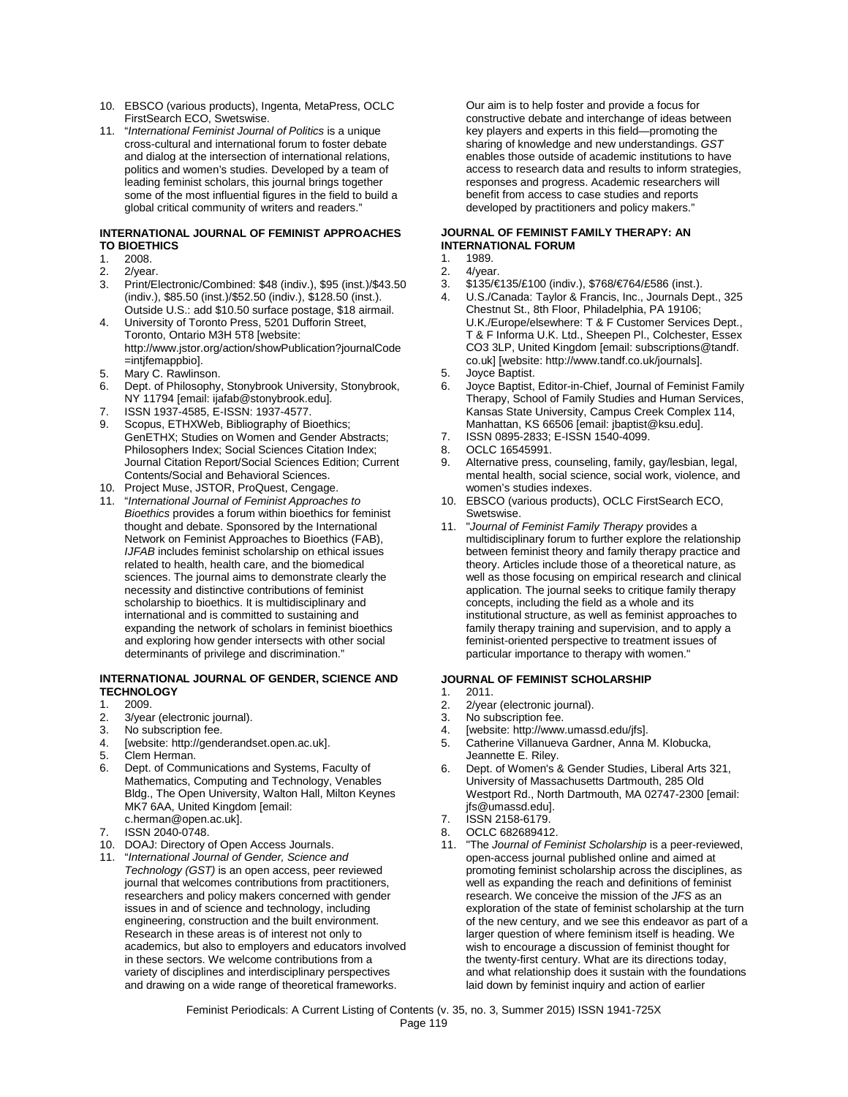- 10. EBSCO (various products), Ingenta, MetaPress, OCLC FirstSearch ECO, Swetswise.
- 11. "*International Feminist Journal of Politics* is a unique cross-cultural and international forum to foster debate and dialog at the intersection of international relations, politics and women's studies. Developed by a team of leading feminist scholars, this journal brings together some of the most influential figures in the field to build a global critical community of writers and readers."

#### **INTERNATIONAL JOURNAL OF FEMINIST APPROACHES TO BIOETHICS**

- 1. 2008.<br>2. 2/yea
- 2/vear.
- 3. Print/Electronic/Combined: \$48 (indiv.), \$95 (inst.)/\$43.50 (indiv.), \$85.50 (inst.)/\$52.50 (indiv.), \$128.50 (inst.). Outside U.S.: add \$10.50 surface postage, \$18 airmail.
- 4. University of Toronto Press, 5201 Dufforin Street, Toronto, Ontario M3H 5T8 [website: http://www.jstor.org/action/showPublication?journalCode =intjfemappbio].
- 5. Mary C. Rawlinson.
- 6. Dept. of Philosophy, Stonybrook University, Stonybrook, NY 11794 [email: ijafab@stonybrook.edu].
- 7. ISSN 1937-4585, E-ISSN: 1937-4577.
- Scopus, ETHXWeb, Bibliography of Bioethics; GenETHX; Studies on Women and Gender Abstracts; Philosophers Index; Social Sciences Citation Index; Journal Citation Report/Social Sciences Edition; Current Contents/Social and Behavioral Sciences.
- 10. Project Muse, JSTOR, ProQuest, Cengage.
- 11. "*International Journal of Feminist Approaches to Bioethics* provides a forum within bioethics for feminist thought and debate. Sponsored by the International Network on Feminist Approaches to Bioethics (FAB), *IJFAB* includes feminist scholarship on ethical issues related to health, health care, and the biomedical sciences. The journal aims to demonstrate clearly the necessity and distinctive contributions of feminist scholarship to bioethics. It is multidisciplinary and international and is committed to sustaining and expanding the network of scholars in feminist bioethics and exploring how gender intersects with other social determinants of privilege and discrimination."

#### **INTERNATIONAL JOURNAL OF GENDER, SCIENCE AND TECHNOLOGY**

- 
- 1. 2009.<br>2. 3/yea 2. 3/year (electronic journal).<br>3. No subscription fee.
- 3. No subscription fee.<br>4. [website: http://gend
- [website: http://genderandset.open.ac.uk].
- 5. Clem Herman.<br>6 Dept of Comm
- 6. Dept. of Communications and Systems, Faculty of Mathematics, Computing and Technology, Venables Bldg., The Open University, Walton Hall, Milton Keynes MK7 6AA, United Kingdom [email: c.herman@open.ac.uk].
- 7. ISSN 2040-0748.
- 10. DOAJ: Directory of Open Access Journals.
- 11. "*International Journal of Gender, Science and Technology (GST)* is an open access, peer reviewed journal that welcomes contributions from practitioners, researchers and policy makers concerned with gender issues in and of science and technology, including engineering, construction and the built environment. Research in these areas is of interest not only to academics, but also to employers and educators involved in these sectors. We welcome contributions from a variety of disciplines and interdisciplinary perspectives and drawing on a wide range of theoretical frameworks.

Our aim is to help foster and provide a focus for constructive debate and interchange of ideas between key players and experts in this field—promoting the sharing of knowledge and new understandings. *GST* enables those outside of academic institutions to have access to research data and results to inform strategies, responses and progress. Academic researchers will benefit from access to case studies and reports developed by practitioners and policy makers."

## **JOURNAL OF FEMINIST FAMILY THERAPY: AN INTERNATIONAL FORUM**

## 1. 1989.<br>2. 4/yea

- 4/vear.
- 3. \$135/€135/£100 (indiv.), \$768/€764/£586 (inst.).
- 4. U.S./Canada: Taylor & Francis, Inc., Journals Dept., 325 Chestnut St., 8th Floor, Philadelphia, PA 19106; U.K./Europe/elsewhere: T & F Customer Services Dept., T & F Informa U.K. Ltd., Sheepen Pl., Colchester, Essex CO3 3LP, United Kingdom [email: subscriptions@tandf. co.uk] [website: http://www.tandf.co.uk/journals].
- 5. Joyce Baptist.
- 6. Joyce Baptist, Editor-in-Chief, Journal of Feminist Family Therapy, School of Family Studies and Human Services, Kansas State University, Campus Creek Complex 114, Manhattan, KS 66506 [email: jbaptist@ksu.edu].
- 7. ISSN 0895-2833; E-ISSN 1540-4099.
- 8. OCLC 16545991.
- 9. Alternative press, counseling, family, gay/lesbian, legal, mental health, social science, social work, violence, and women's studies indexes.
- 10. EBSCO (various products), OCLC FirstSearch ECO, Swetswise.
- 11. "*Journal of Feminist Family Therapy* provides a multidisciplinary forum to further explore the relationship between feminist theory and family therapy practice and theory. Articles include those of a theoretical nature, as well as those focusing on empirical research and clinical application. The journal seeks to critique family therapy concepts, including the field as a whole and its institutional structure, as well as feminist approaches to family therapy training and supervision, and to apply a feminist-oriented perspective to treatment issues of particular importance to therapy with women."

#### **JOURNAL OF FEMINIST SCHOLARSHIP**

- 1. 2011.
- 2. 2/year (electronic journal).<br>3. No subscription fee.
- 3. No subscription fee.<br>4. [website: http://www
- 4. [website: http://www.umassd.edu/jfs].<br>5. Catherine Villanueva Gardner. Anna I
- Catherine Villanueva Gardner, Anna M. Klobucka, Jeannette E. Riley.
- 6. Dept. of Women's & Gender Studies, Liberal Arts 321, University of Massachusetts Dartmouth, 285 Old Westport Rd., North Dartmouth, MA 02747-2300 [email: jfs@umassd.edu].
- 7. ISSN 2158-6179.
- 8. OCLC 682689412.
- 11. "The *Journal of Feminist Scholarship* is a peer-reviewed, open-access journal published online and aimed at promoting feminist scholarship across the disciplines, as well as expanding the reach and definitions of feminist research. We conceive the mission of the *JFS* as an exploration of the state of feminist scholarship at the turn of the new century, and we see this endeavor as part of a larger question of where feminism itself is heading. We wish to encourage a discussion of feminist thought for the twenty-first century. What are its directions today, and what relationship does it sustain with the foundations laid down by feminist inquiry and action of earlier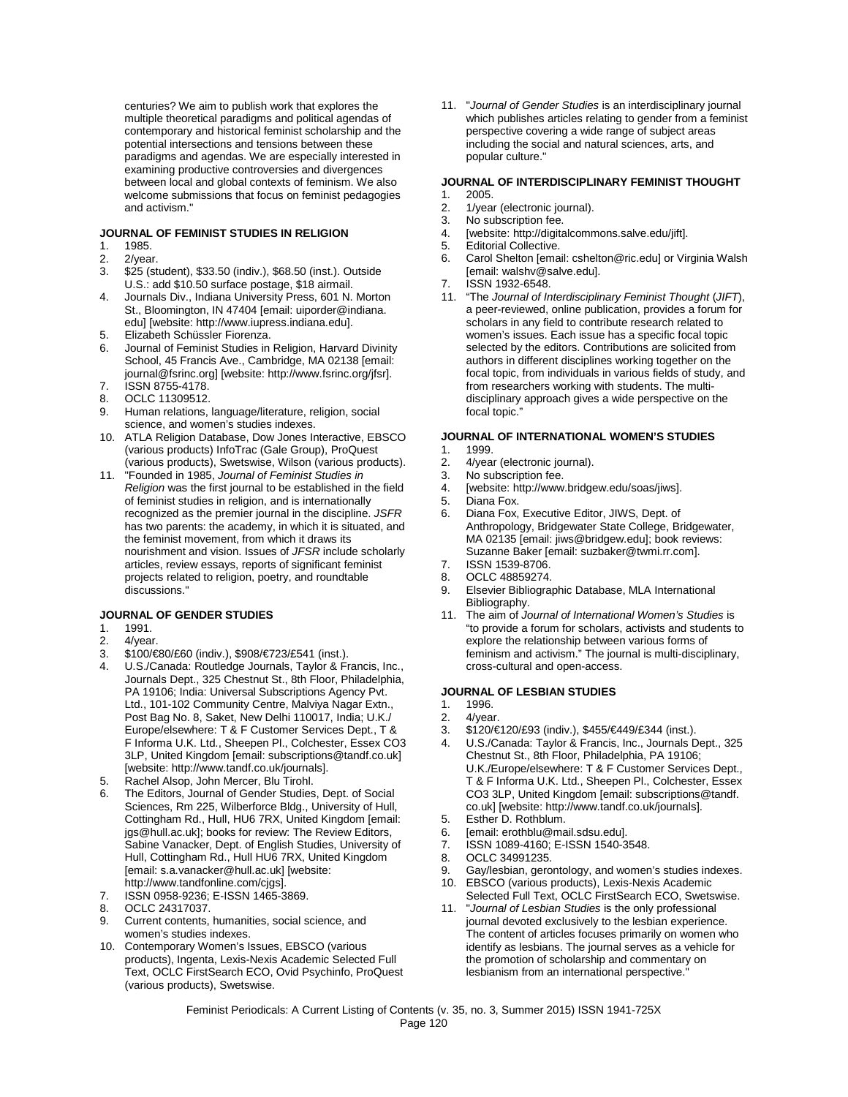centuries? We aim to publish work that explores the multiple theoretical paradigms and political agendas of contemporary and historical feminist scholarship and the potential intersections and tensions between these paradigms and agendas. We are especially interested in examining productive controversies and divergences between local and global contexts of feminism. We also welcome submissions that focus on feminist pedagogies and activism."

#### **JOURNAL OF FEMINIST STUDIES IN RELIGION**

- 1. 1985.<br>2. 2/year
- 
- 2. 2/year.<br>3. \$25 (st 3. \$25 (student), \$33.50 (indiv.), \$68.50 (inst.). Outside U.S.: add \$10.50 surface postage, \$18 airmail.
- 4. Journals Div., Indiana University Press, 601 N. Morton St., Bloomington, IN 47404 [email: uiporder@indiana. edu] [website: http://www.iupress.indiana.edu].
- 5. Elizabeth Schüssler Fiorenza.<br>6. Journal of Feminist Studies in
- 6. Journal of Feminist Studies in Religion, Harvard Divinity School, 45 Francis Ave., Cambridge, MA 02138 [email: journal@fsrinc.org] [website: http://www.fsrinc.org/jfsr].
- 7. ISSN 8755-4178. 8. OCLC 11309512.
- 
- 9. Human relations, language/literature, religion, social science, and women's studies indexes.
- 10. ATLA Religion Database, Dow Jones Interactive, EBSCO (various products) InfoTrac (Gale Group), ProQuest (various products), Swetswise, Wilson (various products).
- 11. "Founded in 1985, *Journal of Feminist Studies in Religion* was the first journal to be established in the field of feminist studies in religion, and is internationally recognized as the premier journal in the discipline. *JSFR* has two parents: the academy, in which it is situated, and the feminist movement, from which it draws its nourishment and vision. Issues of *JFSR* include scholarly articles, review essays, reports of significant feminist projects related to religion, poetry, and roundtable discussions."

#### **JOURNAL OF GENDER STUDIES**

- 1. 1991.<br>2. 4/year
- 2. 4/year.<br>3. \$100/€
- 3.  $$100$  €80/£60 (indiv.), \$908  $E$ 723/£541 (inst.).<br>4 U.S. Canada: Routledge Journals, Taylor & Fr
- 4. U.S./Canada: Routledge Journals, Taylor & Francis, Inc., Journals Dept., 325 Chestnut St., 8th Floor, Philadelphia, PA 19106; India: Universal Subscriptions Agency Pvt. Ltd., 101-102 Community Centre, Malviya Nagar Extn., Post Bag No. 8, Saket, New Delhi 110017, India; U.K./ Europe/elsewhere: T & F Customer Services Dept., T & F Informa U.K. Ltd., Sheepen Pl., Colchester, Essex CO3 3LP, United Kingdom [email: subscriptions@tandf.co.uk] [website: http://www.tandf.co.uk/journals].
- 5. Rachel Alsop, John Mercer, Blu Tirohl.
- The Editors, Journal of Gender Studies, Dept. of Social Sciences, Rm 225, Wilberforce Bldg., University of Hull, Cottingham Rd., Hull, HU6 7RX, United Kingdom [email: jgs@hull.ac.uk]; books for review: The Review Editors, Sabine Vanacker, Dept. of English Studies, University of Hull, Cottingham Rd., Hull HU6 7RX, United Kingdom [email: s.a.vanacker@hull.ac.uk] [website: http://www.tandfonline.com/cjgs].
- 7. ISSN 0958-9236; E-ISSN 1465-3869.
- 8. OCLC 24317037.
- 9. Current contents, humanities, social science, and women's studies indexes.
- 10. Contemporary Women's Issues, EBSCO (various products), Ingenta, Lexis-Nexis Academic Selected Full Text, OCLC FirstSearch ECO, Ovid Psychinfo, ProQuest (various products), Swetswise.

11. "*Journal of Gender Studies* is an interdisciplinary journal which publishes articles relating to gender from a feminist perspective covering a wide range of subject areas including the social and natural sciences, arts, and popular culture."

## **JOURNAL OF INTERDISCIPLINARY FEMINIST THOUGHT**

- 1. 2005.<br>2. 1/yea
- 2. 1/year (electronic journal).<br>3. No subscription fee. No subscription fee.
- 4. [website: http://digitalcommons.salve.edu/jift].
- 
- 5. Editorial Collective.<br>6. Carol Shelton [ema 6. Carol Shelton [email: cshelton@ric.edu] or Virginia Walsh [email: walshv@salve.edu].
- 7. ISSN 1932-6548.
- 11. "The *Journal of Interdisciplinary Feminist Thought* (*JIFT*), a peer-reviewed, online publication, provides a forum for scholars in any field to contribute research related to women's issues. Each issue has a specific focal topic selected by the editors. Contributions are solicited from authors in different disciplines working together on the focal topic, from individuals in various fields of study, and from researchers working with students. The multidisciplinary approach gives a wide perspective on the focal topic."

#### **JOURNAL OF INTERNATIONAL WOMEN'S STUDIES**

- 1. 1999.
- 2. 4/year (electronic journal).<br>3. No subscription fee.
- No subscription fee.
- 4. [website: http://www.bridgew.edu/soas/jiws].
- 5. Diana Fox.<br>6. Diana Fox.
- 6. Diana Fox, Executive Editor, JIWS, Dept. of Anthropology, Bridgewater State College, Bridgewater, MA 02135 [email: jiws@bridgew.edu]; book reviews: Suzanne Baker [email: suzbaker@twmi.rr.com].
- 7. ISSN 1539-8706.
- 8. OCLC 48859274.
- 9. Elsevier Bibliographic Database, MLA International Bibliography.
- 11. The aim of *Journal of International Women's Studies* is "to provide a forum for scholars, activists and students to explore the relationship between various forms of feminism and activism." The journal is multi-disciplinary, cross-cultural and open-access.

#### **JOURNAL OF LESBIAN STUDIES**

- 1. 1996.<br>2. 4/yea
- 2. 4/year.<br>3. \$120/€
- 3. \$120/€120/£93 (indiv.), \$455/€449/£344 (inst.).
- 4. U.S./Canada: Taylor & Francis, Inc., Journals Dept., 325 Chestnut St., 8th Floor, Philadelphia, PA 19106; U.K./Europe/elsewhere: T & F Customer Services Dept., T & F Informa U.K. Ltd., Sheepen Pl., Colchester, Essex CO3 3LP, United Kingdom [email: subscriptions@tandf. co.uk] [website: http://www.tandf.co.uk/journals].
- 5. Esther D. Rothblum.
- 6. [email: erothblu@mail.sdsu.edu].<br>7. ISSN 1089-4160: F-ISSN 1540-3
- ISSN 1089-4160; E-ISSN 1540-3548.
- 8. OCLC 34991235.
- 9. Gay/lesbian, gerontology, and women's studies indexes. 10. EBSCO (various products), Lexis-Nexis Academic
- Selected Full Text, OCLC FirstSearch ECO, Swetswise. 11. "*Journal of Lesbian Studies* is the only professional
- journal devoted exclusively to the lesbian experience. The content of articles focuses primarily on women who identify as lesbians. The journal serves as a vehicle for the promotion of scholarship and commentary on lesbianism from an international perspective.'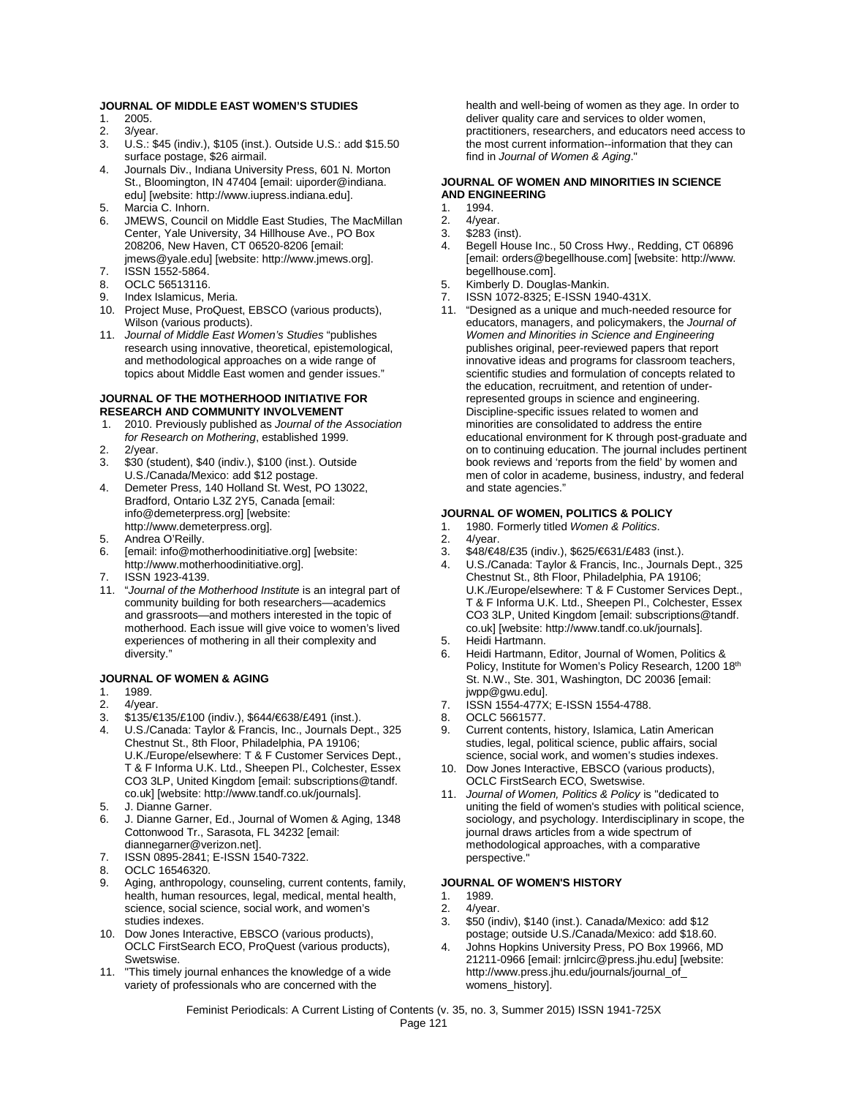#### **JOURNAL OF MIDDLE EAST WOMEN'S STUDIES**

- 1. 2005.<br>2. 3/yea
- 3/year.
- 3. U.S.: \$45 (indiv.), \$105 (inst.). Outside U.S.: add \$15.50 surface postage, \$26 airmail.
- 4. Journals Div., Indiana University Press, 601 N. Morton St., Bloomington, IN 47404 [email: uiporder@indiana. edu] [website: http://www.iupress.indiana.edu].
- 5. Marcia C. Inhorn.
- 6. JMEWS, Council on Middle East Studies, The MacMillan Center, Yale University, 34 Hillhouse Ave., PO Box 208206, New Haven, CT 06520-8206 [email: jmews@yale.edu] [website: http://www.jmews.org].
- 7. ISSN 1552-5864.
- 8. OCLC 56513116.
- 9. Index Islamicus, Meria.
- 10. Project Muse, ProQuest, EBSCO (various products), Wilson (various products).
- 11. *Journal of Middle East Women's Studies* "publishes research using innovative, theoretical, epistemological, and methodological approaches on a wide range of topics about Middle East women and gender issues."

## **JOURNAL OF THE MOTHERHOOD INITIATIVE FOR RESEARCH AND COMMUNITY INVOLVEMENT**<br>1. 2010. Previously published as *Journal of the*

- 1. 2010. Previously published as *Journal of the Association for Research on Mothering*, established 1999.
- 2. 2/year.
- 3. \$30 (student), \$40 (indiv.), \$100 (inst.). Outside U.S./Canada/Mexico: add \$12 postage.
- 4. Demeter Press, 140 Holland St. West, PO 13022, Bradford, Ontario L3Z 2Y5, Canada [email: info@demeterpress.org] [website: http://www.demeterpress.org].
- 5. Andrea O'Reilly.
- 6. [email: info@motherhoodinitiative.org] [website: http://www.motherhoodinitiative.org].
- ISSN 1923-4139.
- 11. "*Journal of the Motherhood Institute* is an integral part of community building for both researchers—academics and grassroots—and mothers interested in the topic of motherhood. Each issue will give voice to women's lived experiences of mothering in all their complexity and diversity."

# **JOURNAL OF WOMEN & AGING**

- 1989.
- 2. 4/year.<br>3 \$135/€
- 3. \$135/€135/£100 (indiv.), \$644/€638/£491 (inst.).
- 4. U.S./Canada: Taylor & Francis, Inc., Journals Dept., 325 Chestnut St., 8th Floor, Philadelphia, PA 19106; U.K./Europe/elsewhere: T & F Customer Services Dept., T & F Informa U.K. Ltd., Sheepen Pl., Colchester, Essex CO3 3LP, United Kingdom [email: subscriptions@tandf. co.uk] [website: http://www.tandf.co.uk/journals].
- 5. J. Dianne Garner.
- 6. J. Dianne Garner, Ed., Journal of Women & Aging, 1348 Cottonwood Tr., Sarasota, FL 34232 [email: diannegarner@verizon.net].
- 7. ISSN 0895-2841; E-ISSN 1540-7322.
- 8. OCLC 16546320.
- 9. Aging, anthropology, counseling, current contents, family, health, human resources, legal, medical, mental health, science, social science, social work, and women's studies indexes.
- 10. Dow Jones Interactive, EBSCO (various products), OCLC FirstSearch ECO, ProQuest (various products), Swetswise.
- 11. "This timely journal enhances the knowledge of a wide variety of professionals who are concerned with the

health and well-being of women as they age. In order to deliver quality care and services to older women, practitioners, researchers, and educators need access to the most current information--information that they can find in *Journal of Women & Aging*."

#### **JOURNAL OF WOMEN AND MINORITIES IN SCIENCE AND ENGINEERING**

- 1. 1994.<br>2. 4/year
- 4/year.
- 3. \$283 (inst).
- Begell House Inc., 50 Cross Hwy., Redding, CT 06896 [email: orders@begellhouse.com] [website: http://www. .<br>begellhouse.com].
- 5. Kimberly D. Douglas-Mankin.
- 7. ISSN 1072-8325; E-ISSN 1940-431X.
- 11. "Designed as a unique and much-needed resource for educators, managers, and policymakers, the *Journal of Women and Minorities in Science and Engineering*  publishes original, peer-reviewed papers that report innovative ideas and programs for classroom teachers, scientific studies and formulation of concepts related to the education, recruitment, and retention of underrepresented groups in science and engineering. Discipline-specific issues related to women and minorities are consolidated to address the entire educational environment for K through post-graduate and on to continuing education. The journal includes pertinent book reviews and 'reports from the field' by women and men of color in academe, business, industry, and federal and state agencies."

#### **JOURNAL OF WOMEN, POLITICS & POLICY**

- 1. 1980. Formerly titled *Women & Politics*.
- 4/year.
- 3. \$48/€48/£35 (indiv.), \$625/€631/£483 (inst.).
- 4. U.S./Canada: Taylor & Francis, Inc., Journals Dept., 325 Chestnut St., 8th Floor, Philadelphia, PA 19106; U.K./Europe/elsewhere: T & F Customer Services Dept., T & F Informa U.K. Ltd., Sheepen Pl., Colchester, Essex CO3 3LP, United Kingdom [email: subscriptions@tandf. co.uk] [website: http://www.tandf.co.uk/journals].
- 5. Heidi Hartmann.
- 6. Heidi Hartmann, Editor, Journal of Women, Politics & Policy, Institute for Women's Policy Research, 1200 18th St. N.W., Ste. 301, Washington, DC 20036 [email: jwpp@gwu.edu].
- 7. ISSN 1554-477X; E-ISSN 1554-4788.
- 8. OCLC 5661577.<br>9. Current contents
- Current contents, history, Islamica, Latin American studies, legal, political science, public affairs, social science, social work, and women's studies indexes.
- 10. Dow Jones Interactive, EBSCO (various products), OCLC FirstSearch ECO, Swetswise.
- 11. *Journal of Women, Politics & Policy* is "dedicated to uniting the field of women's studies with political science, sociology, and psychology. Interdisciplinary in scope, the journal draws articles from a wide spectrum of methodological approaches, with a comparative perspective."

#### **JOURNAL OF WOMEN'S HISTORY**

- 1. 1989.
- 2. 4/year.<br>3. \$50 (in
- 3. \$50 (indiv), \$140 (inst.). Canada/Mexico: add \$12 postage; outside U.S./Canada/Mexico: add \$18.60.
- 4. Johns Hopkins University Press, PO Box 19966, MD 21211-0966 [email: jrnlcirc@press.jhu.edu] [website: http://www.press.jhu.edu/journals/journal\_of\_ womens\_history].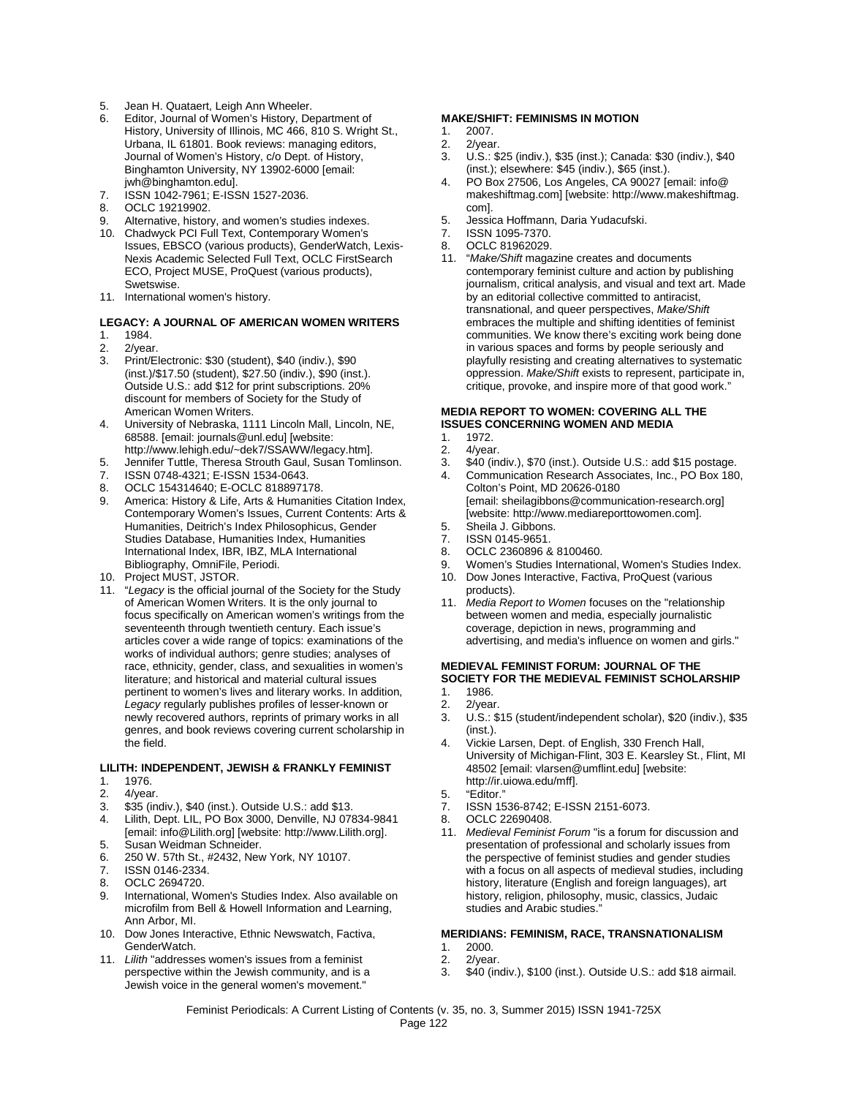- Jean H. Quataert, Leigh Ann Wheeler.
- 6. Editor, Journal of Women's History, Department of History, University of Illinois, MC 466, 810 S. Wright St., Urbana, IL 61801. Book reviews: managing editors, Journal of Women's History, c/o Dept. of History, Binghamton University, NY 13902-6000 [email: jwh@binghamton.edu].
- 7. ISSN 1042-7961; E-ISSN 1527-2036.
- 8. OCLC 19219902.
- 9. Alternative, history, and women's studies indexes.
- 10. Chadwyck PCI Full Text, Contemporary Women's Issues, EBSCO (various products), GenderWatch, Lexis-Nexis Academic Selected Full Text, OCLC FirstSearch ECO, Project MUSE, ProQuest (various products), Swetswise.
- 11. International women's history.

#### **LEGACY: A JOURNAL OF AMERICAN WOMEN WRITERS**

- 1. 1984.<br>2. 2/yea
- 2/vear.
- 3. Print/Electronic: \$30 (student), \$40 (indiv.), \$90 (inst.)/\$17.50 (student), \$27.50 (indiv.), \$90 (inst.). Outside U.S.: add \$12 for print subscriptions. 20% discount for members of Society for the Study of American Women Writers.
- 4. University of Nebraska, 1111 Lincoln Mall, Lincoln, NE, 68588. [email: journals@unl.edu] [website: http://www.lehigh.edu/~dek7/SSAWW/legacy.htm].
- 
- 5. Jennifer Tuttle, Theresa Strouth Gaul, Susan Tomlinson.<br>7. ISSN 0748-4321: E-ISSN 1534-0643. ISSN 0748-4321; E-ISSN 1534-0643.
- 8. OCLC 154314640; E-OCLC 818897178.
- America: History & Life, Arts & Humanities Citation Index, Contemporary Women's Issues, Current Contents: Arts & Humanities, Deitrich's Index Philosophicus, Gender Studies Database, Humanities Index, Humanities International Index, IBR, IBZ, MLA International Bibliography, OmniFile, Periodi.
- 10. Project MUST, JSTOR.
- 11. "*Legacy* is the official journal of the Society for the Study of American Women Writers. It is the only journal to focus specifically on American women's writings from the seventeenth through twentieth century. Each issue's articles cover a wide range of topics: examinations of the works of individual authors; genre studies; analyses of race, ethnicity, gender, class, and sexualities in women's literature; and historical and material cultural issues pertinent to women's lives and literary works. In addition, *Legacy* regularly publishes profiles of lesser-known or newly recovered authors, reprints of primary works in all genres, and book reviews covering current scholarship in the field.

#### **LILITH: INDEPENDENT, JEWISH & FRANKLY FEMINIST**

- 1. 1976.<br>2. 4/yea
- 4/year.
- 3. \$35 (indiv.), \$40 (inst.). Outside U.S.: add \$13.
- 4. Lilith, Dept. LIL, PO Box 3000, Denville, NJ 07834-9841 [email: info@Lilith.org] [website: http://www.Lilith.org].
- 5. Susan Weidman Schneider.
- 6. 250 W. 57th St., #2432, New York, NY 10107.
- 7. ISSN 0146-2334. 8. OCLC 2694720.
- 
- 9. International, Women's Studies Index. Also available on microfilm from Bell & Howell Information and Learning, Ann Arbor, MI.
- 10. Dow Jones Interactive, Ethnic Newswatch, Factiva, GenderWatch.
- 11. *Lilith* "addresses women's issues from a feminist perspective within the Jewish community, and is a Jewish voice in the general women's movement."

#### **MAKE/SHIFT: FEMINISMS IN MOTION**

- 1. 2007.<br>2 2/year
- 2/year.
- 3. U.S.: \$25 (indiv.), \$35 (inst.); Canada: \$30 (indiv.), \$40 (inst.); elsewhere: \$45 (indiv.), \$65 (inst.).
- 4. PO Box 27506, Los Angeles, CA 90027 [email: info@ makeshiftmag.com] [website: http://www.makeshiftmag. com].
- 5. Jessica Hoffmann, Daria Yudacufski.
- 7. ISSN 1095-7370.<br>8 OCLC 81962029
- 8. OCLC 81962029.
- 11. "*Make/Shift* magazine creates and documents contemporary feminist culture and action by publishing journalism, critical analysis, and visual and text art. Made by an editorial collective committed to antiracist, transnational, and queer perspectives, *Make/Shift* embraces the multiple and shifting identities of feminist communities. We know there's exciting work being done in various spaces and forms by people seriously and playfully resisting and creating alternatives to systematic oppression. *Make/Shift* exists to represent, participate in, critique, provoke, and inspire more of that good work."

#### **MEDIA REPORT TO WOMEN: COVERING ALL THE ISSUES CONCERNING WOMEN AND MEDIA**

- 1. 1972.<br>2. 4/year
- 2. 4/year.<br>3. \$40 (in
- 3. \$40 (indiv.), \$70 (inst.). Outside U.S.: add \$15 postage. 4. Communication Research Associates, Inc., PO Box 180,
- Colton's Point, MD 20626-0180 [email: sheilagibbons@communication-research.org] [website: http://www.mediareporttowomen.com].
- 5. Sheila J. Gibbons.
- ISSN 0145-9651.
- 8. OCLC 2360896 & 8100460.<br>9. Women's Studies Internation
- Women's Studies International, Women's Studies Index.
- 10. Dow Jones Interactive, Factiva, ProQuest (various products).
- 11. *Media Report to Women* focuses on the "relationship between women and media, especially journalistic coverage, depiction in news, programming and advertising, and media's influence on women and girls."

#### **MEDIEVAL FEMINIST FORUM: JOURNAL OF THE SOCIETY FOR THE MEDIEVAL FEMINIST SCHOLARSHIP** 1. 1986.

- 
- 2.  $2$ /year.<br>3  $11S \cdot$ \$
- 3. U.S.: \$15 (student/independent scholar), \$20 (indiv.), \$35 (inst.).
- 4. Vickie Larsen, Dept. of English, 330 French Hall, University of Michigan-Flint, 303 E. Kearsley St., Flint, MI 48502 [email: vlarsen@umflint.edu] [website: http://ir.uiowa.edu/mff].
- 5. "Editor."
- 7. ISSN 1536-8742; E-ISSN 2151-6073.
- 8. OCLC 22690408.
- 11. *Medieval Feminist Forum* "is a forum for discussion and presentation of professional and scholarly issues from the perspective of feminist studies and gender studies with a focus on all aspects of medieval studies, including history, literature (English and foreign languages), art history, religion, philosophy, music, classics, Judaic studies and Arabic studies."

#### **MERIDIANS: FEMINISM, RACE, TRANSNATIONALISM**

- 1. 2000.<br>2 2/year
- 2. 2/year.<br>3. \$40 (in
- 3. \$40 (indiv.), \$100 (inst.). Outside U.S.: add \$18 airmail.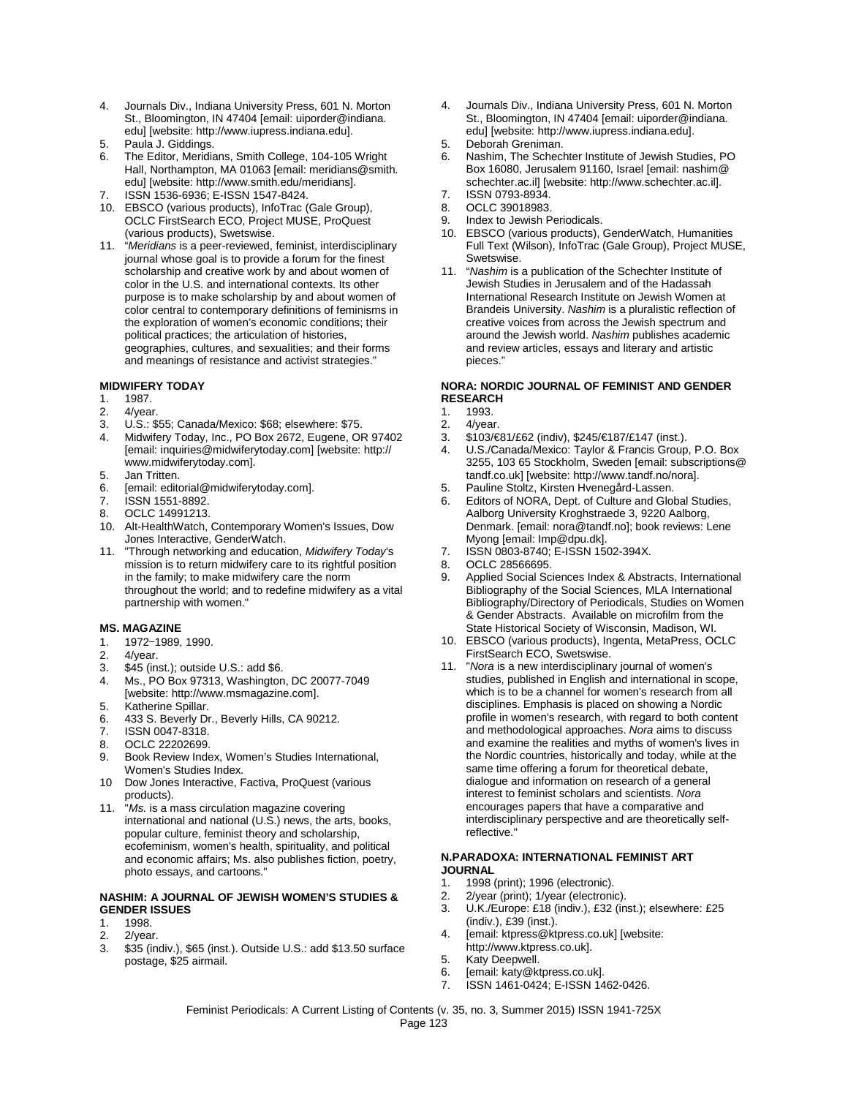- 4. Journals Div., Indiana University Press, 601 N. Morton St., Bloomington, IN 47404 [email: uiporder@indiana. edu] [website: http://www.iupress.indiana.edu].
- 5. Paula J. Giddings.
- The Editor, Meridians, Smith College, 104-105 Wright Hall, Northampton, MA 01063 [email: meridians@smith. edu] [website: http://www.smith.edu/meridians].
- 7. ISSN 1536-6936; E-ISSN 1547-8424.
- 10. EBSCO (various products), InfoTrac (Gale Group), OCLC FirstSearch ECO, Project MUSE, ProQuest (various products), Swetswise.
- 11. "*Meridians* is a peer-reviewed, feminist, interdisciplinary journal whose goal is to provide a forum for the finest scholarship and creative work by and about women of color in the U.S. and international contexts. Its other purpose is to make scholarship by and about women of color central to contemporary definitions of feminisms in the exploration of women's economic conditions; their political practices; the articulation of histories, geographies, cultures, and sexualities; and their forms and meanings of resistance and activist strategies."

#### **MIDWIFERY TODAY**

- 1. 1987.
- 
- 2. 4/year.<br>3. U.S.: \$ U.S.: \$55; Canada/Mexico: \$68; elsewhere: \$75.
- 4. Midwifery Today, Inc., PO Box 2672, Eugene, OR 97402 [email: inquiries@midwiferytoday.com] [website: http:// www.midwiferytoday.com].
- 5. Jan Tritten.
- 6. [email: editorial@midwiferytoday.com].<br>7. ISSN 1551-8892.
- ISSN 1551-8892.
- 8. OCLC 14991213.
- 10. Alt-HealthWatch, Contemporary Women's Issues, Dow Jones Interactive, GenderWatch.
- 11. "Through networking and education, *Midwifery Today*'s mission is to return midwifery care to its rightful position in the family; to make midwifery care the norm throughout the world; and to redefine midwifery as a vital partnership with women."

#### **MS. MAGAZINE**

- 1. 1972-1989, 1990.<br>2. 4/year.
- 
- 2. 4/year.<br>3. \$45 (ins 3. \$45 (inst.); outside U.S.: add \$6.<br>4. Ms., PO Box 97313. Washington
- 4. Ms., PO Box 97313, Washington, DC 20077-7049 [website: http://www.msmagazine.com].
- 5. Katherine Spillar.
- 6. 433 S. Beverly Dr., Beverly Hills, CA 90212.
- 7. ISSN 0047-8318.<br>8. OCLC 22202699
- 8. OCLC 22202699.<br>9. Book Review Inde
- 9. Book Review Index, Women's Studies International, Women's Studies Index.
- 10 Dow Jones Interactive, Factiva, ProQuest (various products).
- 11. "*Ms.* is a mass circulation magazine covering international and national (U.S.) news, the arts, books, popular culture, feminist theory and scholarship, ecofeminism, women's health, spirituality, and political and economic affairs; Ms. also publishes fiction, poetry, photo essays, and cartoons."

#### **NASHIM: A JOURNAL OF JEWISH WOMEN'S STUDIES & GENDER ISSUES**

- 1. 1998.<br>2. 2/yea
- 2. 2/year.<br>3. \$35 (in
- \$35 (indiv.), \$65 (inst.). Outside U.S.: add \$13.50 surface postage, \$25 airmail.
- 4. Journals Div., Indiana University Press, 601 N. Morton St., Bloomington, IN 47404 [email: uiporder@indiana. edu] [website: http://www.iupress.indiana.edu].
- 5. Deborah Greniman.
- Nashim, The Schechter Institute of Jewish Studies, PO Box 16080, Jerusalem 91160, Israel [email: nashim@ schechter.ac.il] [website: http://www.schechter.ac.il].
- 7. ISSN 0793-8934.
- 8. OCLC 39018983.
- 9. Index to Jewish Periodicals.
- 10. EBSCO (various products), GenderWatch, Humanities Full Text (Wilson), InfoTrac (Gale Group), Project MUSE, Swetswise.
- 11. "*Nashim* is a publication of the Schechter Institute of Jewish Studies in Jerusalem and of the Hadassah International Research Institute on Jewish Women at Brandeis University. *Nashim* is a pluralistic reflection of creative voices from across the Jewish spectrum and around the Jewish world. *Nashim* publishes academic and review articles, essays and literary and artistic pieces."

#### **NORA: NORDIC JOURNAL OF FEMINIST AND GENDER RESEARCH**

- 1. 1993.<br>2 4/year
- 4/year.
- 3. \$103/€81/£62 (indiv), \$245/€187/£147 (inst.).
- 4. U.S./Canada/Mexico: Taylor & Francis Group, P.O. Box 3255, 103 65 Stockholm, Sweden [email: subscriptions@ tandf.co.uk] [website: http://www.tandf.no/nora].
- 5. Pauline Stoltz, Kirsten Hvenegård-Lassen.
- Editors of NORA, Dept. of Culture and Global Studies, Aalborg University Kroghstraede 3, 9220 Aalborg, Denmark. [email: nora@tandf.no]; book reviews: Lene Myong [email: Imp@dpu.dk].
- 7. ISSN 0803-8740; E-ISSN 1502-394X.
- 8. OCLC 28566695.<br>9. Applied Social Sc
- Applied Social Sciences Index & Abstracts, International Bibliography of the Social Sciences, MLA International Bibliography/Directory of Periodicals, Studies on Women & Gender Abstracts. Available on microfilm from the State Historical Society of Wisconsin, Madison, WI.
- 10. EBSCO (various products), Ingenta, MetaPress, OCLC FirstSearch ECO, Swetswise.
- 11. "*Nora* is a new interdisciplinary journal of women's studies, published in English and international in scope, which is to be a channel for women's research from all disciplines. Emphasis is placed on showing a Nordic profile in women's research, with regard to both content and methodological approaches. *Nora* aims to discuss and examine the realities and myths of women's lives in the Nordic countries, historically and today, while at the same time offering a forum for theoretical debate, dialogue and information on research of a general interest to feminist scholars and scientists. *Nora* encourages papers that have a comparative and interdisciplinary perspective and are theoretically selfreflective."

#### **N.PARADOXA: INTERNATIONAL FEMINIST ART JOURNAL**

- 1. 1998 (print); 1996 (electronic).
- 2. 2/year (print); 1/year (electronic).
- 3. U.K./Europe: £18 (indiv.), £32 (inst.); elsewhere: £25 (indiv.), £39 (inst.).
- 4. [email: ktpress@ktpress.co.uk] [website: http://www.ktpress.co.uk].
- 5. Katy Deepwell.
- 6. [email: katy@ktpress.co.uk].
- 7. ISSN 1461-0424; E-ISSN 1462-0426.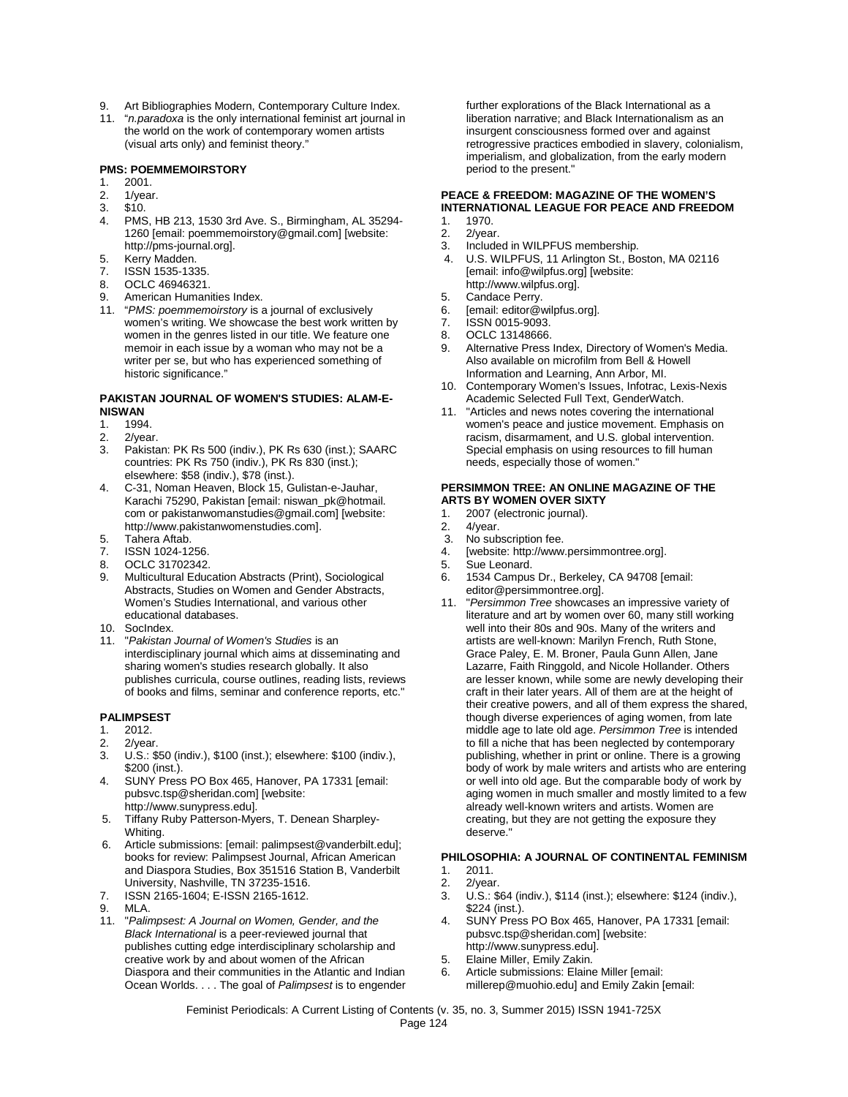- 9. Art Bibliographies Modern, Contemporary Culture Index.
- 11. "*n.paradoxa* is the only international feminist art journal in the world on the work of contemporary women artists (visual arts only) and feminist theory."

#### **PMS: POEMMEMOIRSTORY**

- 1. 2001.
- 2. 1/year.
- 3. \$10.
- PMS, HB 213, 1530 3rd Ave. S., Birmingham, AL 35294-1260 [email: poemmemoirstory@gmail.com] [website: http://pms-journal.org].
- 5. Kerry Madden.<br>7. ISSN 1535-133
- ISSN 1535-1335.
- 8. OCLC 46946321.
- 9. American Humanities Index.
- 11. "*PMS: poemmemoirstory* is a journal of exclusively women's writing. We showcase the best work written by women in the genres listed in our title. We feature one memoir in each issue by a woman who may not be a writer per se, but who has experienced something of historic significance."

### **PAKISTAN JOURNAL OF WOMEN'S STUDIES: ALAM-E-NISWAN**<br>1 1994

- 1994.
- 
- 2. 2/year.<br>3. Pakista Pakistan: PK Rs 500 (indiv.), PK Rs 630 (inst.); SAARC countries: PK Rs 750 (indiv.), PK Rs 830 (inst.); elsewhere: \$58 (indiv.), \$78 (inst.).
- 4. C-31, Noman Heaven, Block 15, Gulistan-e-Jauhar, Karachi 75290, Pakistan [email: niswan\_pk@hotmail. com or pakistanwomanstudies@gmail.com] [website: http://www.pakistanwomenstudies.com].
- 5. Tahera Aftab.
- 7. ISSN 1024-1256.
- 8. OCLC 31702342.
- 9. Multicultural Education Abstracts (Print), Sociological Abstracts, Studies on Women and Gender Abstracts, Women's Studies International, and various other educational databases.
- 10. SocIndex.
- 11. "*Pakistan Journal of Women's Studies* is an interdisciplinary journal which aims at disseminating and sharing women's studies research globally. It also publishes curricula, course outlines, reading lists, reviews of books and films, seminar and conference reports, etc."

#### **PALIMPSEST**

- 1. 2012.<br>2. 2/yea
- 2/vear.
- 3. U.S.: \$50 (indiv.), \$100 (inst.); elsewhere: \$100 (indiv.), \$200 (inst.).
- 4. SUNY Press PO Box 465, Hanover, PA 17331 [email: pubsvc.tsp@sheridan.com] [website: http://www.sunypress.edu].
- 5. Tiffany Ruby Patterson-Myers, T. Denean Sharpley-Whiting.
- 6. Article submissions: [email: palimpsest@vanderbilt.edu]; books for review: Palimpsest Journal, African American and Diaspora Studies, Box 351516 Station B, Vanderbilt University, Nashville, TN 37235-1516.
- 7. ISSN 2165-1604; E-ISSN 2165-1612.
- 9. MLA.
- 11. "*Palimpsest: A Journal on Women, Gender, and the Black International* is a peer-reviewed journal that publishes cutting edge interdisciplinary scholarship and creative work by and about women of the African Diaspora and their communities in the Atlantic and Indian Ocean Worlds. . . . The goal of *Palimpsest* is to engender

further explorations of the Black International as a liberation narrative; and Black Internationalism as an insurgent consciousness formed over and against retrogressive practices embodied in slavery, colonialism, imperialism, and globalization, from the early modern period to the present."

#### **PEACE & FREEDOM: MAGAZINE OF THE WOMEN'S INTERNATIONAL LEAGUE FOR PEACE AND FREEDOM** 1. 1970.

- 2. 2/year.
- 
- 3. Included in WILPFUS membership.<br>4. U.S. WILPFUS, 11 Arlington St., Bo 4. U.S. WILPFUS, 11 Arlington St., Boston, MA 02116 [email: info@wilpfus.org] [website:
- http://www.wilpfus.org].
- 5. Candace Perry.<br>6. [email: editor@v 6. [email: editor@wilpfus.org].<br>7. ISSN 0015-9093.
- 7. ISSN 0015-9093.
- 8. OCLC 13148666.<br>9. Alternative Press.
- Alternative Press Index, Directory of Women's Media. Also available on microfilm from Bell & Howell Information and Learning, Ann Arbor, MI.
- 10. Contemporary Women's Issues, Infotrac, Lexis-Nexis Academic Selected Full Text, GenderWatch.
- 11. "Articles and news notes covering the international women's peace and justice movement. Emphasis on racism, disarmament, and U.S. global intervention. Special emphasis on using resources to fill human needs, especially those of women."

#### **PERSIMMON TREE: AN ONLINE MAGAZINE OF THE ARTS BY WOMEN OVER SIXTY**

- 1. 2007 (electronic journal).<br>2. 4/year.
- 2. 4/year.<br>3. No sub
- No subscription fee.
- 4. [website: http://www.persimmontree.org].<br>5. Sue Leonard
- 5. Sue Leonard.<br>6 1534 Campus
- 1534 Campus Dr., Berkeley, CA 94708 [email: editor@persimmontree.org].
- 11. "*Persimmon Tree* showcases an impressive variety of literature and art by women over 60, many still working well into their 80s and 90s. Many of the writers and artists are well-known: Marilyn French, Ruth Stone, Grace Paley, E. M. Broner, Paula Gunn Allen, Jane Lazarre, Faith Ringgold, and Nicole Hollander. Others are lesser known, while some are newly developing their craft in their later years. All of them are at the height of their creative powers, and all of them express the shared, though diverse experiences of aging women, from late middle age to late old age. *Persimmon Tree* is intended to fill a niche that has been neglected by contemporary publishing, whether in print or online. There is a growing body of work by male writers and artists who are entering or well into old age. But the comparable body of work by aging women in much smaller and mostly limited to a few already well-known writers and artists. Women are creating, but they are not getting the exposure they deserve."

#### **PHILOSOPHIA: A JOURNAL OF CONTINENTAL FEMINISM**

- 1. 2011.
- 2. 2/year.
- 3. U.S.: \$64 (indiv.), \$114 (inst.); elsewhere: \$124 (indiv.), \$224 (inst.).
- 4. SUNY Press PO Box 465, Hanover, PA 17331 [email: pubsvc.tsp@sheridan.com] [website: http://www.sunypress.edu].
- 5. Elaine Miller, Emily Zakin.
- 6. Article submissions: Elaine Miller [email: millerep@muohio.edu] and Emily Zakin [email: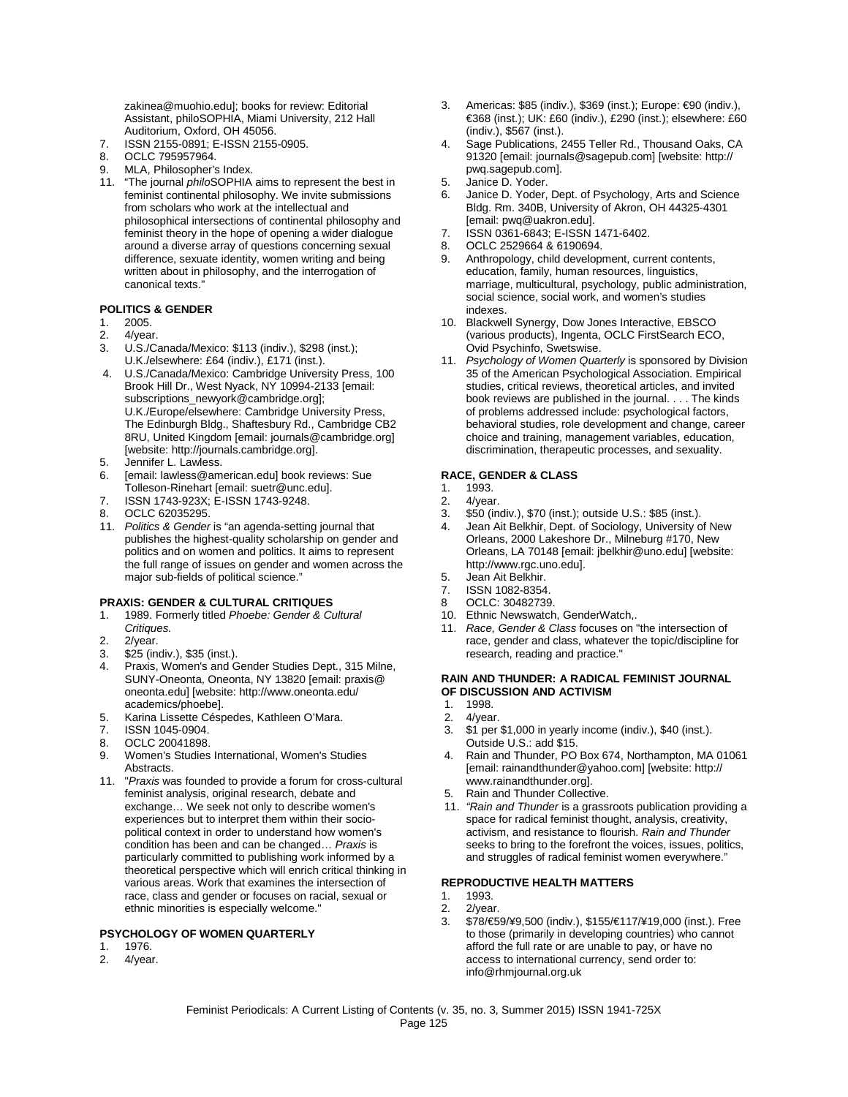zakinea@muohio.edu]; books for review: Editorial Assistant, philoSOPHIA, Miami University, 212 Hall Auditorium, Oxford, OH 45056.

- 7. ISSN 2155-0891; E-ISSN 2155-0905.<br>8. OCLC 795957964.
- 8. OCLC 795957964.
- 9. MLA, Philosopher's Index.
- 11. "The journal *philo*SOPHIA aims to represent the best in feminist continental philosophy. We invite submissions from scholars who work at the intellectual and philosophical intersections of continental philosophy and feminist theory in the hope of opening a wider dialogue around a diverse array of questions concerning sexual difference, sexuate identity, women writing and being written about in philosophy, and the interrogation of canonical texts."

#### **POLITICS & GENDER**

- 1. 2005.
- 2. 4/year.<br>3. U.S./Ca
- U.S./Canada/Mexico: \$113 (indiv.), \$298 (inst.); U.K./elsewhere: £64 (indiv.), £171 (inst.).
- 4. U.S./Canada/Mexico: Cambridge University Press, 100 Brook Hill Dr., West Nyack, NY 10994-2133 [email: subscriptions\_newyork@cambridge.org]; U.K./Europe/elsewhere: Cambridge University Press, The Edinburgh Bldg., Shaftesbury Rd., Cambridge CB2 8RU, United Kingdom [email: journals@cambridge.org] [website: http://journals.cambridge.org].
- 5. Jennifer L. Lawless.
- 6. [email: lawless@american.edu] book reviews: Sue Tolleson-Rinehart [email: suetr@unc.edu].
- 7. ISSN 1743-923X; E-ISSN 1743-9248.
- 8. OCLC 62035295.
- 11. *Politics & Gender* is "an agenda-setting journal that publishes the highest-quality scholarship on gender and politics and on women and politics. It aims to represent the full range of issues on gender and women across the major sub-fields of political science."

#### **PRAXIS: GENDER & CULTURAL CRITIQUES**

- 1. 1989. Formerly titled *Phoebe: Gender & Cultural Critiques.*
- 2. 2/year.
- 
- 3. \$25 (indiv.), \$35 (inst.). Praxis, Women's and Gender Studies Dept., 315 Milne, SUNY-Oneonta, Oneonta, NY 13820 [email: praxis@ oneonta.edu] [website: http://www.oneonta.edu/ academics/phoebe].
- 5. Karina Lissette Céspedes, Kathleen O'Mara.
- ISSN 1045-0904.
- 8. OCLC 20041898.
- 9. Women's Studies International, Women's Studies **Abstracts**
- 11. "*Praxis* was founded to provide a forum for cross-cultural feminist analysis, original research, debate and exchange… We seek not only to describe women's experiences but to interpret them within their sociopolitical context in order to understand how women's condition has been and can be changed… *Praxis* is particularly committed to publishing work informed by a theoretical perspective which will enrich critical thinking in various areas. Work that examines the intersection of race, class and gender or focuses on racial, sexual or ethnic minorities is especially welcome."

#### **PSYCHOLOGY OF WOMEN QUARTERLY**

- 1. 1976.<br>2 4/year
- 4/year.
- 3. Americas: \$85 (indiv.), \$369 (inst.); Europe: €90 (indiv.), €368 (inst.); UK: £60 (indiv.), £290 (inst.); elsewhere: £60 (indiv.), \$567 (inst.).
- 4. Sage Publications, 2455 Teller Rd., Thousand Oaks, CA 91320 [email: journals@sagepub.com] [website: http:// pwq.sagepub.com].
- 5. Janice D. Yoder.
- 6. Janice D. Yoder, Dept. of Psychology, Arts and Science Bldg. Rm. 340B, University of Akron, OH 44325-4301 [email: pwq@uakron.edu].
- 7. ISSN 0361-6843; E-ISSN 1471-6402.
- 8. OCLC 2529664 & 6190694.
- 9. Anthropology, child development, current contents, education, family, human resources, linguistics, marriage, multicultural, psychology, public administration, social science, social work, and women's studies indexes.
- 10. Blackwell Synergy, Dow Jones Interactive, EBSCO (various products), Ingenta, OCLC FirstSearch ECO, Ovid Psychinfo, Swetswise.
- 11. *Psychology of Women Quarterly* is sponsored by Division 35 of the American Psychological Association. Empirical studies, critical reviews, theoretical articles, and invited book reviews are published in the journal. . . . The kinds of problems addressed include: psychological factors, behavioral studies, role development and change, career choice and training, management variables, education, discrimination, therapeutic processes, and sexuality.

#### **RACE, GENDER & CLASS**

- 1. 1993.<br>2. 4/yea
- 4/year.
- 3. \$50 (indiv.), \$70 (inst.); outside U.S.: \$85 (inst.).
- 4. Jean Ait Belkhir, Dept. of Sociology, University of New Orleans, 2000 Lakeshore Dr., Milneburg #170, New Orleans, LA 70148 [email: jbelkhir@uno.edu] [website: http://www.rgc.uno.edu].
- 5. Jean Ait Belkhir.
- 7. ISSN 1082-8354.
- 8 OCLC: 30482739.
- 10. Ethnic Newswatch, GenderWatch,.
- 11. *Race, Gender & Class* focuses on "the intersection of race, gender and class, whatever the topic/discipline for research, reading and practice."

#### **RAIN AND THUNDER: A RADICAL FEMINIST JOURNAL OF DISCUSSION AND ACTIVISM**

- 1. 1998.<br>2. 4/yea
- 2. 4/year.<br>3. \$1 per
- 3. \$1 per \$1,000 in yearly income (indiv.), \$40 (inst.). Outside U.S.: add \$15.
- 4. Rain and Thunder, PO Box 674, Northampton, MA 01061 [email: rainandthunder@yahoo.com] [website: http:// www.rainandthunder.org].
- 5. Rain and Thunder Collective.
- 11. *"Rain and Thunder* is a grassroots publication providing a space for radical feminist thought, analysis, creativity, activism, and resistance to flourish. *Rain and Thunder* seeks to bring to the forefront the voices, issues, politics, and struggles of radical feminist women everywhere."

#### **REPRODUCTIVE HEALTH MATTERS**

- 1. 1993.
- 2.  $2$ /year.<br>3.  $$78/\text{E}5$
- 3. \$78/€59/¥9,500 (indiv.), \$155/€117/¥19,000 (inst.). Free to those (primarily in developing countries) who cannot afford the full rate or are unable to pay, or have no access to international currency, send order to: info@rhmjournal.org.uk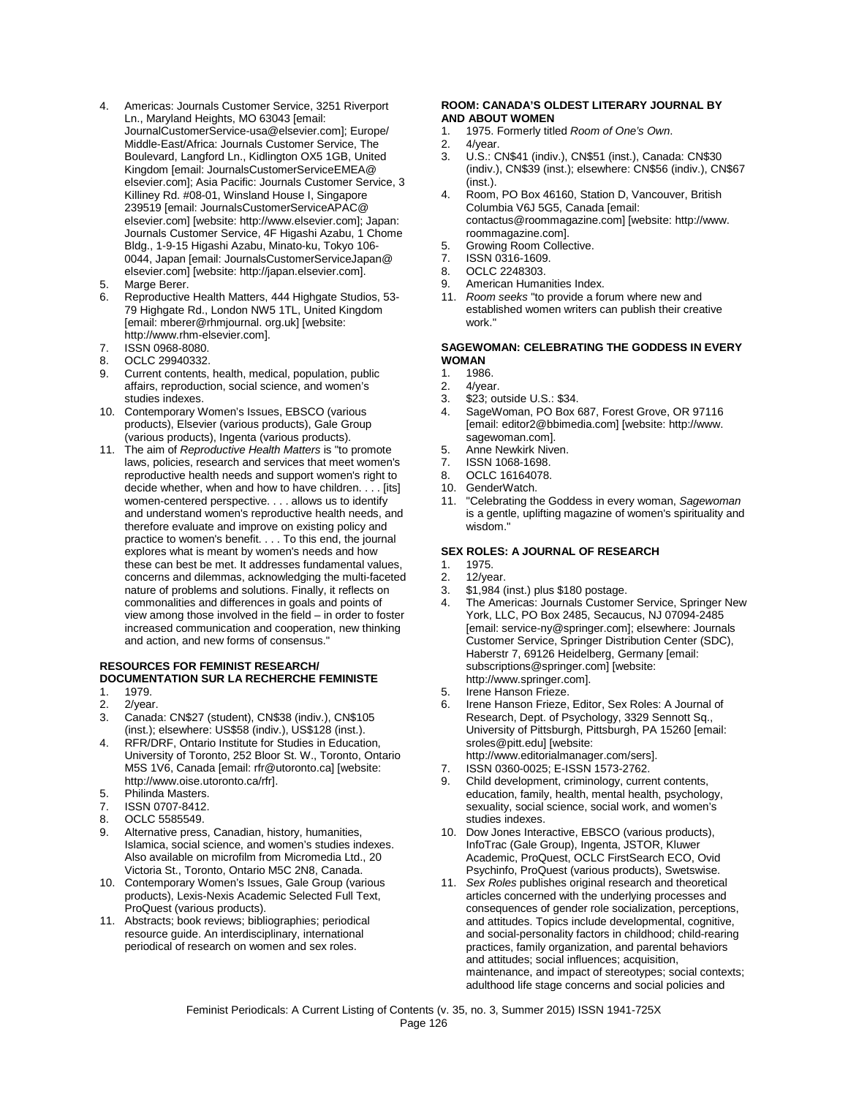- 4. Americas: Journals Customer Service, 3251 Riverport Ln., Maryland Heights, MO 63043 [email: JournalCustomerService-usa@elsevier.com]; Europe/ Middle-East/Africa: Journals Customer Service, The Boulevard, Langford Ln., Kidlington OX5 1GB, United Kingdom [email: JournalsCustomerServiceEMEA@ elsevier.com]; Asia Pacific: Journals Customer Service, 3 Killiney Rd. #08-01, Winsland House I, Singapore 239519 [email: JournalsCustomerServiceAPAC@ elsevier.com] [website: http://www.elsevier.com]; Japan: Journals Customer Service, 4F Higashi Azabu, 1 Chome Bldg., 1-9-15 Higashi Azabu, Minato-ku, Tokyo 106- 0044, Japan [email: JournalsCustomerServiceJapan@ elsevier.com] [website: http://japan.elsevier.com].
- 5. Marge Berer.<br>6. Reproductive
- Reproductive Health Matters, 444 Highgate Studios, 53-79 Highgate Rd., London NW5 1TL, United Kingdom [email: mberer@rhmjournal. org.uk] [website: http://www.rhm-elsevier.com].
- 7. ISSN 0968-8080.<br>8 OCLC 29940332.
- 8. OCLC 29940332.<br>9. Current contents
- 9. Current contents, health, medical, population, public affairs, reproduction, social science, and women's studies indexes.
- 10. Contemporary Women's Issues, EBSCO (various products), Elsevier (various products), Gale Group (various products), Ingenta (various products).
- 11. The aim of *Reproductive Health Matters* is "to promote laws, policies, research and services that meet women's reproductive health needs and support women's right to decide whether, when and how to have children. . . . [its] women-centered perspective. . . . allows us to identify and understand women's reproductive health needs, and therefore evaluate and improve on existing policy and practice to women's benefit. . . . To this end, the journal explores what is meant by women's needs and how these can best be met. It addresses fundamental values, concerns and dilemmas, acknowledging the multi-faceted nature of problems and solutions. Finally, it reflects on commonalities and differences in goals and points of view among those involved in the field – in order to foster increased communication and cooperation, new thinking and action, and new forms of consensus."

## **RESOURCES FOR FEMINIST RESEARCH/ DOCUMENTATION SUR LA RECHERCHE FEMINISTE**

- 1979.
- 2. 2/year.<br>3 Canada 3. Canada: CN\$27 (student), CN\$38 (indiv.), CN\$105 (inst.); elsewhere: US\$58 (indiv.), US\$128 (inst.).
- 4. RFR/DRF, Ontario Institute for Studies in Education, University of Toronto, 252 Bloor St. W., Toronto, Ontario M5S 1V6, Canada [email: rfr@utoronto.ca] [website: http://www.oise.utoronto.ca/rfr].
- 5. Philinda Masters.
- 7. ISSN 0707-8412.
- 8. OCLC 5585549.
- 9. Alternative press, Canadian, history, humanities, Islamica, social science, and women's studies indexes. Also available on microfilm from Micromedia Ltd., 20 Victoria St., Toronto, Ontario M5C 2N8, Canada.
- 10. Contemporary Women's Issues, Gale Group (various products), Lexis-Nexis Academic Selected Full Text, ProQuest (various products).
- 11. Abstracts; book reviews; bibliographies; periodical resource guide. An interdisciplinary, international periodical of research on women and sex roles.

#### **ROOM: CANADA'S OLDEST LITERARY JOURNAL BY AND ABOUT WOMEN**

- 1. 1975. Formerly titled *Room of One's Own*.
- $4$ /year.
- 3. U.S.: CN\$41 (indiv.), CN\$51 (inst.), Canada: CN\$30 (indiv.), CN\$39 (inst.); elsewhere: CN\$56 (indiv.), CN\$67 (inst.).
- 4. Room, PO Box 46160, Station D, Vancouver, British Columbia V6J 5G5, Canada [email: contactus@roommagazine.com] [website: http://www. roommagazine.com].
- 5. Growing Room Collective.<br>7. ISSN 0316-1609.
- 7. ISSN 0316-1609.<br>8. OCLC 2248303.
- OCLC 2248303.
- 9. American Humanities Index.
- 11. *Room seeks* "to provide a forum where new and established women writers can publish their creative work."

## **SAGEWOMAN: CELEBRATING THE GODDESS IN EVERY WOMAN**

- 1. 1986.
- 2. 4/year.<br>3. \$23: ou
- \$23; outside U.S.: \$34.
- 4. SageWoman, PO Box 687, Forest Grove, OR 97116 [email: editor2@bbimedia.com] [website: http://www. sagewoman.com].
- 5. Anne Newkirk Niven.
- 7. ISSN 1068-1698.
- 8. OCLC 16164078.
- 10. GenderWatch.
- 11. "Celebrating the Goddess in every woman, *Sagewoman* is a gentle, uplifting magazine of women's spirituality and wisdom."

#### **SEX ROLES: A JOURNAL OF RESEARCH**

- 1. 1975.<br>2. 12/yea
- 2. 12/year.<br>3. \$1,984
- 3. \$1,984 (inst.) plus \$180 postage.
- 4. The Americas: Journals Customer Service, Springer New York, LLC, PO Box 2485, Secaucus, NJ 07094-2485 [email: service-ny@springer.com]; elsewhere: Journals Customer Service, Springer Distribution Center (SDC), Haberstr 7, 69126 Heidelberg, Germany [email: subscriptions@springer.com] [website: http://www.springer.com].
- 5. Irene Hanson Frieze.
- 6. Irene Hanson Frieze, Editor, Sex Roles: A Journal of Research, Dept. of Psychology, 3329 Sennott Sq., University of Pittsburgh, Pittsburgh, PA 15260 [email: sroles@pitt.edu] [website: http://www.editorialmanager.com/sers].
- 7. ISSN 0360-0025; E-ISSN 1573-2762.
- 9. Child development, criminology, current contents, education, family, health, mental health, psychology, sexuality, social science, social work, and women's studies indexes.
- 10. Dow Jones Interactive, EBSCO (various products), InfoTrac (Gale Group), Ingenta, JSTOR, Kluwer Academic, ProQuest, OCLC FirstSearch ECO, Ovid Psychinfo, ProQuest (various products), Swetswise.
- 11. *Sex Roles* publishes original research and theoretical articles concerned with the underlying processes and consequences of gender role socialization, perceptions, and attitudes. Topics include developmental, cognitive, and social-personality factors in childhood; child-rearing practices, family organization, and parental behaviors and attitudes; social influences; acquisition, maintenance, and impact of stereotypes; social contexts; adulthood life stage concerns and social policies and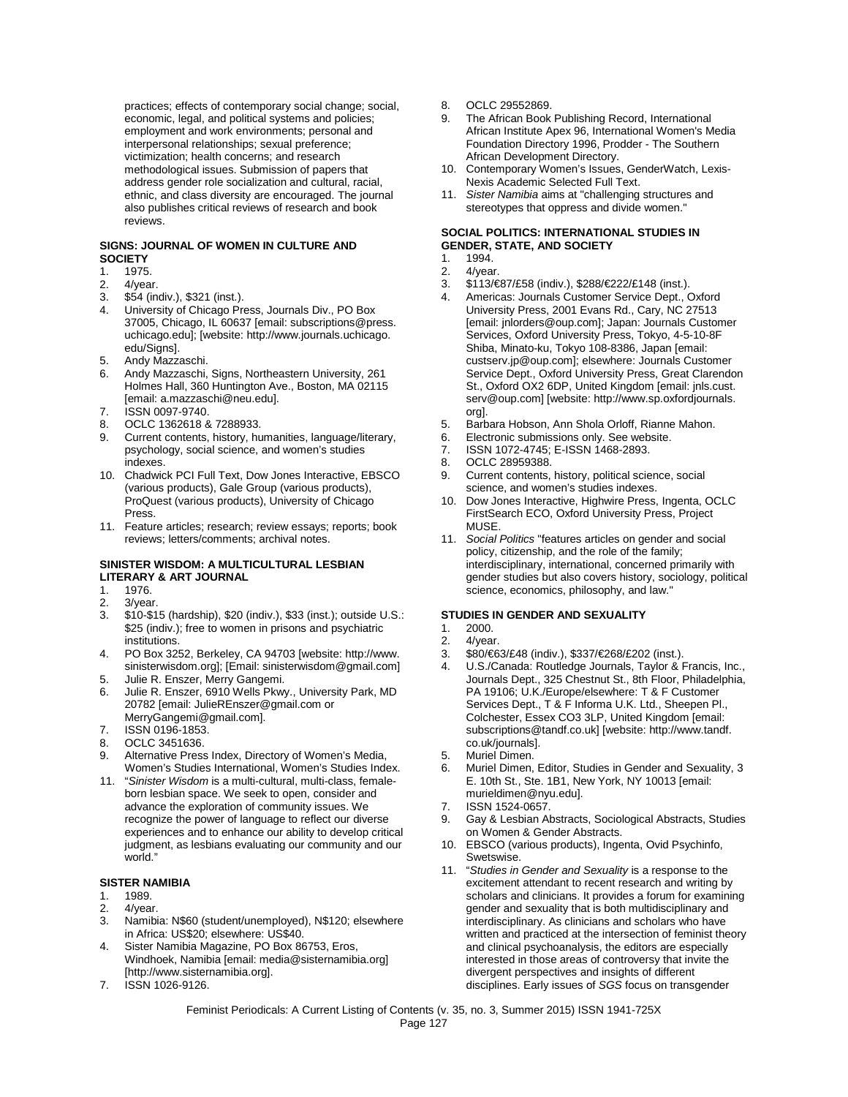practices; effects of contemporary social change; social, economic, legal, and political systems and policies; employment and work environments; personal and interpersonal relationships; sexual preference; victimization; health concerns; and research methodological issues. Submission of papers that address gender role socialization and cultural, racial, ethnic, and class diversity are encouraged. The journal also publishes critical reviews of research and book reviews.

## **SIGNS: JOURNAL OF WOMEN IN CULTURE AND SOCIETY**<br>1. 1975

- 1. 1975.<br>2 4/yea
- 2. 4/year.<br>3. \$54 (in
- 3. \$54 (indiv.), \$321 (inst.).
- 4. University of Chicago Press, Journals Div., PO Box 37005, Chicago, IL 60637 [email: subscriptions@press. uchicago.edu]; [website: http://www.journals.uchicago. edu/Siansl.
- 5. Andy Mazzaschi.<br>6. Andy Mazzaschi
- 6. Andy Mazzaschi, Signs, Northeastern University, 261 Holmes Hall, 360 Huntington Ave., Boston, MA 02115 [email: a.mazzaschi@neu.edu].
- 7. **ISSN 0097-9740.**<br>8 OCLC 1362618.8
- OCLC 1362618 & 7288933.
- 9. Current contents, history, humanities, language/literary, psychology, social science, and women's studies indexes.
- 10. Chadwick PCI Full Text, Dow Jones Interactive, EBSCO (various products), Gale Group (various products), ProQuest (various products), University of Chicago Press.
- 11. Feature articles; research; review essays; reports; book reviews; letters/comments; archival notes.

#### **SINISTER WISDOM: A MULTICULTURAL LESBIAN LITERARY & ART JOURNAL**

- 1. 1976.
- 2. 3/year.<br>3. \$10-\$1
- 3. \$10-\$15 (hardship), \$20 (indiv.), \$33 (inst.); outside U.S.: \$25 (indiv.); free to women in prisons and psychiatric institutions.
- 4. PO Box 3252, Berkeley, CA 94703 [website: http://www. sinisterwisdom.org]; [Email: sinisterwisdom@gmail.com]
- 5. Julie R. Enszer, Merry Gangemi.<br>6. Julie R. Enszer, 6910 Wells Pkwy Julie R. Enszer, 6910 Wells Pkwy., University Park, MD 20782 [email: JulieREnszer@gmail.com or MerryGangemi@gmail.com].
- 7. ISSN 0196-1853.
- 8. OCLC 3451636.
- 9. Alternative Press Index, Directory of Women's Media, Women's Studies International, Women's Studies Index.
- 11. "*Sinister Wisdom* is a multi-cultural, multi-class, femaleborn lesbian space. We seek to open, consider and advance the exploration of community issues. We recognize the power of language to reflect our diverse experiences and to enhance our ability to develop critical judgment, as lesbians evaluating our community and our world."

#### **SISTER NAMIBIA**

- 1. 1989.
- 2. 4/year.
- 3. Namibia: N\$60 (student/unemployed), N\$120; elsewhere in Africa: US\$20; elsewhere: US\$40.
- 4. Sister Namibia Magazine, PO Box 86753, Eros, Windhoek, Namibia [email: media@sisternamibia.org] [http://www.sisternamibia.org].
- 7. ISSN 1026-9126.
- 8. OCLC 29552869.
- 9. The African Book Publishing Record, International African Institute Apex 96, International Women's Media Foundation Directory 1996, Prodder - The Southern African Development Directory.
- 10. Contemporary Women's Issues, GenderWatch, Lexis-Nexis Academic Selected Full Text.
- 11. *Sister Namibia* aims at "challenging structures and stereotypes that oppress and divide women."

#### **SOCIAL POLITICS: INTERNATIONAL STUDIES IN GENDER, STATE, AND SOCIETY**

- 1. 1994.<br>2. 4/yea
- 4/vear.
- 3. \$113/€87/£58 (indiv.), \$288/€222/£148 (inst.).
- 4. Americas: Journals Customer Service Dept., Oxford University Press, 2001 Evans Rd., Cary, NC 27513 [email: jnlorders@oup.com]; Japan: Journals Customer Services, Oxford University Press, Tokyo, 4-5-10-8F Shiba, Minato-ku, Tokyo 108-8386, Japan [email: custserv.jp@oup.com]; elsewhere: Journals Customer Service Dept., Oxford University Press, Great Clarendon St., Oxford OX2 6DP, United Kingdom [email: jnls.cust. serv@oup.com] [website: http://www.sp.oxfordjournals. org].
- 5. Barbara Hobson, Ann Shola Orloff, Rianne Mahon.
- 6. Electronic submissions only. See website.<br>7. ISSN 1072-4745: F-ISSN 1468-2893.
- ISSN 1072-4745; E-ISSN 1468-2893.
- 8. OCLC 28959388.
- 9. Current contents, history, political science, social science, and women's studies indexes.
- 10. Dow Jones Interactive, Highwire Press, Ingenta, OCLC FirstSearch ECO, Oxford University Press, Project MUSE.
- 11. *Social Politics* "features articles on gender and social policy, citizenship, and the role of the family; interdisciplinary, international, concerned primarily with gender studies but also covers history, sociology, political science, economics, philosophy, and law."

#### **STUDIES IN GENDER AND SEXUALITY**

- 1. 2000.
- 2. 4/year.<br>3. \$80/€6
- 3.  $$80/\text{\textless}\,63/E48$  (indiv.),  $$337/\text{\textless}\,6202$  (inst.).<br>4. U.S./Canada: Routledge Journals, Taylor & B
- 4. U.S./Canada: Routledge Journals, Taylor & Francis, Inc., Journals Dept., 325 Chestnut St., 8th Floor, Philadelphia, PA 19106; U.K./Europe/elsewhere: T & F Customer Services Dept., T & F Informa U.K. Ltd., Sheepen Pl., Colchester, Essex CO3 3LP, United Kingdom [email: subscriptions@tandf.co.uk] [website: http://www.tandf. co.uk/journals].
- 5. Muriel Dimen.
- 6. Muriel Dimen, Editor, Studies in Gender and Sexuality, 3 E. 10th St., Ste. 1B1, New York, NY 10013 [email: murieldimen@nyu.edu].
- 7. ISSN 1524-0657.
- 9. Gay & Lesbian Abstracts, Sociological Abstracts, Studies on Women & Gender Abstracts.
- 10. EBSCO (various products), Ingenta, Ovid Psychinfo, Swetswise.
- 11. "*Studies in Gender and Sexuality* is a response to the excitement attendant to recent research and writing by scholars and clinicians. It provides a forum for examining gender and sexuality that is both multidisciplinary and interdisciplinary. As clinicians and scholars who have written and practiced at the intersection of feminist theory and clinical psychoanalysis, the editors are especially interested in those areas of controversy that invite the divergent perspectives and insights of different disciplines. Early issues of *SGS* focus on transgender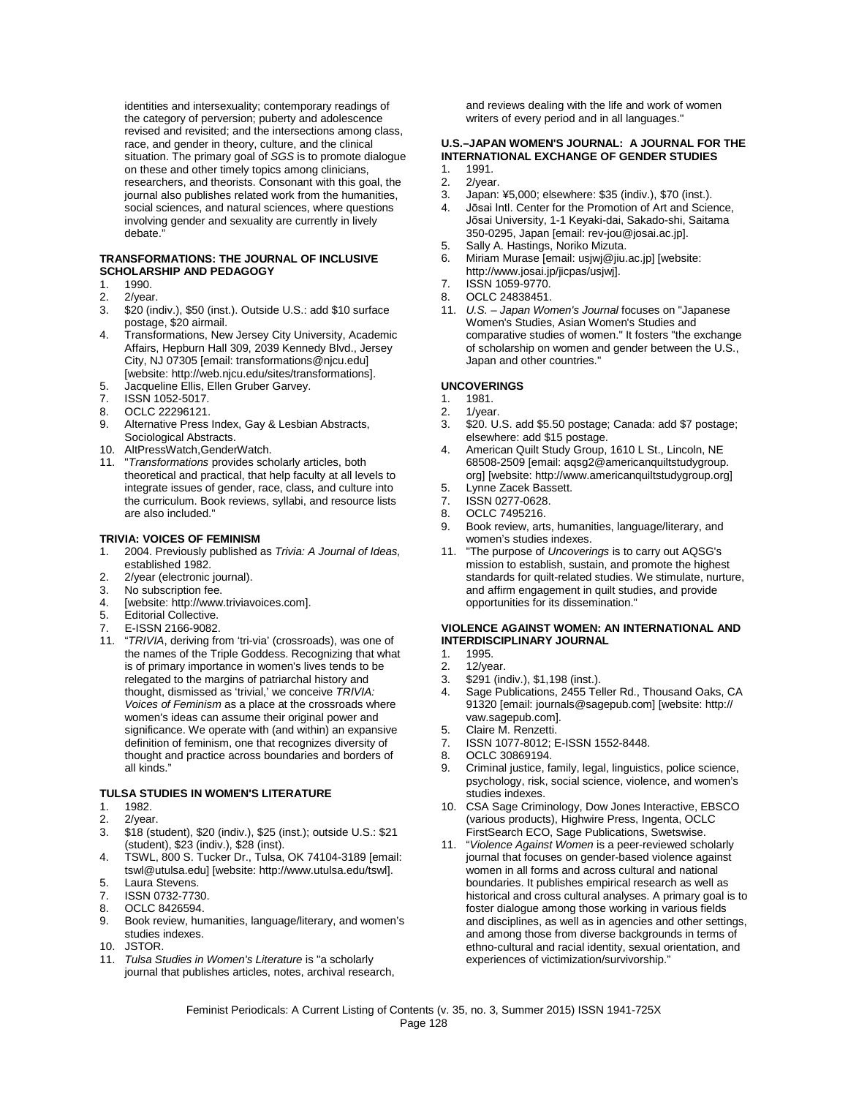identities and intersexuality; contemporary readings of the category of perversion; puberty and adolescence revised and revisited; and the intersections among class, race, and gender in theory, culture, and the clinical situation. The primary goal of *SGS* is to promote dialogue on these and other timely topics among clinicians, researchers, and theorists. Consonant with this goal, the journal also publishes related work from the humanities, social sciences, and natural sciences, where questions involving gender and sexuality are currently in lively debate

#### **TRANSFORMATIONS: THE JOURNAL OF INCLUSIVE SCHOLARSHIP AND PEDAGOGY**

- 1. 1990.<br>2. 2/yea
- 2. 2/year.<br>3. \$20 (in
- \$20 (indiv.), \$50 (inst.). Outside U.S.: add \$10 surface postage, \$20 airmail.
- 4. Transformations, New Jersey City University, Academic Affairs, Hepburn Hall 309, 2039 Kennedy Blvd., Jersey City, NJ 07305 [email: transformations@njcu.edu] [website: http://web.njcu.edu/sites/transformations].
- 5. Jacqueline Ellis, Ellen Gruber Garvey.<br>7. ISSN 1052-5017.
- ISSN 1052-5017.
- 8. OCLC 22296121.<br>9. Alternative Press.
- Alternative Press Index, Gay & Lesbian Abstracts, Sociological Abstracts.
- 10. AltPressWatch,GenderWatch.
- 11. "*Transformations* provides scholarly articles, both theoretical and practical, that help faculty at all levels to integrate issues of gender, race, class, and culture into the curriculum. Book reviews, syllabi, and resource lists are also included."

#### **TRIVIA: VOICES OF FEMINISM**

- 1. 2004. Previously published as *Trivia: A Journal of Ideas,*  established 1982.
- 2. 2/year (electronic journal).<br>3. No subscription fee.
- No subscription fee.
- 4. [website: http://www.triviavoices.com].<br>5. Fditorial Collective.
- Editorial Collective.
- 7. E-ISSN 2166-9082.
- 11. "*TRIVIA*, deriving from 'tri-via' (crossroads), was one of the names of the Triple Goddess. Recognizing that what is of primary importance in women's lives tends to be relegated to the margins of patriarchal history and thought, dismissed as 'trivial,' we conceive *TRIVIA: Voices of Feminism* as a place at the crossroads where women's ideas can assume their original power and significance. We operate with (and within) an expansive definition of feminism, one that recognizes diversity of thought and practice across boundaries and borders of all kinds."

#### **TULSA STUDIES IN WOMEN'S LITERATURE**

- 1. 1982.
- 2. 2/year.
- 3. \$18 (student), \$20 (indiv.), \$25 (inst.); outside U.S.: \$21 (student), \$23 (indiv.), \$28 (inst).
- 4. TSWL, 800 S. Tucker Dr., Tulsa, OK 74104-3189 [email: tswl@utulsa.edu] [website: http://www.utulsa.edu/tswl].
- 5. Laura Stevens.
- 7. ISSN 0732-7730.
- 8. OCLC 8426594.
- 9. Book review, humanities, language/literary, and women's studies indexes.
- 10. JSTOR.
- 11. *Tulsa Studies in Women's Literature* is "a scholarly journal that publishes articles, notes, archival research,

and reviews dealing with the life and work of women writers of every period and in all languages."

#### **U.S.–JAPAN WOMEN'S JOURNAL: A JOURNAL FOR THE INTERNATIONAL EXCHANGE OF GENDER STUDIES**

- 1. 1991.<br>2. 2/year
- 2. 2/year.<br>3. Japan:
- 3. Japan: ¥5,000; elsewhere: \$35 (indiv.), \$70 (inst.).
- 4. Jōsai Intl. Center for the Promotion of Art and Science, Jōsai University, 1-1 Keyaki-dai, Sakado-shi, Saitama 350-0295, Japan [email: rev-jou@josai.ac.jp].
- 5. Sally A. Hastings, Noriko Mizuta.<br>6. Miriam Murase [email: usjwj@jiu.
- Miriam Murase [email: usjwj@jiu.ac.jp] [website: http://www.josai.jp/jicpas/usjwj].
- 7. ISSN 1059-9770.
- 8. OCLC 24838451.
- 11. *U.S. – Japan Women's Journal* focuses on "Japanese Women's Studies, Asian Women's Studies and comparative studies of women." It fosters "the exchange of scholarship on women and gender between the U.S., Japan and other countries."

#### **UNCOVERINGS**

- 1. 1981.
- 2. 1/year.<br>3 \$20 U
- \$20. U.S. add \$5.50 postage; Canada: add \$7 postage; elsewhere: add \$15 postage.
- 4. American Quilt Study Group, 1610 L St., Lincoln, NE 68508-2509 [email: aqsg2@americanquiltstudygroup. org] [website: http://www.americanquiltstudygroup.org]
- 5. Lynne Zacek Bassett.<br>7. ISSN 0277-0628.
- ISSN 0277-0628.
- 8. OCLC 7495216.
- 9. Book review, arts, humanities, language/literary, and women's studies indexes.
- 11. "The purpose of *Uncoverings* is to carry out AQSG's mission to establish, sustain, and promote the highest standards for quilt-related studies. We stimulate, nurture, and affirm engagement in quilt studies, and provide opportunities for its dissemination."

#### **VIOLENCE AGAINST WOMEN: AN INTERNATIONAL AND INTERDISCIPLINARY JOURNAL**

- 1. 1995.<br>2. 12/ve
- 12/year.
- 3. \$291 (indiv.), \$1,198 (inst.).
- Sage Publications, 2455 Teller Rd., Thousand Oaks, CA 91320 [email: journals@sagepub.com] [website: http:// vaw.sagepub.com].
- 5. Claire M. Renzetti.
- 7. ISSN 1077-8012; E-ISSN 1552-8448.
- 8. OCLC 30869194.<br>9. Criminal justice fa
- 9. Criminal justice, family, legal, linguistics, police science, psychology, risk, social science, violence, and women's studies indexes.
- 10. CSA Sage Criminology, Dow Jones Interactive, EBSCO (various products), Highwire Press, Ingenta, OCLC FirstSearch ECO, Sage Publications, Swetswise.
- 11. "*Violence Against Women* is a peer-reviewed scholarly journal that focuses on gender-based violence against women in all forms and across cultural and national boundaries. It publishes empirical research as well as historical and cross cultural analyses. A primary goal is to foster dialogue among those working in various fields and disciplines, as well as in agencies and other settings, and among those from diverse backgrounds in terms of ethno-cultural and racial identity, sexual orientation, and experiences of victimization/survivorship."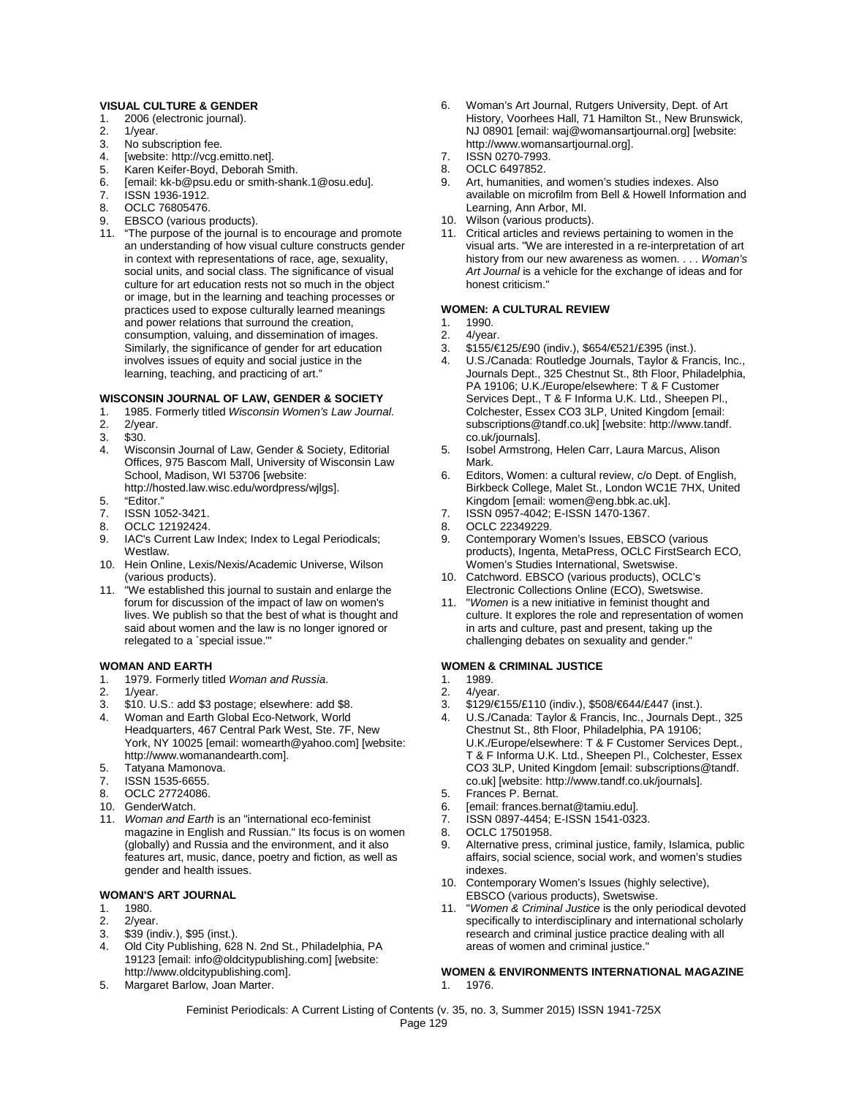#### **VISUAL CULTURE & GENDER**

- 1. 2006 (electronic journal).<br>2. 1/year.
- 1/year.
- 
- 3. No subscription fee.<br>4. [website: http://vca.e
- 4. [website: http://vcg.emitto.net].<br>5. Karen Keifer-Boyd, Deborah Si
- 5. Karen Keifer-Boyd, Deborah Smith.<br>6. Iemail: kk-b@nsu edu or smith-shar [email: kk-b@psu.edu or smith-shank.1@osu.edu].
- 7. ISSN 1936-1912.
- 8. OCLC 76805476.
- 9. EBSCO (various products).
- 11. "The purpose of the journal is to encourage and promote an understanding of how visual culture constructs gender in context with representations of race, age, sexuality, social units, and social class. The significance of visual culture for art education rests not so much in the object or image, but in the learning and teaching processes or practices used to expose culturally learned meanings and power relations that surround the creation, consumption, valuing, and dissemination of images. Similarly, the significance of gender for art education involves issues of equity and social justice in the learning, teaching, and practicing of art."

#### **WISCONSIN JOURNAL OF LAW, GENDER & SOCIETY**

- 1. 1985. Formerly titled *Wisconsin Women's Law Journal*.
- 2/year.
- 
- 3. \$30. Wisconsin Journal of Law, Gender & Society, Editorial Offices, 975 Bascom Mall, University of Wisconsin Law School, Madison, WI 53706 [website: http://hosted.law.wisc.edu/wordpress/wjlgs].
- 5. "Editor."
- 7. ISSN 1052-3421.<br>8 OCLC 12192424
- 8. OCLC 12192424.<br>9. IAC's Current Law
- IAC's Current Law Index; Index to Legal Periodicals; Westlaw.
- 10. Hein Online, Lexis/Nexis/Academic Universe, Wilson (various products).
- 11. "We established this journal to sustain and enlarge the forum for discussion of the impact of law on women's lives. We publish so that the best of what is thought and said about women and the law is no longer ignored or relegated to a `special issue.'"

#### **WOMAN AND EARTH**

- 1. 1979. Formerly titled *Woman and Russia*.
- 1/year.
- 3. \$10. U.S.: add \$3 postage; elsewhere: add \$8.
- 4. Woman and Earth Global Eco-Network, World Headquarters, 467 Central Park West, Ste. 7F, New York, NY 10025 [email: womearth@yahoo.com] [website: http://www.womanandearth.com].
- 5. Tatyana Mamonova.
- 7. ISSN 1535-6655.
- 8. OCLC 27724086.
- 10. GenderWatch.
- 11. *Woman and Earth* is an "international eco-feminist magazine in English and Russian." Its focus is on women (globally) and Russia and the environment, and it also features art, music, dance, poetry and fiction, as well as gender and health issues.

#### **WOMAN'S ART JOURNAL**

- 1. 1980.
- 2. 2/year.
- 3. \$39 (indiv.), \$95 (inst.).
- 4. Old City Publishing, 628 N. 2nd St., Philadelphia, PA 19123 [email: info@oldcitypublishing.com] [website: http://www.oldcitypublishing.com].
- 5. Margaret Barlow, Joan Marter.
- 6. Woman's Art Journal, Rutgers University, Dept. of Art History, Voorhees Hall, 71 Hamilton St., New Brunswick, NJ 08901 [email: waj@womansartjournal.org] [website: http://www.womansartjournal.org].
- 7. ISSN 0270-7993.
- 8. OCLC 6497852.<br>9. Art. humanities.
- Art, humanities, and women's studies indexes. Also available on microfilm from Bell & Howell Information and Learning, Ann Arbor, MI.
- 10. Wilson (various products).
- 11. Critical articles and reviews pertaining to women in the visual arts. "We are interested in a re-interpretation of art history from our new awareness as women. . . . *Woman's Art Journal* is a vehicle for the exchange of ideas and for honest criticism."

#### **WOMEN: A CULTURAL REVIEW**

- 1. 1990.
- 2. 4/year.<br>3. \$155/€
- 3. \$155/€125/£90 (indiv.), \$654/€521/£395 (inst.).
- 4. U.S./Canada: Routledge Journals, Taylor & Francis, Inc., Journals Dept., 325 Chestnut St., 8th Floor, Philadelphia, PA 19106; U.K./Europe/elsewhere: T & F Customer Services Dept., T & F Informa U.K. Ltd., Sheepen Pl., Colchester, Essex CO3 3LP, United Kingdom [email: subscriptions@tandf.co.uk] [website: http://www.tandf. co.uk/journals].
- 5. Isobel Armstrong, Helen Carr, Laura Marcus, Alison Mark.
- 6. Editors, Women: a cultural review, c/o Dept. of English, Birkbeck College, Malet St., London WC1E 7HX, United Kingdom [email: women@eng.bbk.ac.uk].
- 7. ISSN 0957-4042; E-ISSN 1470-1367.
- 
- 8. OCLC 22349229.<br>9. Contemporary We 9. Contemporary Women's Issues, EBSCO (various products), Ingenta, MetaPress, OCLC FirstSearch ECO, Women's Studies International, Swetswise.
- 10. Catchword. EBSCO (various products), OCLC's Electronic Collections Online (ECO), Swetswise.
- 11. "*Women* is a new initiative in feminist thought and culture. It explores the role and representation of women in arts and culture, past and present, taking up the challenging debates on sexuality and gender."

# **WOMEN & CRIMINAL JUSTICE**

- 1. 1989.<br>2. 4/year
- 4/year.
- 3.  $$129/\text{\textless}\,110$  (indiv.),  $$508/\text{\textless}\,44/2447$  (inst.).<br>4. U.S. Canada: Taylor & Francis, Inc., Journals De
- U.S./Canada: Taylor & Francis, Inc., Journals Dept., 325 Chestnut St., 8th Floor, Philadelphia, PA 19106; U.K./Europe/elsewhere: T & F Customer Services Dept., T & F Informa U.K. Ltd., Sheepen Pl., Colchester, Essex CO3 3LP, United Kingdom [email: subscriptions@tandf. co.uk] [website: http://www.tandf.co.uk/journals].
- 5. Frances P. Bernat.<br>6 Femail: frances.berr
- 6. [email: frances.bernat@tamiu.edu].
- 7. ISSN 0897-4454; E-ISSN 1541-0323.
- 8. OCLC 17501958.
- Alternative press, criminal justice, family, Islamica, public affairs, social science, social work, and women's studies indexes.
- 10. Contemporary Women's Issues (highly selective), EBSCO (various products), Swetswise.
- 11. "*Women & Criminal Justice* is the only periodical devoted specifically to interdisciplinary and international scholarly research and criminal justice practice dealing with all areas of women and criminal justice."

#### **WOMEN & ENVIRONMENTS INTERNATIONAL MAGAZINE** 1. 1976.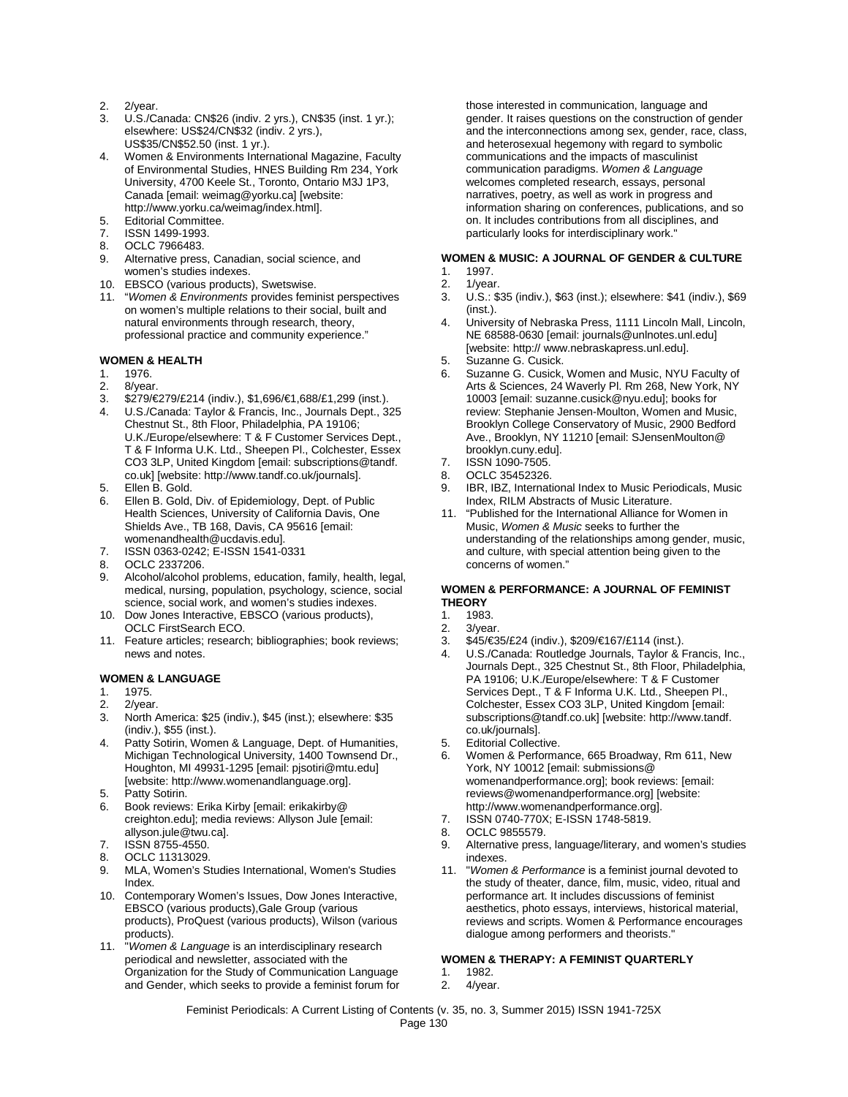- 2. 2/year.
- 3. U.S./Canada: CN\$26 (indiv. 2 yrs.), CN\$35 (inst. 1 yr.); elsewhere: US\$24/CN\$32 (indiv. 2 yrs.), US\$35/CN\$52.50 (inst. 1 yr.).
- 4. Women & Environments International Magazine, Faculty of Environmental Studies, HNES Building Rm 234, York University, 4700 Keele St., Toronto, Ontario M3J 1P3, Canada [email: weimag@yorku.ca] [website: http://www.yorku.ca/weimag/index.html].
- 5. Editorial Committee.
- 7. ISSN 1499-1993.<br>8. OCLC 7966483.
- OCLC 7966483.
- 9. Alternative press, Canadian, social science, and women's studies indexes.
- 10. EBSCO (various products), Swetswise.
- 11. "*Women & Environments* provides feminist perspectives on women's multiple relations to their social, built and natural environments through research, theory, professional practice and community experience."

#### **WOMEN & HEALTH**

- 1. 1976.
- 2. 8/year.<br>3. \$279/€
- 3. \$279/€279/£214 (indiv.), \$1,696/€1,688/£1,299 (inst.).
- 4. U.S./Canada: Taylor & Francis, Inc., Journals Dept., 325 Chestnut St., 8th Floor, Philadelphia, PA 19106; U.K./Europe/elsewhere: T & F Customer Services Dept., T & F Informa U.K. Ltd., Sheepen Pl., Colchester, Essex CO3 3LP, United Kingdom [email: subscriptions@tandf. co.uk] [website: http://www.tandf.co.uk/journals].
- 5. Ellen B. Gold.
- 6. Ellen B. Gold, Div. of Epidemiology, Dept. of Public Health Sciences, University of California Davis, One Shields Ave., TB 168, Davis, CA 95616 [email: womenandhealth@ucdavis.edu].
- 7. ISSN 0363-0242; E-ISSN 1541-0331
- 8. OCLC 2337206.
- 9. Alcohol/alcohol problems, education, family, health, legal, medical, nursing, population, psychology, science, social science, social work, and women's studies indexes.
- 10. Dow Jones Interactive, EBSCO (various products), OCLC FirstSearch ECO.
- 11. Feature articles; research; bibliographies; book reviews; news and notes.

#### **WOMEN & LANGUAGE**

- 1. 1975.
- 2. 2/year.<br>3 North 4
- 3. North America: \$25 (indiv.), \$45 (inst.); elsewhere: \$35 (indiv.), \$55 (inst.).
- 4. Patty Sotirin, Women & Language, Dept. of Humanities, Michigan Technological University, 1400 Townsend Dr., Houghton, MI 49931-1295 [email: pjsotiri@mtu.edu] [website: http://www.womenandlanguage.org].
- 5. Patty Sotirin.
- 6. Book reviews: Erika Kirby [email: erikakirby@ creighton.edu]; media reviews: Allyson Jule [email: allyson.jule@twu.ca].
- 7. ISSN 8755-4550.
- 8. OCLC 11313029.
- 9. MLA, Women's Studies International, Women's Studies Index.
- 10. Contemporary Women's Issues, Dow Jones Interactive, EBSCO (various products),Gale Group (various products), ProQuest (various products), Wilson (various products).
- 11. "*Women & Language* is an interdisciplinary research periodical and newsletter, associated with the Organization for the Study of Communication Language and Gender, which seeks to provide a feminist forum for

those interested in communication, language and gender. It raises questions on the construction of gender and the interconnections among sex, gender, race, class, and heterosexual hegemony with regard to symbolic communications and the impacts of masculinist communication paradigms. *Women & Language* welcomes completed research, essays, personal narratives, poetry, as well as work in progress and information sharing on conferences, publications, and so on. It includes contributions from all disciplines, and particularly looks for interdisciplinary work."

### **WOMEN & MUSIC: A JOURNAL OF GENDER & CULTURE**

- 1. 1997.
- 2. 1/year.
- 3. U.S.: \$35 (indiv.), \$63 (inst.); elsewhere: \$41 (indiv.), \$69 (inst.).
- 4. University of Nebraska Press, 1111 Lincoln Mall, Lincoln, NE 68588-0630 [email: journals@unlnotes.unl.edu] [website: http:// www.nebraskapress.unl.edu].
- 5. Suzanne G. Cusick.<br>6. Suzanne G. Cusick.
- 6. Suzanne G. Cusick, Women and Music, NYU Faculty of Arts & Sciences, 24 Waverly Pl. Rm 268, New York, NY 10003 [email: suzanne.cusick@nyu.edu]; books for review: Stephanie Jensen-Moulton, Women and Music, Brooklyn College Conservatory of Music, 2900 Bedford Ave., Brooklyn, NY 11210 [email: SJensenMoulton@ brooklyn.cuny.edu].
- 7. ISSN 1090-7505.
- 8. OCLC 35452326.
- 9. IBR, IBZ, International Index to Music Periodicals, Music Index, RILM Abstracts of Music Literature.
- 11. "Published for the International Alliance for Women in Music, *Women & Music* seeks to further the understanding of the relationships among gender, music, and culture, with special attention being given to the concerns of women."

#### **WOMEN & PERFORMANCE: A JOURNAL OF FEMINIST THEORY**

- 1. 1983.
- 2. 3/year.
- 3. \$45/€35/£24 (indiv.), \$209/€167/£114 (inst.).
- 4. U.S./Canada: Routledge Journals, Taylor & Francis, Inc., Journals Dept., 325 Chestnut St., 8th Floor, Philadelphia, PA 19106; U.K./Europe/elsewhere: T & F Customer Services Dept., T & F Informa U.K. Ltd., Sheepen Pl., Colchester, Essex CO3 3LP, United Kingdom [email: subscriptions@tandf.co.uk] [website: http://www.tandf. co.uk/journals].
- 5. Editorial Collective.
- 6. Women & Performance, 665 Broadway, Rm 611, New York, NY 10012 [email: submissions@ womenandperformance.org]; book reviews: [email: reviews@womenandperformance.org] [website: http://www.womenandperformance.org].
- 7. ISSN 0740-770X; E-ISSN 1748-5819.
- 
- 8. OCLC 9855579.<br>9. Alternative press Alternative press, language/literary, and women's studies indexes.
- 11. "*Women & Performance* is a feminist journal devoted to the study of theater, dance, film, music, video, ritual and performance art. It includes discussions of feminist aesthetics, photo essays, interviews, historical material, reviews and scripts. Women & Performance encourages dialogue among performers and theorists."

# **WOMEN & THERAPY: A FEMINIST QUARTERLY**

- 1. 1982.
- 2. 4/year.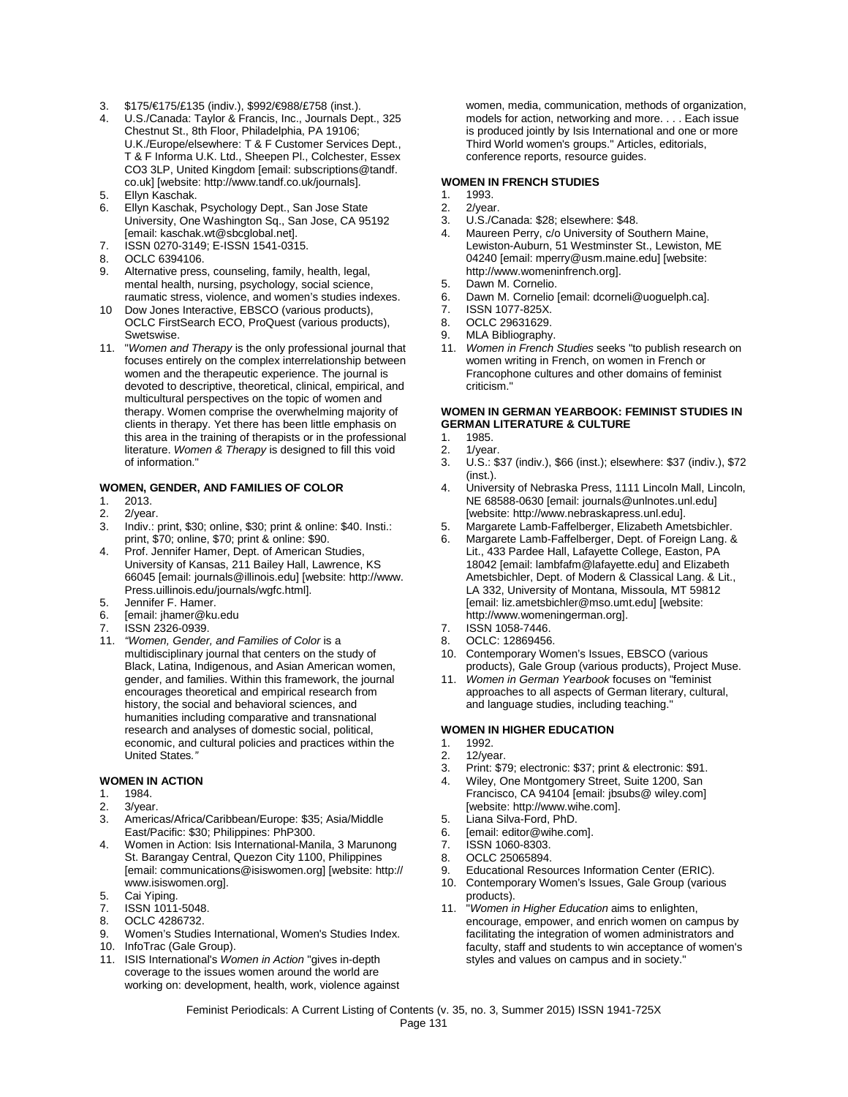- 3. \$175/€175/£135 (indiv.), \$992/€988/£758 (inst.).
- 4. U.S./Canada: Taylor & Francis, Inc., Journals Dept., 325 Chestnut St., 8th Floor, Philadelphia, PA 19106; U.K./Europe/elsewhere: T & F Customer Services Dept., T & F Informa U.K. Ltd., Sheepen Pl., Colchester, Essex CO3 3LP, United Kingdom [email: subscriptions@tandf. co.uk] [website: http://www.tandf.co.uk/journals].
- 5. Ellyn Kaschak.
- 6. Ellyn Kaschak, Psychology Dept., San Jose State University, One Washington Sq., San Jose, CA 95192 [email: kaschak.wt@sbcglobal.net].
- 7. ISSN 0270-3149; E-ISSN 1541-0315.
- 8. OCLC 6394106.<br>9. Alternative press
- Alternative press, counseling, family, health, legal, mental health, nursing, psychology, social science, raumatic stress, violence, and women's studies indexes.
- 10 Dow Jones Interactive, EBSCO (various products), OCLC FirstSearch ECO, ProQuest (various products), Swetswise.
- 11. "*Women and Therapy* is the only professional journal that focuses entirely on the complex interrelationship between women and the therapeutic experience. The journal is devoted to descriptive, theoretical, clinical, empirical, and multicultural perspectives on the topic of women and therapy. Women comprise the overwhelming majority of clients in therapy. Yet there has been little emphasis on this area in the training of therapists or in the professional literature. *Women & Therapy* is designed to fill this void of information."

# **WOMEN, GENDER, AND FAMILIES OF COLOR**

- 2013.
- 2.  $2$ /year.<br>3. Indiv.:
- Indiv.: print, \$30; online, \$30; print & online: \$40. Insti.: print, \$70; online, \$70; print & online: \$90.
- 4. Prof. Jennifer Hamer, Dept. of American Studies, University of Kansas, 211 Bailey Hall, Lawrence, KS 66045 [email: journals@illinois.edu] [website: http://www. Press.uillinois.edu/journals/wgfc.html].
- 5. Jennifer F. Hamer.
- 6. [email: jhamer@ku.edu
- ISSN 2326-0939.
- 11. *"Women, Gender, and Families of Color* is a multidisciplinary journal that centers on the study of Black, Latina, Indigenous, and Asian American women, gender, and families. Within this framework, the journal encourages theoretical and empirical research from history, the social and behavioral sciences, and humanities including comparative and transnational research and analyses of domestic social, political, economic, and cultural policies and practices within the United States*."*

#### **WOMEN IN ACTION**

- 1. 1984.
- 2. 3/year.<br>3. Americ
- 3. Americas/Africa/Caribbean/Europe: \$35; Asia/Middle East/Pacific: \$30; Philippines: PhP300.
- 4. Women in Action: Isis International-Manila, 3 Marunong St. Barangay Central, Quezon City 1100, Philippines [email: communications@isiswomen.org] [website: http:// www.isiswomen.org].
- Cai Yiping.
- 7. ISSN 1011-5048.
- 8. OCLC 4286732.
- 9. Women's Studies International, Women's Studies Index.
- 10. InfoTrac (Gale Group).
- 11. ISIS International's *Women in Action* "gives in-depth coverage to the issues women around the world are working on: development, health, work, violence against

women, media, communication, methods of organization, models for action, networking and more. . . . Each issue is produced jointly by Isis International and one or more Third World women's groups." Articles, editorials, conference reports, resource guides.

#### **WOMEN IN FRENCH STUDIES**

- 1. 1993.<br>2. 2/year
- 2. 2/year.<br>3. U.S./Ca
- U.S./Canada: \$28; elsewhere: \$48.
- 4. Maureen Perry, c/o University of Southern Maine, Lewiston-Auburn, 51 Westminster St., Lewiston, ME 04240 [email: mperry@usm.maine.edu] [website: http://www.womeninfrench.org].
- 5. Dawn M. Cornelio.
- 6. Dawn M. Cornelio [email: dcorneli@uoguelph.ca].
- 
- 7. ISSN 1077-825X. OCLC 29631629.
- 
- 9. MLA Bibliography.<br>11. Women in French 11. *Women in French Studies* seeks "to publish research on women writing in French, on women in French or Francophone cultures and other domains of feminist criticism."

#### **WOMEN IN GERMAN YEARBOOK: FEMINIST STUDIES IN GERMAN LITERATURE & CULTURE**

- 1. 1985.<br>2. 1/yea
- 2. 1/year.<br>3. U.S.: \$
- 3. U.S.: \$37 (indiv.), \$66 (inst.); elsewhere: \$37 (indiv.), \$72 (inst.).
- 4. University of Nebraska Press, 1111 Lincoln Mall, Lincoln, NE 68588-0630 [email: journals@unlnotes.unl.edu] [website: http://www.nebraskapress.unl.edu].
- 5. Margarete Lamb-Faffelberger, Elizabeth Ametsbichler.
- 6. Margarete Lamb-Faffelberger, Dept. of Foreign Lang. & Lit., 433 Pardee Hall, Lafayette College, Easton, PA 18042 [email: lambfafm@lafayette.edu] and Elizabeth Ametsbichler, Dept. of Modern & Classical Lang. & Lit., LA 332, University of Montana, Missoula, MT 59812 [email: liz.ametsbichler@mso.umt.edu] [website: http://www.womeningerman.org].
- 7. ISSN 1058-7446.
- OCLC: 12869456.
- 10. Contemporary Women's Issues, EBSCO (various products), Gale Group (various products), Project Muse.
- 11. *Women in German Yearbook* focuses on "feminist approaches to all aspects of German literary, cultural, and language studies, including teaching."

#### **WOMEN IN HIGHER EDUCATION**

- 1. 1992.
- 2. 12/year.<br>3 Print: \$7
	- Print: \$79; electronic: \$37; print & electronic: \$91.
- 4. Wiley, One Montgomery Street, Suite 1200, San Francisco, CA 94104 [email: jbsubs@ wiley.com] [website: http://www.wihe.com].
- 5. Liana Silva-Ford, PhD.
- 6. [email: editor@wihe.com].
- ISSN 1060-8303.
- 8. OCLC 25065894.
- 9. Educational Resources Information Center (ERIC).
- 10. Contemporary Women's Issues, Gale Group (various products).
- 11. "*Women in Higher Education* aims to enlighten, encourage, empower, and enrich women on campus by facilitating the integration of women administrators and faculty, staff and students to win acceptance of women's styles and values on campus and in society."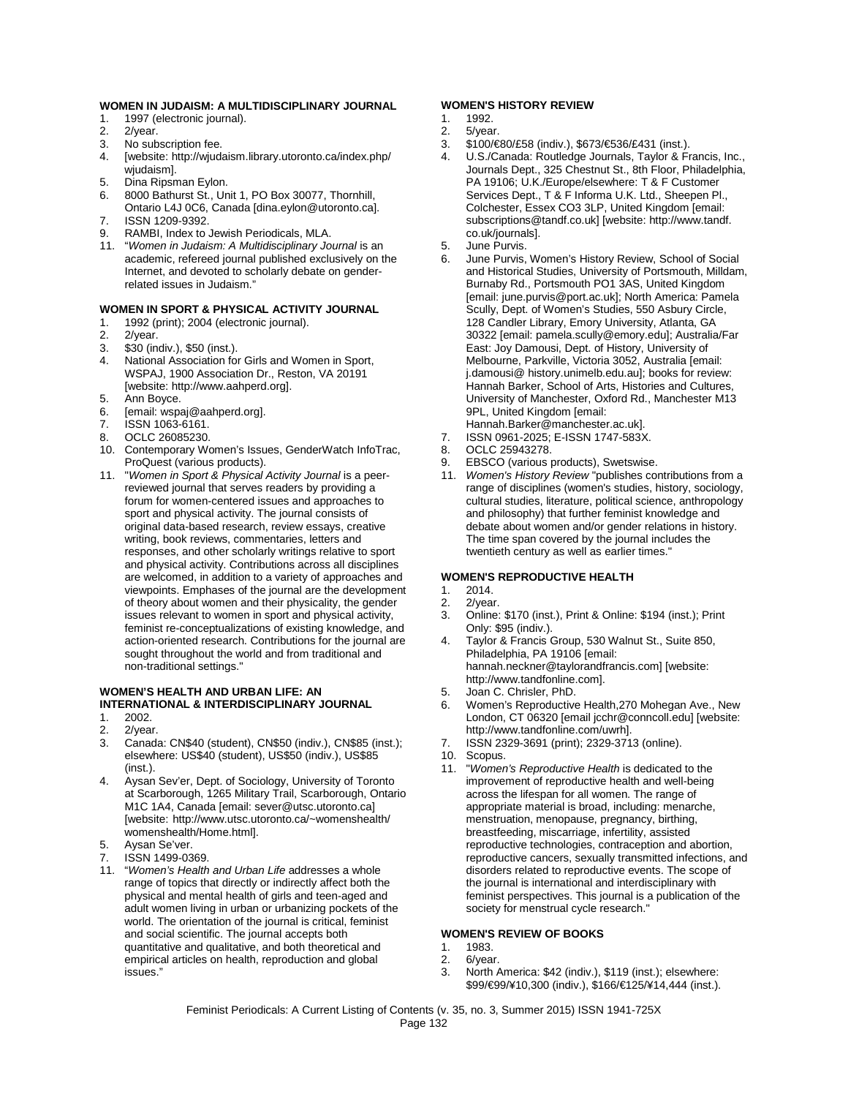#### **WOMEN IN JUDAISM: A MULTIDISCIPLINARY JOURNAL**

- 1. 1997 (electronic journal).<br>2. 2/year.
- 2/year.
- 3. No subscription fee.<br>4. [website: http://wiuda
- 4. [website: http://wjudaism.library.utoronto.ca/index.php/ wjudaism].
- 5. Dina Ripsman Eylon.
- 6. 8000 Bathurst St., Unit 1, PO Box 30077, Thornhill,
- Ontario L4J 0C6, Canada [dina.eylon@utoronto.ca]. 7. ISSN 1209-9392.
- 9. RAMBI, Index to Jewish Periodicals, MLA.
- 11. "*Women in Judaism: A Multidisciplinary Journal* is an academic, refereed journal published exclusively on the Internet, and devoted to scholarly debate on genderrelated issues in Judaism."

#### **WOMEN IN SPORT & PHYSICAL ACTIVITY JOURNAL**

- 1. 1992 (print); 2004 (electronic journal).
- 2. 2/year.<br>3. \$30 (in
- \$30 (indiv.), \$50 (inst.).
- 4. National Association for Girls and Women in Sport, WSPAJ, 1900 Association Dr., Reston, VA 20191 [website: http://www.aahperd.org].
- 5. Ann Boyce.
- 6. [email: wspaj@aahperd.org].<br>7 ISSN 1063-6161
- ISSN 1063-6161.
- 8. OCLC 26085230.
- 10. Contemporary Women's Issues, GenderWatch InfoTrac, ProQuest (various products).
- 11. "*Women in Sport & Physical Activity Journal* is a peerreviewed journal that serves readers by providing a forum for women-centered issues and approaches to sport and physical activity. The journal consists of original data-based research, review essays, creative writing, book reviews, commentaries, letters and responses, and other scholarly writings relative to sport and physical activity. Contributions across all disciplines are welcomed, in addition to a variety of approaches and viewpoints. Emphases of the journal are the development of theory about women and their physicality, the gender issues relevant to women in sport and physical activity, feminist re-conceptualizations of existing knowledge, and action-oriented research. Contributions for the journal are sought throughout the world and from traditional and non-traditional settings."

## **WOMEN'S HEALTH AND URBAN LIFE: AN INTERNATIONAL & INTERDISCIPLINARY JOURNAL**

- 1. 2002.<br>2. 2/yea
- 2. 2/year.<br>3. Canad
- 3. Canada: CN\$40 (student), CN\$50 (indiv.), CN\$85 (inst.); elsewhere: US\$40 (student), US\$50 (indiv.), US\$85 (inst.).
- 4. Aysan Sev'er, Dept. of Sociology, University of Toronto at Scarborough, 1265 Military Trail, Scarborough, Ontario M1C 1A4, Canada [email: sever@utsc.utoronto.ca] [website: http://www.utsc.utoronto.ca/~womenshealth/ womenshealth/Home.html].
- Aysan Se'ver.
- 7. ISSN 1499-0369.
- 11. "*Women's Health and Urban Life* addresses a whole range of topics that directly or indirectly affect both the physical and mental health of girls and teen-aged and adult women living in urban or urbanizing pockets of the world. The orientation of the journal is critical, feminist and social scientific. The journal accepts both quantitative and qualitative, and both theoretical and empirical articles on health, reproduction and global issues."

#### **WOMEN'S HISTORY REVIEW**

## 1. 1992.<br>2. 5/year

- 5/year.
- 3.  $$100/\text{E}38$  (indiv.),  $$673/\text{E}36$ /£431 (inst.).<br>4. U.S./Canada: Routledge Journals, Taylor & Fr
- 4. U.S./Canada: Routledge Journals, Taylor & Francis, Inc., Journals Dept., 325 Chestnut St., 8th Floor, Philadelphia, PA 19106; U.K./Europe/elsewhere: T & F Customer Services Dept., T & F Informa U.K. Ltd., Sheepen Pl., Colchester, Essex CO3 3LP, United Kingdom [email: subscriptions@tandf.co.uk] [website: http://www.tandf. co.uk/journals].
- 5. June Purvis.
- June Purvis, Women's History Review, School of Social and Historical Studies, University of Portsmouth, Milldam, Burnaby Rd., Portsmouth PO1 3AS, United Kingdom [email: june.purvis@port.ac.uk]; North America: Pamela Scully, Dept. of Women's Studies, 550 Asbury Circle, 128 Candler Library, Emory University, Atlanta, GA 30322 [email: pamela.scully@emory.edu]; Australia/Far East: Joy Damousi, Dept. of History, University of Melbourne, Parkville, Victoria 3052, Australia [email: j.damousi@ history.unimelb.edu.au]; books for review: Hannah Barker, School of Arts, Histories and Cultures, University of Manchester, Oxford Rd., Manchester M13 9PL, United Kingdom [email:
- Hannah.Barker@manchester.ac.uk]. 7. ISSN 0961-2025; E-ISSN 1747-583X.
- 8. OCLC 25943278.
- 9. EBSCO (various products), Swetswise.
- 11. *Women's History Review* "publishes contributions from a range of disciplines (women's studies, history, sociology, cultural studies, literature, political science, anthropology and philosophy) that further feminist knowledge and debate about women and/or gender relations in history. The time span covered by the journal includes the twentieth century as well as earlier times."

#### **WOMEN'S REPRODUCTIVE HEALTH**

- 1. 2014.
- 2. 2/year.<br>3 Online:
- 3. Online: \$170 (inst.), Print & Online: \$194 (inst.); Print Only: \$95 (indiv.).
- 4. Taylor & Francis Group, 530 Walnut St., Suite 850, Philadelphia, PA 19106 [email: hannah.neckner@taylorandfrancis.com] [website: http://www.tandfonline.com].
- 5. Joan C. Chrisler, PhD.
- 6. Women's Reproductive Health,270 Mohegan Ave., New London, CT 06320 [email jcchr@conncoll.edu] [website: http://www.tandfonline.com/uwrh].
- 7. ISSN 2329-3691 (print); 2329-3713 (online).
- 10. Scopus.<br>11 "Womer
- 11. "*Women's Reproductive Health* is dedicated to the improvement of reproductive health and well-being across the lifespan for all women. The range of appropriate material is broad, including: menarche, menstruation, menopause, pregnancy, birthing, breastfeeding, miscarriage, infertility, assisted reproductive technologies, contraception and abortion, reproductive cancers, sexually transmitted infections, and disorders related to reproductive events. The scope of the journal is international and interdisciplinary with feminist perspectives. This journal is a publication of the society for menstrual cycle research."

#### **WOMEN'S REVIEW OF BOOKS**

- 1. 1983.<br>2 6/year
- 2.  $6$ /year.<br>3. North  $\beta$
- North America: \$42 (indiv.), \$119 (inst.); elsewhere: \$99/€99/¥10,300 (indiv.), \$166/€125/¥14,444 (inst.).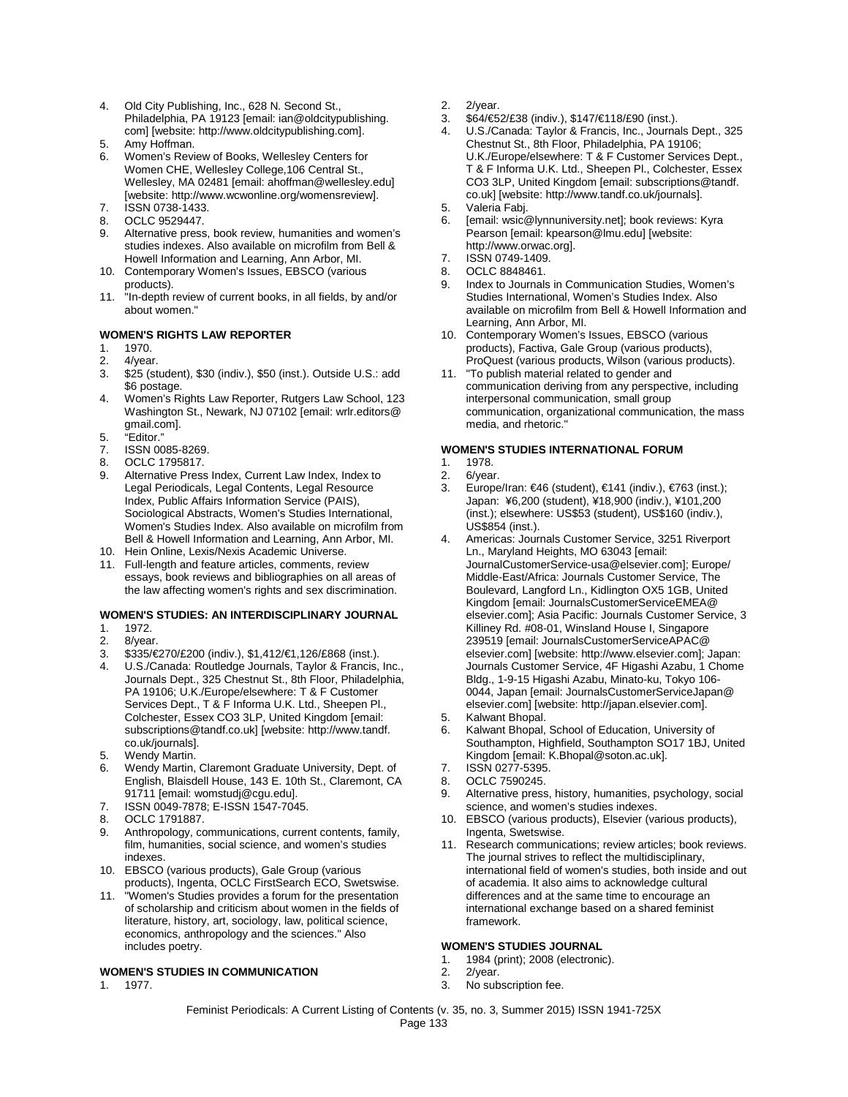- 4. Old City Publishing, Inc., 628 N. Second St., Philadelphia, PA 19123 [email: ian@oldcitypublishing. com] [website: http://www.oldcitypublishing.com].
- 5. Amy Hoffman.
- 6. Women's Review of Books, Wellesley Centers for Women CHE, Wellesley College,106 Central St., Wellesley, MA 02481 [email: ahoffman@wellesley.edu] [website: http://www.wcwonline.org/womensreview].
- 7. ISSN 0738-1433.
- 8. OCLC 9529447.
- 9. Alternative press, book review, humanities and women's studies indexes. Also available on microfilm from Bell & Howell Information and Learning, Ann Arbor, MI.
- 10. Contemporary Women's Issues, EBSCO (various products).
- 11. "In-depth review of current books, in all fields, by and/or about women."

#### **WOMEN'S RIGHTS LAW REPORTER**

- 1. 1970.
- 2. 4/year.<br>3 \$25.6st
- \$25 (student), \$30 (indiv.), \$50 (inst.). Outside U.S.: add \$6 postage.
- 4. Women's Rights Law Reporter, Rutgers Law School, 123 Washington St., Newark, NJ 07102 [email: wrlr.editors@ gmail.com].
- 5. "Editor."
- ISSN 0085-8269.
- 8. OCLC 1795817.
- 9. Alternative Press Index, Current Law Index, Index to Legal Periodicals, Legal Contents, Legal Resource Index, Public Affairs Information Service (PAIS), Sociological Abstracts, Women's Studies International, Women's Studies Index. Also available on microfilm from Bell & Howell Information and Learning, Ann Arbor, MI.
- 10. Hein Online, Lexis/Nexis Academic Universe.
- 11. Full-length and feature articles, comments, review essays, book reviews and bibliographies on all areas of the law affecting women's rights and sex discrimination.

#### **WOMEN'S STUDIES: AN INTERDISCIPLINARY JOURNAL**

- 1. 1972.
- 2. 8/year.<br>3. \$335/€
- 3. \$335/€270/£200 (indiv.), \$1,412/€1,126/£868 (inst.).
- 4. U.S./Canada: Routledge Journals, Taylor & Francis, Inc., Journals Dept., 325 Chestnut St., 8th Floor, Philadelphia, PA 19106; U.K./Europe/elsewhere: T & F Customer Services Dept., T & F Informa U.K. Ltd., Sheepen Pl., Colchester, Essex CO3 3LP, United Kingdom [email: subscriptions@tandf.co.uk] [website: http://www.tandf. co.uk/journals].
- 5. Wendy Martin.
- Wendy Martin, Claremont Graduate University, Dept. of English, Blaisdell House, 143 E. 10th St., Claremont, CA 91711 [email: womstudj@cgu.edu].
- 7. ISSN 0049-7878; E-ISSN 1547-7045.
- 8. OCLC 1791887.
- 9. Anthropology, communications, current contents, family, film, humanities, social science, and women's studies indexes.
- 10. EBSCO (various products), Gale Group (various products), Ingenta, OCLC FirstSearch ECO, Swetswise.
- 11. "Women's Studies provides a forum for the presentation of scholarship and criticism about women in the fields of literature, history, art, sociology, law, political science, economics, anthropology and the sciences." Also includes poetry.

#### **WOMEN'S STUDIES IN COMMUNICATION**

1. 1977.

- 2. 2/year.
- 3. \$64/€52/£38 (indiv.), \$147/€118/£90 (inst.).
- 4. U.S./Canada: Taylor & Francis, Inc., Journals Dept., 325 Chestnut St., 8th Floor, Philadelphia, PA 19106; U.K./Europe/elsewhere: T & F Customer Services Dept., T & F Informa U.K. Ltd., Sheepen Pl., Colchester, Essex CO3 3LP, United Kingdom [email: subscriptions@tandf. co.uk] [website: http://www.tandf.co.uk/journals].
- 5. Valeria Fabj.<br>6. Iemail: wsic@
- [email: wsic@lynnuniversity.net]; book reviews: Kyra Pearson [email: kpearson@lmu.edu] [website: http://www.orwac.org].
- 7. ISSN 0749-1409.<br>8 OCLC 8848461
- OCLC 8848461.
- 9. Index to Journals in Communication Studies, Women's Studies International, Women's Studies Index. Also available on microfilm from Bell & Howell Information and Learning, Ann Arbor, MI.
- 10. Contemporary Women's Issues, EBSCO (various products), Factiva, Gale Group (various products), ProQuest (various products, Wilson (various products).
- 11. "To publish material related to gender and communication deriving from any perspective, including interpersonal communication, small group communication, organizational communication, the mass media, and rhetoric."

# **WOMEN'S STUDIES INTERNATIONAL FORUM**

- 1. 1978.<br>2. 6/yea
- 2. 6/year.<br>3. Europe
- 3. Europe/Iran: €46 (student), €141 (indiv.), €763 (inst.); Japan: ¥6,200 (student), ¥18,900 (indiv.), ¥101,200 (inst.); elsewhere: US\$53 (student), US\$160 (indiv.), US\$854 (inst.).
- 4. Americas: Journals Customer Service, 3251 Riverport Ln., Maryland Heights, MO 63043 [email: JournalCustomerService-usa@elsevier.com]; Europe/ Middle-East/Africa: Journals Customer Service, The Boulevard, Langford Ln., Kidlington OX5 1GB, United Kingdom [email: JournalsCustomerServiceEMEA@ elsevier.com]; Asia Pacific: Journals Customer Service, 3 Killiney Rd. #08-01, Winsland House I, Singapore 239519 [email: JournalsCustomerServiceAPAC@ elsevier.com] [website: http://www.elsevier.com]; Japan: Journals Customer Service, 4F Higashi Azabu, 1 Chome Bldg., 1-9-15 Higashi Azabu, Minato-ku, Tokyo 106- 0044, Japan [email: JournalsCustomerServiceJapan@ elsevier.com] [website: http://japan.elsevier.com].
- 5. Kalwant Bhopal.
- 6. Kalwant Bhopal, School of Education, University of Southampton, Highfield, Southampton SO17 1BJ, United Kingdom [email: K.Bhopal@soton.ac.uk].
- 7. ISSN 0277-5395.<br>8. OCLC 7590245.
- 8. OCLC 7590245.<br>9. Alternative press
- Alternative press, history, humanities, psychology, social science, and women's studies indexes.
- 10. EBSCO (various products), Elsevier (various products), Ingenta, Swetswise.
- 11. Research communications; review articles; book reviews. The journal strives to reflect the multidisciplinary, international field of women's studies, both inside and out of academia. It also aims to acknowledge cultural differences and at the same time to encourage an international exchange based on a shared feminist framework.

#### **WOMEN'S STUDIES JOURNAL**

- 1. 1984 (print); 2008 (electronic).
- 2. 2/year.
- 3. No subscription fee.